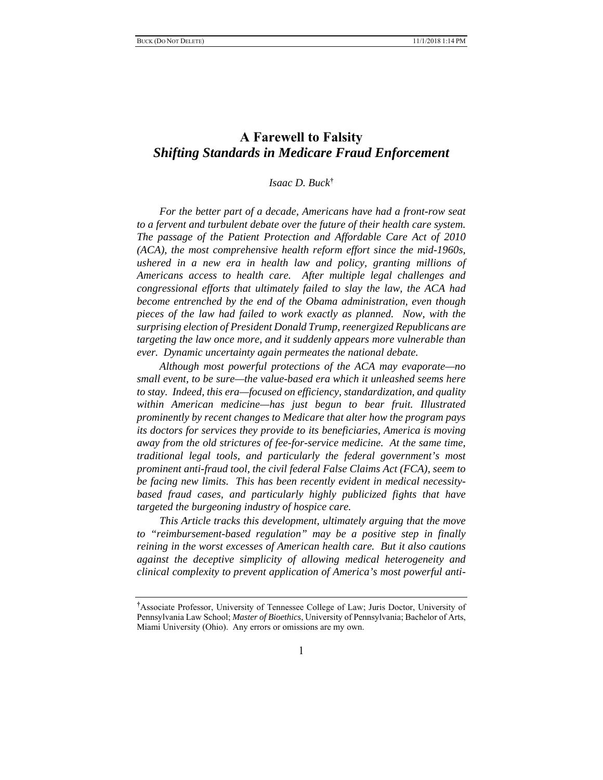# **A Farewell to Falsity** *Shifting Standards in Medicare Fraud Enforcement*

## *Isaac D. Buck***†**

*For the better part of a decade, Americans have had a front-row seat to a fervent and turbulent debate over the future of their health care system. The passage of the Patient Protection and Affordable Care Act of 2010 (ACA), the most comprehensive health reform effort since the mid-1960s, ushered in a new era in health law and policy, granting millions of Americans access to health care. After multiple legal challenges and congressional efforts that ultimately failed to slay the law, the ACA had become entrenched by the end of the Obama administration, even though pieces of the law had failed to work exactly as planned. Now, with the surprising election of President Donald Trump, reenergized Republicans are targeting the law once more, and it suddenly appears more vulnerable than ever. Dynamic uncertainty again permeates the national debate.*

*Although most powerful protections of the ACA may evaporate—no small event, to be sure—the value-based era which it unleashed seems here to stay. Indeed, this era—focused on efficiency, standardization, and quality within American medicine—has just begun to bear fruit. Illustrated prominently by recent changes to Medicare that alter how the program pays its doctors for services they provide to its beneficiaries, America is moving away from the old strictures of fee-for-service medicine. At the same time, traditional legal tools, and particularly the federal government's most prominent anti-fraud tool, the civil federal False Claims Act (FCA), seem to be facing new limits. This has been recently evident in medical necessitybased fraud cases, and particularly highly publicized fights that have targeted the burgeoning industry of hospice care.*

*This Article tracks this development, ultimately arguing that the move to "reimbursement-based regulation" may be a positive step in finally reining in the worst excesses of American health care. But it also cautions against the deceptive simplicity of allowing medical heterogeneity and clinical complexity to prevent application of America's most powerful anti-*

**<sup>†</sup>** Associate Professor, University of Tennessee College of Law; Juris Doctor, University of Pennsylvania Law School; *Master of Bioethics*, University of Pennsylvania; Bachelor of Arts, Miami University (Ohio). Any errors or omissions are my own.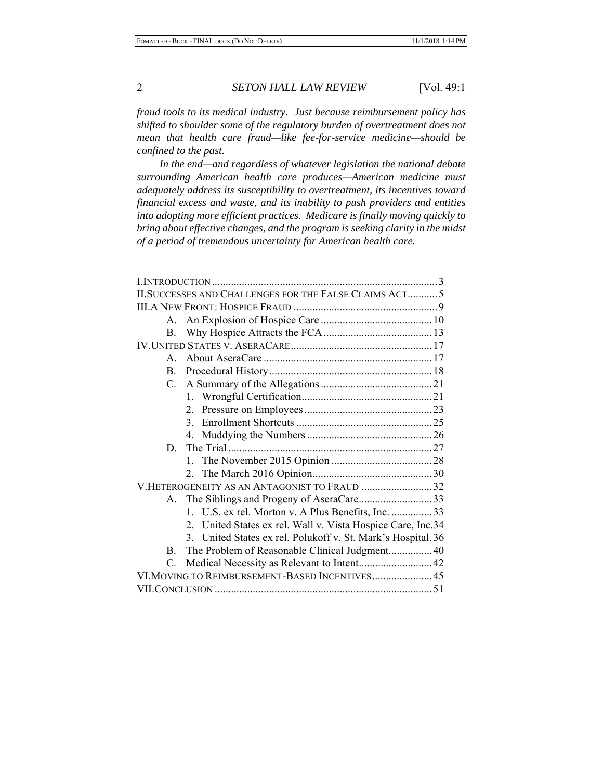*fraud tools to its medical industry. Just because reimbursement policy has shifted to shoulder some of the regulatory burden of overtreatment does not mean that health care fraud—like fee-for-service medicine—should be confined to the past.*

*In the end—and regardless of whatever legislation the national debate surrounding American health care produces—American medicine must adequately address its susceptibility to overtreatment, its incentives toward financial excess and waste, and its inability to push providers and entities into adopting more efficient practices. Medicare is finally moving quickly to bring about effective changes, and the program is seeking clarity in the midst of a period of tremendous uncertainty for American health care.* 

|                                                | II. SUCCESSES AND CHALLENGES FOR THE FALSE CLAIMS ACT 5      |  |
|------------------------------------------------|--------------------------------------------------------------|--|
|                                                |                                                              |  |
| A.                                             |                                                              |  |
| $\mathbf{B}$ .                                 |                                                              |  |
|                                                |                                                              |  |
| $\mathbf{A}$                                   |                                                              |  |
| $\mathbf{B}$ .                                 |                                                              |  |
| C.                                             |                                                              |  |
|                                                |                                                              |  |
|                                                |                                                              |  |
|                                                |                                                              |  |
|                                                |                                                              |  |
|                                                |                                                              |  |
|                                                |                                                              |  |
|                                                |                                                              |  |
| V.HETEROGENEITY AS AN ANTAGONIST TO FRAUD 32   |                                                              |  |
| A.                                             |                                                              |  |
|                                                | 1. U.S. ex rel. Morton v. A Plus Benefits, Inc. 33           |  |
|                                                | 2. United States ex rel. Wall v. Vista Hospice Care, Inc.34  |  |
|                                                | 3. United States ex rel. Polukoff v. St. Mark's Hospital. 36 |  |
| B.                                             | The Problem of Reasonable Clinical Judgment40                |  |
| $C_{\cdot}$                                    |                                                              |  |
| VI.MOVING TO REIMBURSEMENT-BASED INCENTIVES 45 |                                                              |  |
|                                                |                                                              |  |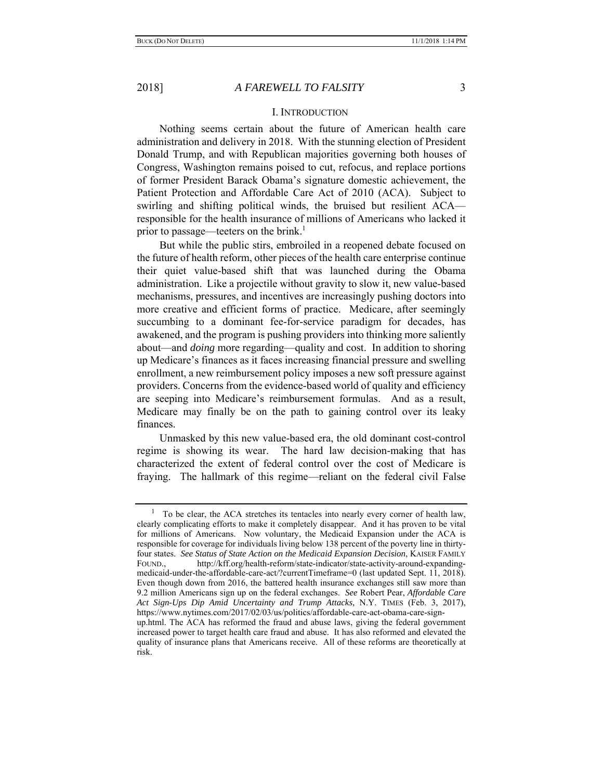### I. INTRODUCTION

Nothing seems certain about the future of American health care administration and delivery in 2018. With the stunning election of President Donald Trump, and with Republican majorities governing both houses of Congress, Washington remains poised to cut, refocus, and replace portions of former President Barack Obama's signature domestic achievement, the Patient Protection and Affordable Care Act of 2010 (ACA). Subject to swirling and shifting political winds, the bruised but resilient ACA responsible for the health insurance of millions of Americans who lacked it prior to passage—teeters on the brink.<sup>1</sup>

But while the public stirs, embroiled in a reopened debate focused on the future of health reform, other pieces of the health care enterprise continue their quiet value-based shift that was launched during the Obama administration. Like a projectile without gravity to slow it, new value-based mechanisms, pressures, and incentives are increasingly pushing doctors into more creative and efficient forms of practice. Medicare, after seemingly succumbing to a dominant fee-for-service paradigm for decades, has awakened, and the program is pushing providers into thinking more saliently about—and *doing* more regarding—quality and cost. In addition to shoring up Medicare's finances as it faces increasing financial pressure and swelling enrollment, a new reimbursement policy imposes a new soft pressure against providers. Concerns from the evidence-based world of quality and efficiency are seeping into Medicare's reimbursement formulas. And as a result, Medicare may finally be on the path to gaining control over its leaky finances.

Unmasked by this new value-based era, the old dominant cost-control regime is showing its wear. The hard law decision-making that has characterized the extent of federal control over the cost of Medicare is fraying. The hallmark of this regime—reliant on the federal civil False

 $1$  To be clear, the ACA stretches its tentacles into nearly every corner of health law, clearly complicating efforts to make it completely disappear. And it has proven to be vital for millions of Americans. Now voluntary, the Medicaid Expansion under the ACA is responsible for coverage for individuals living below 138 percent of the poverty line in thirtyfour states. *See Status of State Action on the Medicaid Expansion Decision*, KAISER FAMILY FOUND., http://kff.org/health-reform/state-indicator/state-activity-around-expandingmedicaid-under-the-affordable-care-act/?currentTimeframe=0 (last updated Sept. 11, 2018). Even though down from 2016, the battered health insurance exchanges still saw more than 9.2 million Americans sign up on the federal exchanges. *See* Robert Pear, *Affordable Care Act Sign-Ups Dip Amid Uncertainty and Trump Attacks*, N.Y. TIMES (Feb. 3, 2017), https://www.nytimes.com/2017/02/03/us/politics/affordable-care-act-obama-care-signup.html. The ACA has reformed the fraud and abuse laws, giving the federal government

increased power to target health care fraud and abuse. It has also reformed and elevated the quality of insurance plans that Americans receive. All of these reforms are theoretically at risk.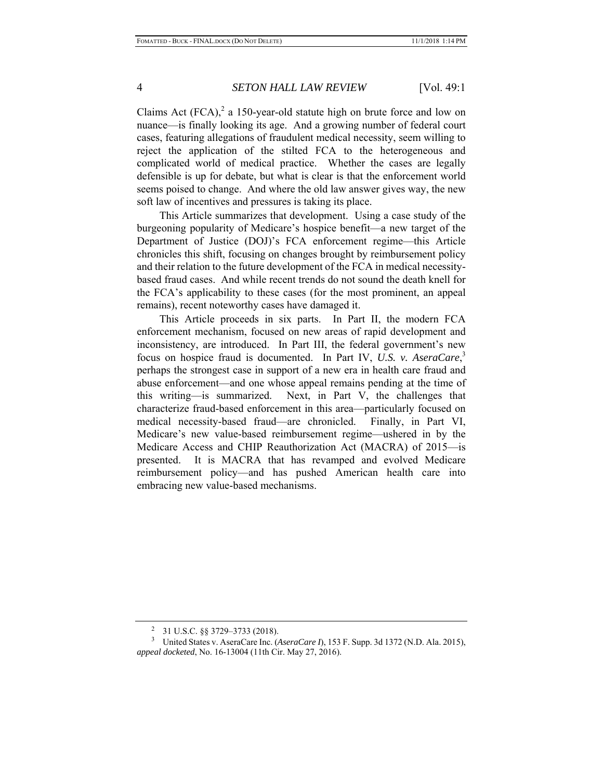Claims Act  $(FCA)<sup>2</sup>$  a 150-year-old statute high on brute force and low on nuance—is finally looking its age. And a growing number of federal court cases, featuring allegations of fraudulent medical necessity, seem willing to reject the application of the stilted FCA to the heterogeneous and complicated world of medical practice. Whether the cases are legally defensible is up for debate, but what is clear is that the enforcement world seems poised to change. And where the old law answer gives way, the new soft law of incentives and pressures is taking its place.

This Article summarizes that development. Using a case study of the burgeoning popularity of Medicare's hospice benefit—a new target of the Department of Justice (DOJ)'s FCA enforcement regime—this Article chronicles this shift, focusing on changes brought by reimbursement policy and their relation to the future development of the FCA in medical necessitybased fraud cases. And while recent trends do not sound the death knell for the FCA's applicability to these cases (for the most prominent, an appeal remains), recent noteworthy cases have damaged it.

This Article proceeds in six parts. In Part II, the modern FCA enforcement mechanism, focused on new areas of rapid development and inconsistency, are introduced. In Part III, the federal government's new focus on hospice fraud is documented. In Part IV, *U.S. v. AseraCare*, 3 perhaps the strongest case in support of a new era in health care fraud and abuse enforcement—and one whose appeal remains pending at the time of this writing—is summarized. Next, in Part V, the challenges that characterize fraud-based enforcement in this area—particularly focused on medical necessity-based fraud—are chronicled. Finally, in Part VI, Medicare's new value-based reimbursement regime—ushered in by the Medicare Access and CHIP Reauthorization Act (MACRA) of 2015—is presented. It is MACRA that has revamped and evolved Medicare reimbursement policy—and has pushed American health care into embracing new value-based mechanisms.

<sup>2</sup> 31 U.S.C. §§ 3729–3733 (2018).

<sup>&</sup>lt;sup>3</sup> United States v. AseraCare Inc. (*AseraCare I*), 153 F. Supp. 3d 1372 (N.D. Ala. 2015), *appeal docketed*, No. 16-13004 (11th Cir. May 27, 2016).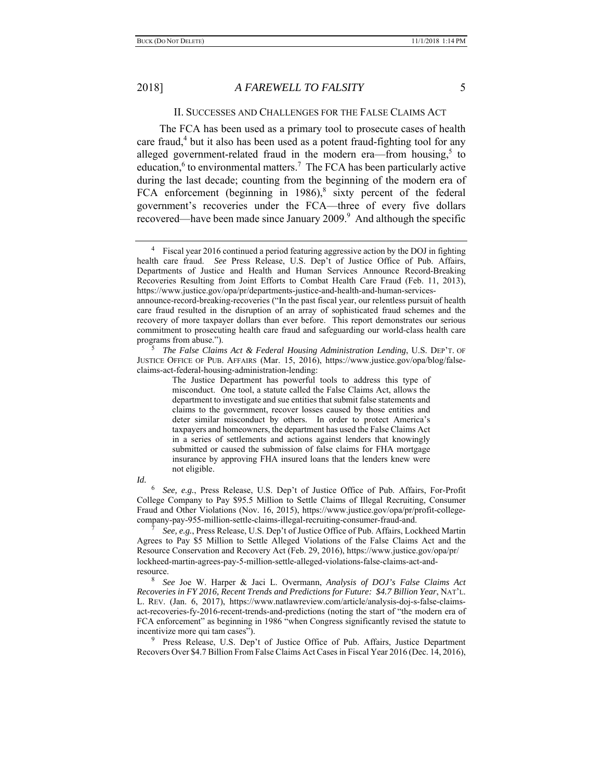# II. SUCCESSES AND CHALLENGES FOR THE FALSE CLAIMS ACT

The FCA has been used as a primary tool to prosecute cases of health care fraud,<sup>4</sup> but it also has been used as a potent fraud-fighting tool for any alleged government-related fraud in the modern era—from housing, $5$  to education,<sup>6</sup> to environmental matters.<sup>7</sup> The FCA has been particularly active during the last decade; counting from the beginning of the modern era of FCA enforcement (beginning in  $1986$ ),<sup>8</sup> sixty percent of the federal government's recoveries under the FCA—three of every five dollars recovered—have been made since January 2009. $9$  And although the specific

 *The False Claims Act & Federal Housing Administration Lending*, U.S. DEP'T. OF JUSTICE OFFICE OF PUB. AFFAIRS (Mar. 15, 2016), https://www.justice.gov/opa/blog/falseclaims-act-federal-housing-administration-lending:

The Justice Department has powerful tools to address this type of misconduct. One tool, a statute called the False Claims Act, allows the department to investigate and sue entities that submit false statements and claims to the government, recover losses caused by those entities and deter similar misconduct by others. In order to protect America's taxpayers and homeowners, the department has used the False Claims Act in a series of settlements and actions against lenders that knowingly submitted or caused the submission of false claims for FHA mortgage insurance by approving FHA insured loans that the lenders knew were not eligible.

#### *Id.*

6 *See, e.g.*, Press Release, U.S. Dep't of Justice Office of Pub. Affairs, For-Profit College Company to Pay \$95.5 Million to Settle Claims of Illegal Recruiting, Consumer Fraud and Other Violations (Nov. 16, 2015), https://www.justice.gov/opa/pr/profit-collegecompany-pay-955-million-settle-claims-illegal-recruiting-consumer-fraud-and. 7

 *See, e.g.*, Press Release, U.S. Dep't of Justice Office of Pub. Affairs, Lockheed Martin Agrees to Pay \$5 Million to Settle Alleged Violations of the False Claims Act and the Resource Conservation and Recovery Act (Feb. 29, 2016), https://www.justice.gov/opa/pr/ lockheed-martin-agrees-pay-5-million-settle-alleged-violations-false-claims-act-andresource.

 *See* Joe W. Harper & Jaci L. Overmann, *Analysis of DOJ's False Claims Act Recoveries in FY 2016, Recent Trends and Predictions for Future: \$4.7 Billion Year*, NAT'L. L. REV. (Jan. 6, 2017), https://www.natlawreview.com/article/analysis-doj-s-false-claimsact-recoveries-fy-2016-recent-trends-and-predictions (noting the start of "the modern era of FCA enforcement" as beginning in 1986 "when Congress significantly revised the statute to incentivize more qui tam cases").

<sup>9</sup> Press Release, U.S. Dep't of Justice Office of Pub. Affairs, Justice Department Recovers Over \$4.7 Billion From False Claims Act Cases in Fiscal Year 2016 (Dec. 14, 2016),

<sup>4</sup> Fiscal year 2016 continued a period featuring aggressive action by the DOJ in fighting health care fraud. *See* Press Release, U.S. Dep't of Justice Office of Pub. Affairs, Departments of Justice and Health and Human Services Announce Record-Breaking Recoveries Resulting from Joint Efforts to Combat Health Care Fraud (Feb. 11, 2013), https://www.justice.gov/opa/pr/departments-justice-and-health-and-human-servicesannounce-record-breaking-recoveries ("In the past fiscal year, our relentless pursuit of health care fraud resulted in the disruption of an array of sophisticated fraud schemes and the recovery of more taxpayer dollars than ever before. This report demonstrates our serious commitment to prosecuting health care fraud and safeguarding our world-class health care programs from abuse.").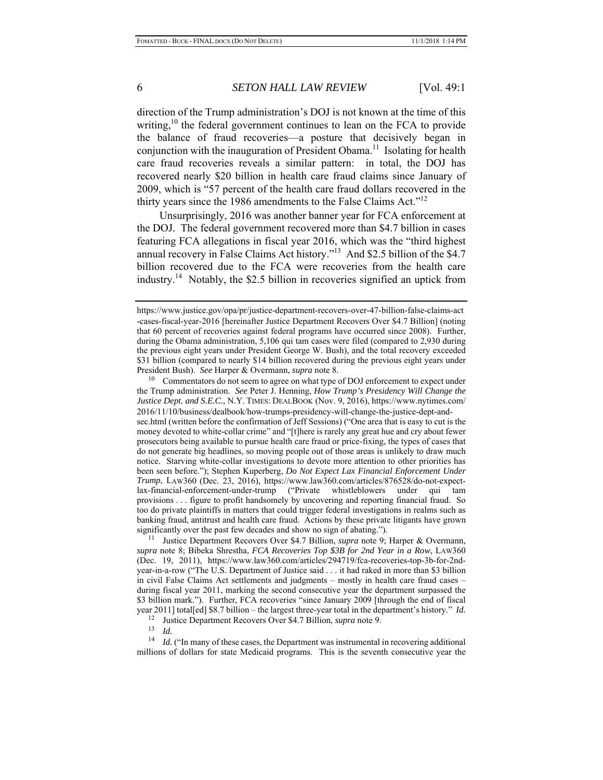direction of the Trump administration's DOJ is not known at the time of this writing,<sup>10</sup> the federal government continues to lean on the FCA to provide the balance of fraud recoveries—a posture that decisively began in conjunction with the inauguration of President Obama.<sup>11</sup> Isolating for health care fraud recoveries reveals a similar pattern: in total, the DOJ has recovered nearly \$20 billion in health care fraud claims since January of 2009, which is "57 percent of the health care fraud dollars recovered in the thirty years since the 1986 amendments to the False Claims Act."<sup>12</sup>

Unsurprisingly, 2016 was another banner year for FCA enforcement at the DOJ. The federal government recovered more than \$4.7 billion in cases featuring FCA allegations in fiscal year 2016, which was the "third highest annual recovery in False Claims Act history."13 And \$2.5 billion of the \$4.7 billion recovered due to the FCA were recoveries from the health care industry.14 Notably, the \$2.5 billion in recoveries signified an uptick from

Commentators do not seem to agree on what type of DOJ enforcement to expect under the Trump administration. *See* Peter J. Henning, *How Trump's Presidency Will Change the Justice Dept. and S.E.C.*, N.Y. TIMES: DEALBOOK (Nov. 9, 2016), https://www.nytimes.com/ 2016/11/10/business/dealbook/how-trumps-presidency-will-change-the-justice-dept-andsec.html (written before the confirmation of Jeff Sessions) ("One area that is easy to cut is the money devoted to white-collar crime" and "[t]here is rarely any great hue and cry about fewer prosecutors being available to pursue health care fraud or price-fixing, the types of cases that do not generate big headlines, so moving people out of those areas is unlikely to draw much notice. Starving white-collar investigations to devote more attention to other priorities has been seen before."); Stephen Kuperberg, *Do Not Expect Lax Financial Enforcement Under Trump*, LAW360 (Dec. 23, 2016), https://www.law360.com/articles/876528/do-not-expectlax-financial-enforcement-under-trump ("Private whistleblowers under qui tam provisions . . . figure to profit handsomely by uncovering and reporting financial fraud. So too do private plaintiffs in matters that could trigger federal investigations in realms such as banking fraud, antitrust and health care fraud. Actions by these private litigants have grown significantly over the past few decades and show no sign of abating."). 11 Justice Department Recovers Over \$4.7 Billion, *supra* note 9; Harper & Overmann,

*supra* note 8; Bibeka Shrestha, *FCA Recoveries Top \$3B for 2nd Year in a Row*, LAW360 (Dec. 19, 2011), https://www.law360.com/articles/294719/fca-recoveries-top-3b-for-2ndyear-in-a-row ("The U.S. Department of Justice said . . . it had raked in more than \$3 billion in civil False Claims Act settlements and judgments – mostly in health care fraud cases – during fiscal year 2011, marking the second consecutive year the department surpassed the \$3 billion mark."). Further, FCA recoveries "since January 2009 [through the end of fiscal year 2011] total[ed] \$8.7 billion – the largest three-year total in the department's history." *Id.* 

12 Justice Department Recovers Over \$4.7 Billion, *supra* note 9.

13 *Id.*

<sup>14</sup> *Id.* ("In many of these cases, the Department was instrumental in recovering additional millions of dollars for state Medicaid programs. This is the seventh consecutive year the

https://www.justice.gov/opa/pr/justice-department-recovers-over-47-billion-false-claims-act -cases-fiscal-year-2016 [hereinafter Justice Department Recovers Over \$4.7 Billion] (noting that 60 percent of recoveries against federal programs have occurred since 2008). Further, during the Obama administration, 5,106 qui tam cases were filed (compared to 2,930 during the previous eight years under President George W. Bush), and the total recovery exceeded \$31 billion (compared to nearly \$14 billion recovered during the previous eight years under President Bush). *See* Harper & Overmann, *supra* note 8.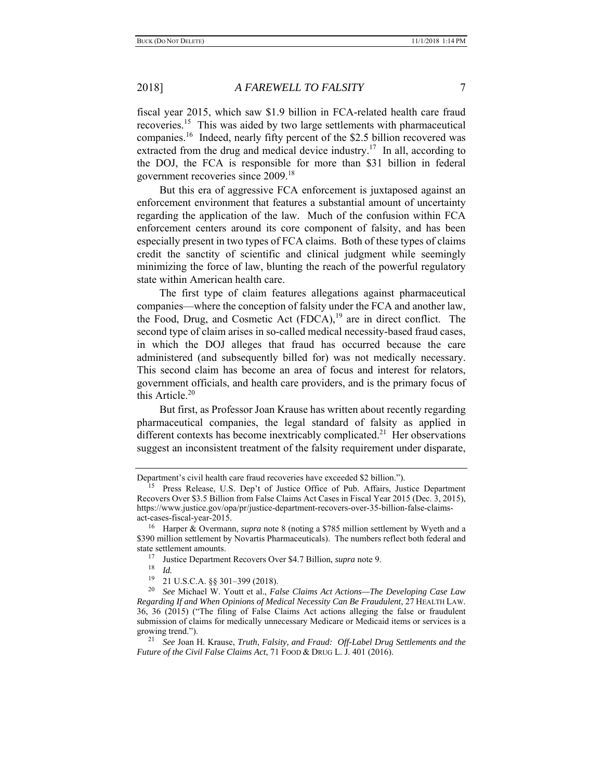fiscal year 2015, which saw \$1.9 billion in FCA-related health care fraud recoveries.<sup>15</sup> This was aided by two large settlements with pharmaceutical companies.16 Indeed, nearly fifty percent of the \$2.5 billion recovered was extracted from the drug and medical device industry.<sup>17</sup> In all, according to the DOJ, the FCA is responsible for more than \$31 billion in federal government recoveries since 2009.18

But this era of aggressive FCA enforcement is juxtaposed against an enforcement environment that features a substantial amount of uncertainty regarding the application of the law. Much of the confusion within FCA enforcement centers around its core component of falsity, and has been especially present in two types of FCA claims. Both of these types of claims credit the sanctity of scientific and clinical judgment while seemingly minimizing the force of law, blunting the reach of the powerful regulatory state within American health care.

The first type of claim features allegations against pharmaceutical companies—where the conception of falsity under the FCA and another law, the Food, Drug, and Cosmetic Act  $(FDCA)$ ,<sup>19</sup> are in direct conflict. The second type of claim arises in so-called medical necessity-based fraud cases, in which the DOJ alleges that fraud has occurred because the care administered (and subsequently billed for) was not medically necessary. This second claim has become an area of focus and interest for relators, government officials, and health care providers, and is the primary focus of this Article. $20$ 

But first, as Professor Joan Krause has written about recently regarding pharmaceutical companies, the legal standard of falsity as applied in different contexts has become inextricably complicated.<sup>21</sup> Her observations suggest an inconsistent treatment of the falsity requirement under disparate,

Department's civil health care fraud recoveries have exceeded \$2 billion.").

<sup>&</sup>lt;sup>15</sup> Press Release, U.S. Dep't of Justice Office of Pub. Affairs, Justice Department Recovers Over \$3.5 Billion from False Claims Act Cases in Fiscal Year 2015 (Dec. 3, 2015), https://www.justice.gov/opa/pr/justice-department-recovers-over-35-billion-false-claimsact-cases-fiscal-year-2015.

<sup>16</sup> Harper & Overmann, *supra* note 8 (noting a \$785 million settlement by Wyeth and a \$390 million settlement by Novartis Pharmaceuticals). The numbers reflect both federal and state settlement amounts.<br><sup>17</sup> Iustice Department

<sup>17</sup> Justice Department Recovers Over \$4.7 Billion, *supra* note 9.

 $\frac{18}{19}$  *Id.* 

<sup>19 21</sup> U.S.C.A. §§ 301–399 (2018).

<sup>20</sup> *See* Michael W. Youtt et al., *False Claims Act Actions—The Developing Case Law Regarding If and When Opinions of Medical Necessity Can Be Fraudulent*, 27 HEALTH LAW. 36, 36 (2015) ("The filing of False Claims Act actions alleging the false or fraudulent submission of claims for medically unnecessary Medicare or Medicaid items or services is a growing trend."). 21 *See* Joan H. Krause, *Truth, Falsity, and Fraud: Off-Label Drug Settlements and the* 

*Future of the Civil False Claims Act*, 71 FOOD & DRUG L. J. 401 (2016).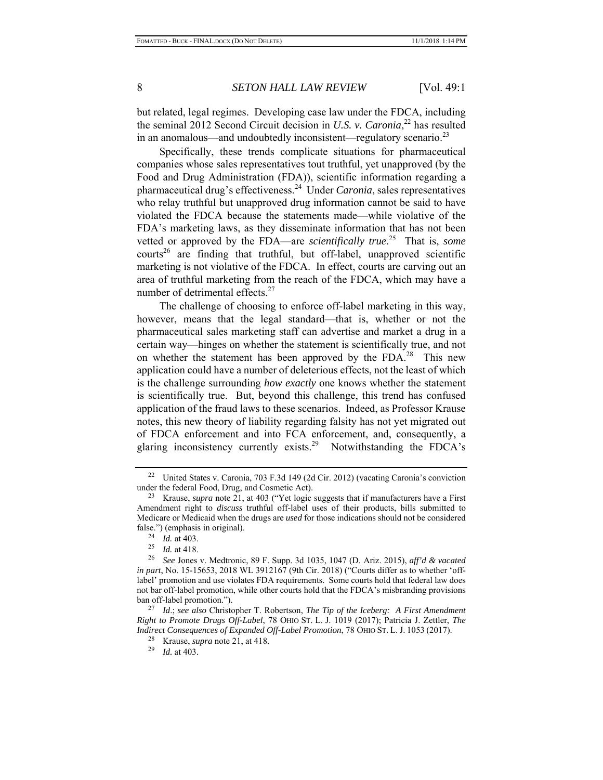but related, legal regimes. Developing case law under the FDCA, including the seminal 2012 Second Circuit decision in *U.S. v. Caronia*, 22 has resulted in an anomalous—and undoubtedly inconsistent—regulatory scenario. $^{23}$ 

Specifically, these trends complicate situations for pharmaceutical companies whose sales representatives tout truthful, yet unapproved (by the Food and Drug Administration (FDA)), scientific information regarding a pharmaceutical drug's effectiveness.24 Under *Caronia*, sales representatives who relay truthful but unapproved drug information cannot be said to have violated the FDCA because the statements made—while violative of the FDA's marketing laws, as they disseminate information that has not been vetted or approved by the FDA—are *scientifically true*. 25 That is, *some* courts<sup>26</sup> are finding that truthful, but off-label, unapproved scientific marketing is not violative of the FDCA. In effect, courts are carving out an area of truthful marketing from the reach of the FDCA, which may have a number of detrimental effects.<sup>27</sup>

The challenge of choosing to enforce off-label marketing in this way, however, means that the legal standard—that is, whether or not the pharmaceutical sales marketing staff can advertise and market a drug in a certain way—hinges on whether the statement is scientifically true, and not on whether the statement has been approved by the FDA.<sup>28</sup> This new application could have a number of deleterious effects, not the least of which is the challenge surrounding *how exactly* one knows whether the statement is scientifically true. But, beyond this challenge, this trend has confused application of the fraud laws to these scenarios. Indeed, as Professor Krause notes, this new theory of liability regarding falsity has not yet migrated out of FDCA enforcement and into FCA enforcement, and, consequently, a glaring inconsistency currently exists.<sup>29</sup> Notwithstanding the FDCA's

<sup>22</sup> United States v. Caronia, 703 F.3d 149 (2d Cir. 2012) (vacating Caronia's conviction under the federal Food, Drug, and Cosmetic Act).

<sup>23</sup> Krause, *supra* note 21, at 403 ("Yet logic suggests that if manufacturers have a First Amendment right to *discuss* truthful off-label uses of their products, bills submitted to Medicare or Medicaid when the drugs are *used* for those indications should not be considered false.") (emphasis in original).<br> $^{24}$  *Id.* at 403.<br> $^{25}$  *Id.* at 418

 $\frac{25}{26}$  *Id.* at 418.

<sup>26</sup> *See* Jones v. Medtronic, 89 F. Supp. 3d 1035, 1047 (D. Ariz. 2015), *aff'd & vacated in part*, No. 15-15653, 2018 WL 3912167 (9th Cir. 2018) ("Courts differ as to whether 'offlabel' promotion and use violates FDA requirements. Some courts hold that federal law does not bar off-label promotion, while other courts hold that the FDCA's misbranding provisions ban off-label promotion.").

<sup>27</sup> *Id*.; *see also* Christopher T. Robertson, *The Tip of the Iceberg: A First Amendment Right to Promote Drugs Off-Label*, 78 OHIO ST. L. J. 1019 (2017); Patricia J. Zettler, *The Indirect Consequences of Expanded Off-Label Promotion*, 78 OHIO ST. L. J. 1053 (2017).

<sup>28</sup> Krause, *supra* note 21, at 418*.* 

*Id.* at 403.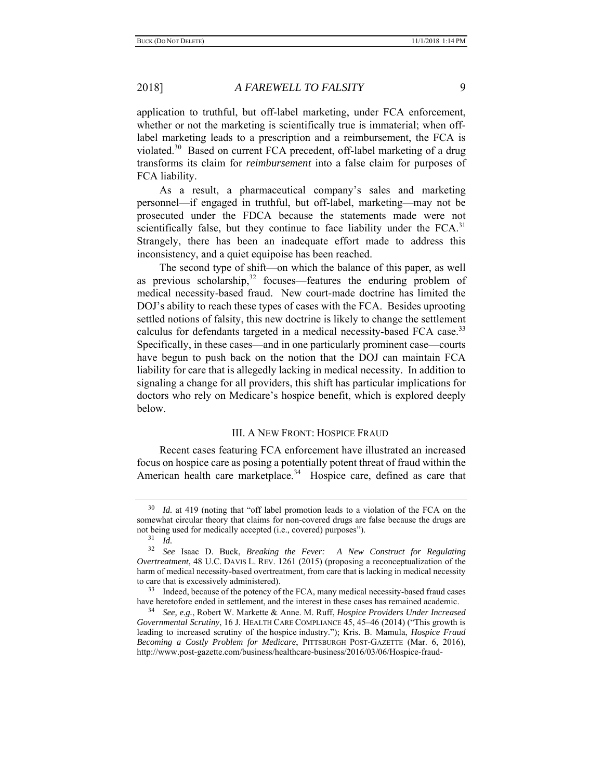application to truthful, but off-label marketing, under FCA enforcement, whether or not the marketing is scientifically true is immaterial; when offlabel marketing leads to a prescription and a reimbursement, the FCA is violated.<sup>30</sup> Based on current FCA precedent, off-label marketing of a drug transforms its claim for *reimbursement* into a false claim for purposes of FCA liability.

As a result, a pharmaceutical company's sales and marketing personnel—if engaged in truthful, but off-label, marketing—may not be prosecuted under the FDCA because the statements made were not scientifically false, but they continue to face liability under the  $FCA$ <sup>31</sup> Strangely, there has been an inadequate effort made to address this inconsistency, and a quiet equipoise has been reached.

The second type of shift—on which the balance of this paper, as well as previous scholarship, $32$  focuses—features the enduring problem of medical necessity-based fraud. New court-made doctrine has limited the DOJ's ability to reach these types of cases with the FCA. Besides uprooting settled notions of falsity, this new doctrine is likely to change the settlement calculus for defendants targeted in a medical necessity-based FCA case.<sup>33</sup> Specifically, in these cases—and in one particularly prominent case—courts have begun to push back on the notion that the DOJ can maintain FCA liability for care that is allegedly lacking in medical necessity. In addition to signaling a change for all providers, this shift has particular implications for doctors who rely on Medicare's hospice benefit, which is explored deeply below.

## III. A NEW FRONT: HOSPICE FRAUD

Recent cases featuring FCA enforcement have illustrated an increased focus on hospice care as posing a potentially potent threat of fraud within the American health care marketplace.<sup>34</sup> Hospice care, defined as care that

Id. at 419 (noting that "off label promotion leads to a violation of the FCA on the somewhat circular theory that claims for non-covered drugs are false because the drugs are not being used for medically accepted (i.e., covered) purposes").

<sup>31</sup> *Id.*

<sup>32</sup> *See* Isaac D. Buck, *Breaking the Fever: A New Construct for Regulating Overtreatment*, 48 U.C. DAVIS L. REV. 1261 (2015) (proposing a reconceptualization of the harm of medical necessity-based overtreatment, from care that is lacking in medical necessity to care that is excessively administered).

<sup>&</sup>lt;sup>33</sup> Indeed, because of the potency of the FCA, many medical necessity-based fraud cases have heretofore ended in settlement, and the interest in these cases has remained academic.

<sup>34</sup> *See, e.g.*, Robert W. Markette & Anne. M. Ruff, *Hospice Providers Under Increased Governmental Scrutiny*, 16 J. HEALTH CARE COMPLIANCE 45, 45–46 (2014) ("This growth is leading to increased scrutiny of the hospice industry."); Kris. B. Mamula, *Hospice Fraud Becoming a Costly Problem for Medicare*, PITTSBURGH POST-GAZETTE (Mar. 6, 2016), http://www.post-gazette.com/business/healthcare-business/2016/03/06/Hospice-fraud-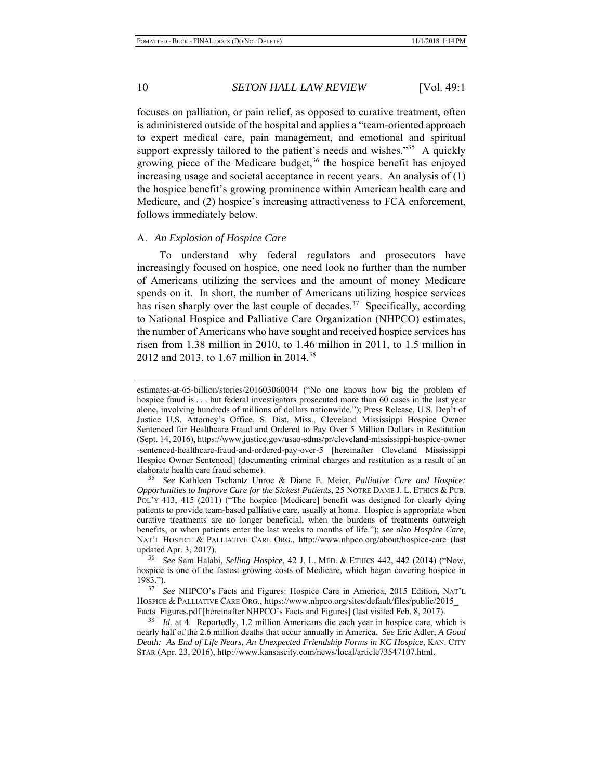focuses on palliation, or pain relief, as opposed to curative treatment, often is administered outside of the hospital and applies a "team-oriented approach to expert medical care, pain management, and emotional and spiritual support expressly tailored to the patient's needs and wishes. $135$  A quickly growing piece of the Medicare budget,  $36$  the hospice benefit has enjoyed increasing usage and societal acceptance in recent years. An analysis of (1) the hospice benefit's growing prominence within American health care and Medicare, and (2) hospice's increasing attractiveness to FCA enforcement, follows immediately below.

## A. *An Explosion of Hospice Care*

To understand why federal regulators and prosecutors have increasingly focused on hospice, one need look no further than the number of Americans utilizing the services and the amount of money Medicare spends on it. In short, the number of Americans utilizing hospice services has risen sharply over the last couple of decades.<sup>37</sup> Specifically, according to National Hospice and Palliative Care Organization (NHPCO) estimates, the number of Americans who have sought and received hospice services has risen from 1.38 million in 2010, to 1.46 million in 2011, to 1.5 million in 2012 and 2013, to 1.67 million in 2014.<sup>38</sup>

estimates-at-65-billion/stories/201603060044 ("No one knows how big the problem of hospice fraud is . . . but federal investigators prosecuted more than 60 cases in the last year alone, involving hundreds of millions of dollars nationwide."); Press Release, U.S. Dep't of Justice U.S. Attorney's Office, S. Dist. Miss., Cleveland Mississippi Hospice Owner Sentenced for Healthcare Fraud and Ordered to Pay Over 5 Million Dollars in Restitution (Sept. 14, 2016), https://www.justice.gov/usao-sdms/pr/cleveland-mississippi-hospice-owner -sentenced-healthcare-fraud-and-ordered-pay-over-5 [hereinafter Cleveland Mississippi Hospice Owner Sentenced] (documenting criminal charges and restitution as a result of an elaborate health care fraud scheme).

<sup>35</sup> *See* Kathleen Tschantz Unroe & Diane E. Meier, *Palliative Care and Hospice: Opportunities to Improve Care for the Sickest Patients*, 25 NOTRE DAME J. L. ETHICS & PUB. POL'Y 413, 415 (2011) ("The hospice [Medicare] benefit was designed for clearly dying patients to provide team-based palliative care, usually at home. Hospice is appropriate when curative treatments are no longer beneficial, when the burdens of treatments outweigh benefits, or when patients enter the last weeks to months of life."); *see also Hospice Care*, NAT'L HOSPICE & PALLIATIVE CARE ORG., http://www.nhpco.org/about/hospice-care (last updated Apr. 3, 2017).

<sup>36</sup> *See* Sam Halabi, *Selling Hospice*, 42 J. L. MED. & ETHICS 442, 442 (2014) ("Now, hospice is one of the fastest growing costs of Medicare, which began covering hospice in 1983.").

See NHPCO's Facts and Figures: Hospice Care in America, 2015 Edition, NAT'L HOSPICE & PALLIATIVE CARE ORG., https://www.nhpco.org/sites/default/files/public/2015\_ Facts Figures.pdf [hereinafter NHPCO's Facts and Figures] (last visited Feb. 8, 2017).

<sup>&</sup>lt;sup>38</sup> *Id.* at 4. Reportedly, 1.2 million Americans die each year in hospice care, which is nearly half of the 2.6 million deaths that occur annually in America. *See* Eric Adler, *A Good Death: As End of Life Nears, An Unexpected Friendship Forms in KC Hospice*, KAN. CITY STAR (Apr. 23, 2016), http://www.kansascity.com/news/local/article73547107.html.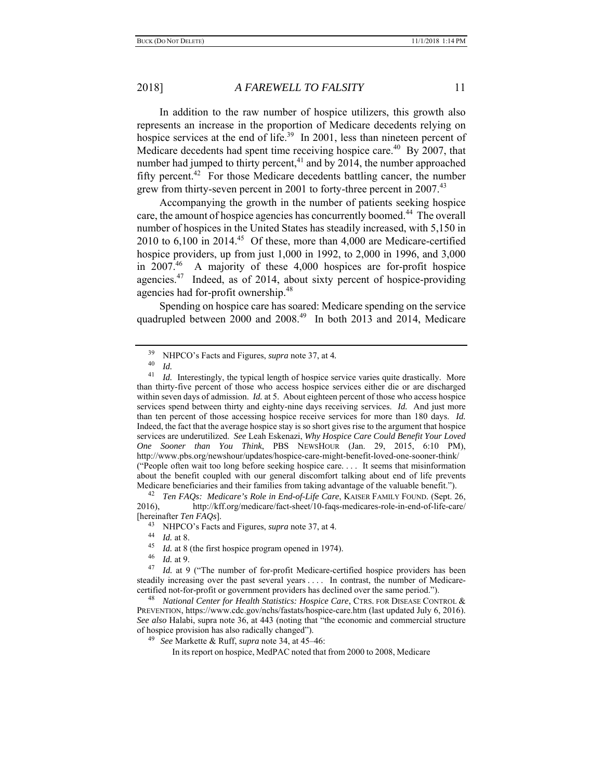In addition to the raw number of hospice utilizers, this growth also represents an increase in the proportion of Medicare decedents relying on hospice services at the end of life.<sup>39</sup> In 2001, less than nineteen percent of Medicare decedents had spent time receiving hospice care.<sup>40</sup> By 2007, that number had jumped to thirty percent, $41$  and by 2014, the number approached fifty percent.<sup>42</sup> For those Medicare decedents battling cancer, the number grew from thirty-seven percent in 2001 to forty-three percent in 2007.<sup>43</sup>

Accompanying the growth in the number of patients seeking hospice care, the amount of hospice agencies has concurrently boomed.<sup>44</sup> The overall number of hospices in the United States has steadily increased, with 5,150 in 2010 to  $6,100$  in 2014.<sup>45</sup> Of these, more than 4,000 are Medicare-certified hospice providers, up from just 1,000 in 1992, to 2,000 in 1996, and 3,000 in  $2007<sup>46</sup>$  A majority of these 4,000 hospices are for-profit hospice agencies.47 Indeed, as of 2014, about sixty percent of hospice-providing agencies had for-profit ownership.<sup>48</sup>

Spending on hospice care has soared: Medicare spending on the service quadrupled between 2000 and 2008.<sup>49</sup> In both 2013 and 2014, Medicare

2016), http://kff.org/medicare/fact-sheet/10-faqs-medicares-role-in-end-of-life-care/ [hereinafter *Ten FAQs*].

 $\frac{46}{47}$  *Id.* at 9.

<sup>39</sup> NHPCO's Facts and Figures, *supra* note 37, at 4*.*

 $\frac{40}{41}$  *Id.* 

*Id.* Interestingly, the typical length of hospice service varies quite drastically. More than thirty-five percent of those who access hospice services either die or are discharged within seven days of admission. *Id.* at 5. About eighteen percent of those who access hospice services spend between thirty and eighty-nine days receiving services. *Id.* And just more than ten percent of those accessing hospice receive services for more than 180 days. *Id.*  Indeed, the fact that the average hospice stay is so short gives rise to the argument that hospice services are underutilized. *See* Leah Eskenazi, *Why Hospice Care Could Benefit Your Loved One Sooner than You Think*, PBS NEWSHOUR (Jan. 29, 2015, 6:10 PM), http://www.pbs.org/newshour/updates/hospice-care-might-benefit-loved-one-sooner-think/ ("People often wait too long before seeking hospice care. . . . It seems that misinformation about the benefit coupled with our general discomfort talking about end of life prevents Medicare beneficiaries and their families from taking advantage of the valuable benefit."). 42 *Ten FAQs: Medicare's Role in End-of-Life Care*, KAISER FAMILY FOUND. (Sept. 26,

<sup>43</sup> NHPCO's Facts and Figures, *supra* note 37, at 4.<br>44 *Id.* at 8.<br>45 *Id.* at 8. (the first hospice program opened in 1974

<sup>&</sup>lt;sup>45</sup> *Id.* at 8 (the first hospice program opened in 1974).

*Id.* at 9 ("The number of for-profit Medicare-certified hospice providers has been steadily increasing over the past several years . . . . In contrast, the number of Medicarecertified not-for-profit or government providers has declined over the same period.").

<sup>48</sup> *National Center for Health Statistics: Hospice Care*, CTRS. FOR DISEASE CONTROL & PREVENTION, https://www.cdc.gov/nchs/fastats/hospice-care.htm (last updated July 6, 2016). *See also* Halabi, supra note 36, at 443 (noting that "the economic and commercial structure of hospice provision has also radically changed").

<sup>49</sup> *See* Markette & Ruff, *supra* note 34, at 45–46:

In its report on hospice, MedPAC noted that from 2000 to 2008, Medicare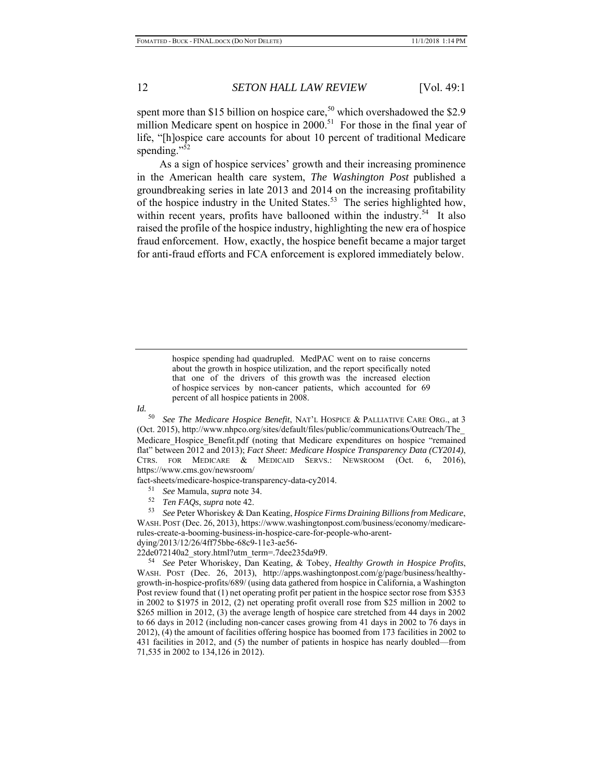spent more than \$15 billion on hospice care,<sup>50</sup> which overshadowed the \$2.9 million Medicare spent on hospice in  $2000$ .<sup>51</sup> For those in the final year of life, "[h]ospice care accounts for about 10 percent of traditional Medicare spending."<sup>52</sup>

As a sign of hospice services' growth and their increasing prominence in the American health care system, *The Washington Post* published a groundbreaking series in late 2013 and 2014 on the increasing profitability of the hospice industry in the United States.<sup>53</sup> The series highlighted how, within recent years, profits have ballooned within the industry.<sup>54</sup> It also raised the profile of the hospice industry, highlighting the new era of hospice fraud enforcement. How, exactly, the hospice benefit became a major target for anti-fraud efforts and FCA enforcement is explored immediately below.

> hospice spending had quadrupled. MedPAC went on to raise concerns about the growth in hospice utilization, and the report specifically noted that one of the drivers of this growth was the increased election of hospice services by non-cancer patients, which accounted for 69 percent of all hospice patients in 2008.

*Id.*

50 *See The Medicare Hospice Benefit*, NAT'L HOSPICE & PALLIATIVE CARE ORG., at 3 (Oct. 2015), http://www.nhpco.org/sites/default/files/public/communications/Outreach/The\_ Medicare\_Hospice\_Benefit.pdf (noting that Medicare expenditures on hospice "remained flat" between 2012 and 2013); *Fact Sheet: Medicare Hospice Transparency Data (CY2014)*, CTRS. FOR MEDICARE & MEDICAID SERVS.: NEWSROOM (Oct. 6, 2016), https://www.cms.gov/newsroom/

fact-sheets/medicare-hospice-transparency-data-cy2014.

- 51 *See* Mamula, *supra* note 34.
- 52 *Ten FAQs*, *supra* note 42.

53 *See* Peter Whoriskey & Dan Keating, *Hospice Firms Draining Billions from Medicare*, WASH. POST (Dec. 26, 2013), https://www.washingtonpost.com/business/economy/medicarerules-create-a-booming-business-in-hospice-care-for-people-who-arent-

dying/2013/12/26/4ff75bbe-68c9-11e3-ae56-

22de072140a2\_story.html?utm\_term=.7dee235da9f9.

54 *See* Peter Whoriskey, Dan Keating, & Tobey, *Healthy Growth in Hospice Profits*, WASH. POST (Dec. 26, 2013), http://apps.washingtonpost.com/g/page/business/healthygrowth-in-hospice-profits/689/ (using data gathered from hospice in California, a Washington Post review found that (1) net operating profit per patient in the hospice sector rose from \$353 in 2002 to \$1975 in 2012, (2) net operating profit overall rose from \$25 million in 2002 to \$265 million in 2012, (3) the average length of hospice care stretched from 44 days in 2002 to 66 days in 2012 (including non-cancer cases growing from 41 days in 2002 to 76 days in 2012), (4) the amount of facilities offering hospice has boomed from 173 facilities in 2002 to 431 facilities in 2012, and (5) the number of patients in hospice has nearly doubled—from 71,535 in 2002 to 134,126 in 2012).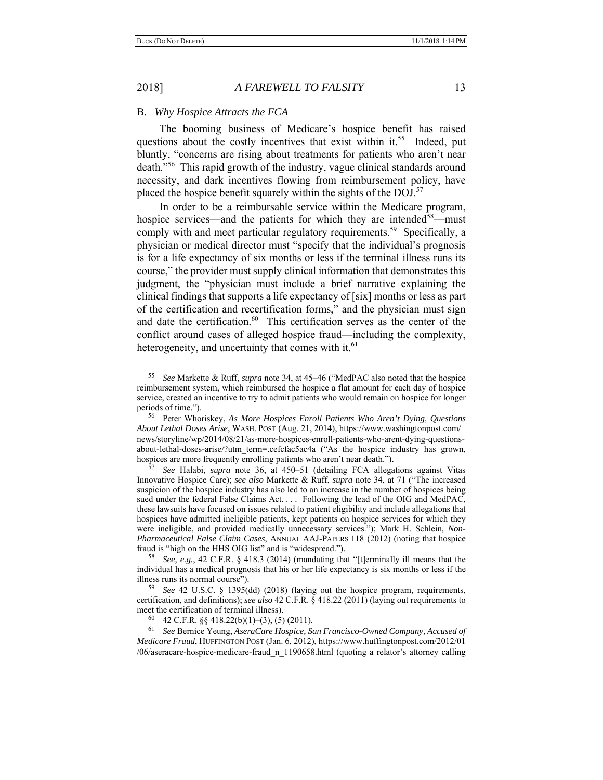#### B. *Why Hospice Attracts the FCA*

The booming business of Medicare's hospice benefit has raised questions about the costly incentives that exist within it.<sup>55</sup> Indeed, put bluntly, "concerns are rising about treatments for patients who aren't near death."56 This rapid growth of the industry, vague clinical standards around necessity, and dark incentives flowing from reimbursement policy, have placed the hospice benefit squarely within the sights of the  $DOL<sup>57</sup>$ 

In order to be a reimbursable service within the Medicare program, hospice services—and the patients for which they are intended<sup>58</sup>—must comply with and meet particular regulatory requirements.<sup>59</sup> Specifically, a physician or medical director must "specify that the individual's prognosis is for a life expectancy of six months or less if the terminal illness runs its course," the provider must supply clinical information that demonstrates this judgment, the "physician must include a brief narrative explaining the clinical findings that supports a life expectancy of [six] months or less as part of the certification and recertification forms," and the physician must sign and date the certification. $60$  This certification serves as the center of the conflict around cases of alleged hospice fraud—including the complexity, heterogeneity, and uncertainty that comes with it. $61$ 

<sup>55</sup> *See* Markette & Ruff, *supra* note 34, at 45–46 ("MedPAC also noted that the hospice reimbursement system, which reimbursed the hospice a flat amount for each day of hospice service, created an incentive to try to admit patients who would remain on hospice for longer periods of time.").

<sup>56</sup> Peter Whoriskey, *As More Hospices Enroll Patients Who Aren't Dying, Questions About Lethal Doses Arise*, WASH. POST (Aug. 21, 2014), https://www.washingtonpost.com/ news/storyline/wp/2014/08/21/as-more-hospices-enroll-patients-who-arent-dying-questionsabout-lethal-doses-arise/?utm\_term=.cefcfac5ac4a ("As the hospice industry has grown, hospices are more frequently enrolling patients who aren't near death."). 57 *See* Halabi, *supra* note 36, at 450–51 (detailing FCA allegations against Vitas

Innovative Hospice Care); *see also* Markette & Ruff, *supra* note 34, at 71 ("The increased suspicion of the hospice industry has also led to an increase in the number of hospices being sued under the federal False Claims Act. . . . Following the lead of the OIG and MedPAC, these lawsuits have focused on issues related to patient eligibility and include allegations that hospices have admitted ineligible patients, kept patients on hospice services for which they were ineligible, and provided medically unnecessary services."); Mark H. Schlein, *Non-Pharmaceutical False Claim Cases*, ANNUAL AAJ-PAPERS 118 (2012) (noting that hospice fraud is "high on the HHS OIG list" and is "widespread.").

<sup>58</sup> *See, e.g.*, 42 C.F.R. § 418.3 (2014) (mandating that "[t]erminally ill means that the individual has a medical prognosis that his or her life expectancy is six months or less if the illness runs its normal course").

<sup>59</sup> *See* 42 U.S.C. § 1395(dd) (2018) (laying out the hospice program, requirements, certification, and definitions); *see also* 42 C.F.R. § 418.22 (2011) (laying out requirements to meet the certification of terminal illness).

<sup>&</sup>lt;sup>60</sup> 42 C.F.R. §§ 418.22(b)(1)–(3), (5) (2011).<br><sup>61</sup> See Bernice Yeung *AseraCare Hosnice* Se

<sup>61</sup> *See* Bernice Yeung, *AseraCare Hospice, San Francisco-Owned Company, Accused of Medicare Fraud*, HUFFINGTON POST (Jan. 6, 2012), https://www.huffingtonpost.com/2012/01 /06/aseracare-hospice-medicare-fraud\_n\_1190658.html (quoting a relator's attorney calling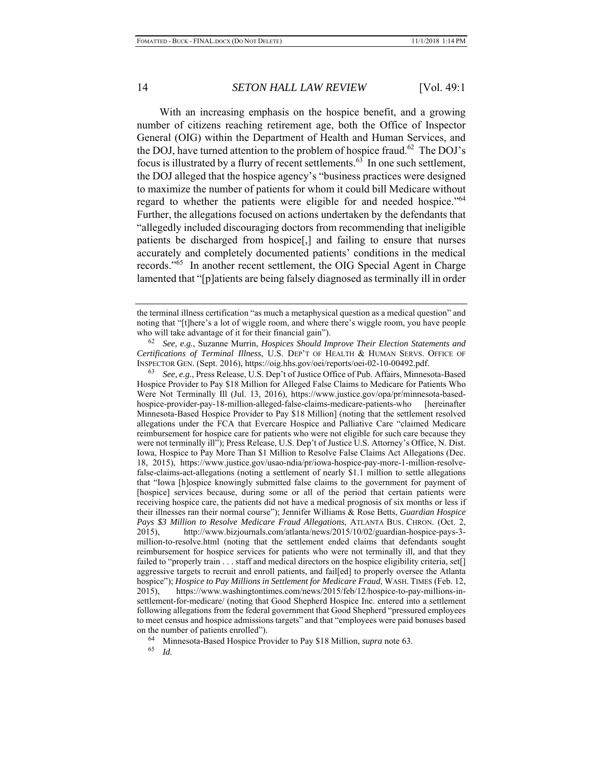With an increasing emphasis on the hospice benefit, and a growing number of citizens reaching retirement age, both the Office of Inspector General (OIG) within the Department of Health and Human Services, and the DOJ, have turned attention to the problem of hospice fraud.<sup>62</sup> The DOJ's focus is illustrated by a flurry of recent settlements.<sup>63</sup> In one such settlement, the DOJ alleged that the hospice agency's "business practices were designed to maximize the number of patients for whom it could bill Medicare without regard to whether the patients were eligible for and needed hospice."<sup>64</sup> Further, the allegations focused on actions undertaken by the defendants that "allegedly included discouraging doctors from recommending that ineligible patients be discharged from hospice[,] and failing to ensure that nurses accurately and completely documented patients' conditions in the medical records."65 In another recent settlement, the OIG Special Agent in Charge lamented that "[p]atients are being falsely diagnosed as terminally ill in order

62 *See, e.g.*, Suzanne Murrin, *Hospices Should Improve Their Election Statements and Certifications of Terminal Illness*, U.S. DEP'T OF HEALTH & HUMAN SERVS. OFFICE OF INSPECTOR GEN. (Sept. 2016), https://oig.hhs.gov/oei/reports/oei-02-10-00492.pdf.

63 *See, e.g.*, Press Release, U.S. Dep't of Justice Office of Pub. Affairs, Minnesota-Based Hospice Provider to Pay \$18 Million for Alleged False Claims to Medicare for Patients Who Were Not Terminally Ill (Jul. 13, 2016), https://www.justice.gov/opa/pr/minnesota-basedhospice-provider-pay-18-million-alleged-false-claims-medicare-patients-who [hereinafter Minnesota-Based Hospice Provider to Pay \$18 Million] (noting that the settlement resolved allegations under the FCA that Evercare Hospice and Palliative Care "claimed Medicare reimbursement for hospice care for patients who were not eligible for such care because they were not terminally ill"); Press Release, U.S. Dep't of Justice U.S. Attorney's Office, N. Dist. Iowa, Hospice to Pay More Than \$1 Million to Resolve False Claims Act Allegations (Dec. 18, 2015), https://www.justice.gov/usao-ndia/pr/iowa-hospice-pay-more-1-million-resolvefalse-claims-act-allegations (noting a settlement of nearly \$1.1 million to settle allegations that "Iowa [h]ospice knowingly submitted false claims to the government for payment of [hospice] services because, during some or all of the period that certain patients were receiving hospice care, the patients did not have a medical prognosis of six months or less if their illnesses ran their normal course"); Jennifer Williams & Rose Betts, *Guardian Hospice Pays \$3 Million to Resolve Medicare Fraud Allegations*, ATLANTA BUS. CHRON. (Oct. 2, 2015), http://www.bizjournals.com/atlanta/news/2015/10/02/guardian-hospice-pays-3 million-to-resolve.html (noting that the settlement ended claims that defendants sought reimbursement for hospice services for patients who were not terminally ill, and that they failed to "properly train . . . staff and medical directors on the hospice eligibility criteria, set[] aggressive targets to recruit and enroll patients, and fail[ed] to properly oversee the Atlanta hospice"); *Hospice to Pay Millions in Settlement for Medicare Fraud*, WASH. TIMES (Feb. 12, 2015), https://www.washingtontimes.com/news/2015/feb/12/hospice-to-pay-millions-insettlement-for-medicare/ (noting that Good Shepherd Hospice Inc. entered into a settlement following allegations from the federal government that Good Shepherd "pressured employees to meet census and hospice admissions targets" and that "employees were paid bonuses based on the number of patients enrolled").

<sup>64</sup> Minnesota-Based Hospice Provider to Pay \$18 Million, *supra* note 63.

*Id.* 

the terminal illness certification "as much a metaphysical question as a medical question" and noting that "[t]here's a lot of wiggle room, and where there's wiggle room, you have people who will take advantage of it for their financial gain").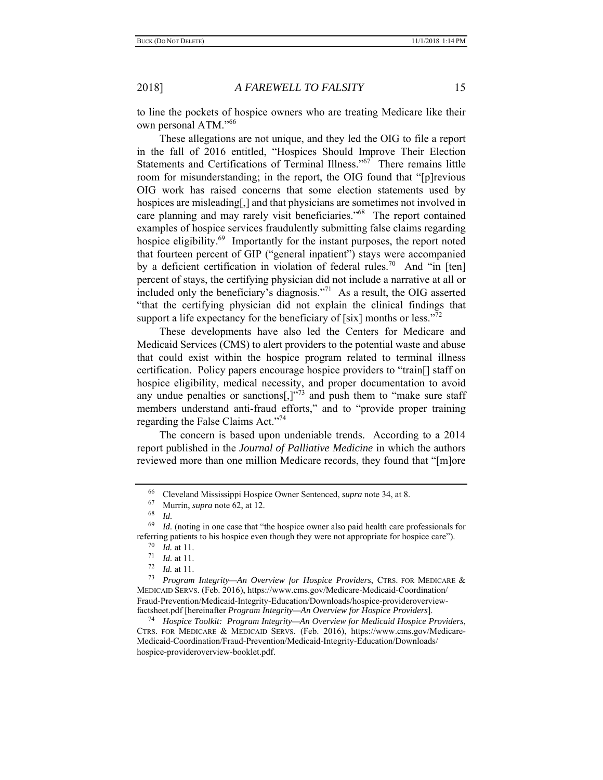to line the pockets of hospice owners who are treating Medicare like their own personal ATM."66

These allegations are not unique, and they led the OIG to file a report in the fall of 2016 entitled, "Hospices Should Improve Their Election Statements and Certifications of Terminal Illness."<sup>67</sup> There remains little room for misunderstanding; in the report, the OIG found that "[p]revious OIG work has raised concerns that some election statements used by hospices are misleading[,] and that physicians are sometimes not involved in care planning and may rarely visit beneficiaries."68 The report contained examples of hospice services fraudulently submitting false claims regarding hospice eligibility.<sup>69</sup> Importantly for the instant purposes, the report noted that fourteen percent of GIP ("general inpatient") stays were accompanied by a deficient certification in violation of federal rules.<sup>70</sup> And "in [ten] percent of stays, the certifying physician did not include a narrative at all or included only the beneficiary's diagnosis."<sup>71</sup> As a result, the OIG asserted "that the certifying physician did not explain the clinical findings that support a life expectancy for the beneficiary of [six] months or less.<sup>"72</sup>

These developments have also led the Centers for Medicare and Medicaid Services (CMS) to alert providers to the potential waste and abuse that could exist within the hospice program related to terminal illness certification. Policy papers encourage hospice providers to "train[] staff on hospice eligibility, medical necessity, and proper documentation to avoid any undue penalties or sanctions[,] $^{373}$  and push them to "make sure staff" members understand anti-fraud efforts," and to "provide proper training regarding the False Claims Act."<sup>74</sup>

The concern is based upon undeniable trends. According to a 2014 report published in the *Journal of Palliative Medicine* in which the authors reviewed more than one million Medicare records, they found that "[m]ore

<sup>66</sup>Cleveland Mississippi Hospice Owner Sentenced, *supra* note 34, at 8.

 $^{67}$  Murrin, *supra* note 62, at 12.

*Id.* 

<sup>69</sup> *Id.* (noting in one case that "the hospice owner also paid health care professionals for referring patients to his hospice even though they were not appropriate for hospice care").

 $\frac{70}{71}$  *Id.* at 11.

 $\frac{71}{72}$  *Id.* at 11.

*Id.* at 11.

<sup>73</sup> *Program Integrity—An Overview for Hospice Providers*, CTRS. FOR MEDICARE & MEDICAID SERVS. (Feb. 2016), https://www.cms.gov/Medicare-Medicaid-Coordination/ Fraud-Prevention/Medicaid-Integrity-Education/Downloads/hospice-provideroverviewfactsheet.pdf [hereinafter *Program Integrity—An Overview for Hospice Providers*].

<sup>74</sup> *Hospice Toolkit: Program Integrity—An Overview for Medicaid Hospice Providers*, CTRS. FOR MEDICARE & MEDICAID SERVS. (Feb. 2016), https://www.cms.gov/Medicare-Medicaid-Coordination/Fraud-Prevention/Medicaid-Integrity-Education/Downloads/ hospice-provideroverview-booklet.pdf.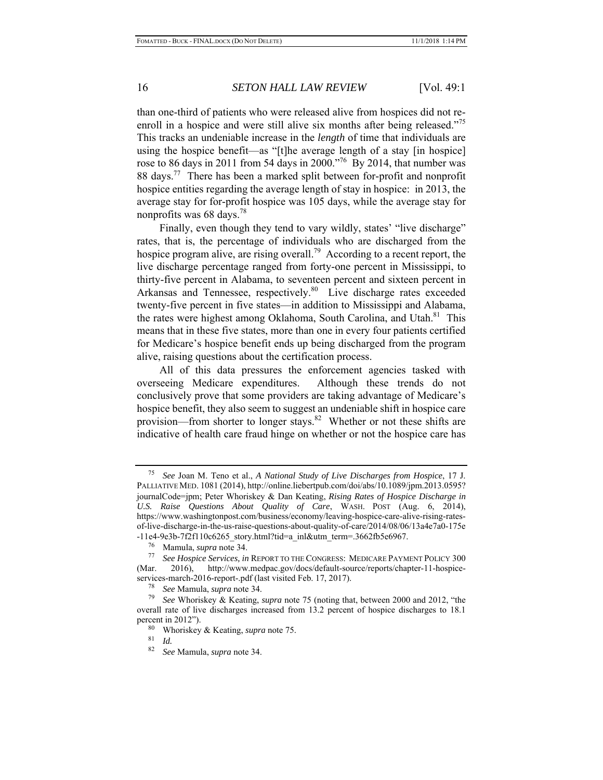than one-third of patients who were released alive from hospices did not reenroll in a hospice and were still alive six months after being released."<sup>75</sup> This tracks an undeniable increase in the *length* of time that individuals are using the hospice benefit—as "[t]he average length of a stay [in hospice] rose to 86 days in 2011 from 54 days in 2000."<sup>76</sup> By 2014, that number was 88 days.<sup>77</sup> There has been a marked split between for-profit and nonprofit hospice entities regarding the average length of stay in hospice: in 2013, the average stay for for-profit hospice was 105 days, while the average stay for nonprofits was 68 days.78

Finally, even though they tend to vary wildly, states' "live discharge" rates, that is, the percentage of individuals who are discharged from the hospice program alive, are rising overall.<sup>79</sup> According to a recent report, the live discharge percentage ranged from forty-one percent in Mississippi, to thirty-five percent in Alabama, to seventeen percent and sixteen percent in Arkansas and Tennessee, respectively.<sup>80</sup> Live discharge rates exceeded twenty-five percent in five states—in addition to Mississippi and Alabama, the rates were highest among Oklahoma, South Carolina, and Utah.<sup>81</sup> This means that in these five states, more than one in every four patients certified for Medicare's hospice benefit ends up being discharged from the program alive, raising questions about the certification process.

All of this data pressures the enforcement agencies tasked with overseeing Medicare expenditures. Although these trends do not conclusively prove that some providers are taking advantage of Medicare's hospice benefit, they also seem to suggest an undeniable shift in hospice care provision—from shorter to longer stays.<sup>82</sup> Whether or not these shifts are indicative of health care fraud hinge on whether or not the hospice care has

<sup>75</sup> *See* Joan M. Teno et al., *A National Study of Live Discharges from Hospice*, 17 J. PALLIATIVE MED. 1081 (2014), http://online.liebertpub.com/doi/abs/10.1089/jpm.2013.0595? journalCode=jpm; Peter Whoriskey & Dan Keating, *Rising Rates of Hospice Discharge in U.S. Raise Questions About Quality of Care*, WASH. POST (Aug. 6, 2014), https://www.washingtonpost.com/business/economy/leaving-hospice-care-alive-rising-ratesof-live-discharge-in-the-us-raise-questions-about-quality-of-care/2014/08/06/13a4e7a0-175e -11e4-9e3b-7f2f110c6265\_story.html?tid=a\_inl&utm\_term=.3662fb5e6967.

<sup>76</sup> Mamula, *supra* note 34. 77 *See Hospice Services, in* REPORT TO THE CONGRESS: MEDICARE PAYMENT POLICY <sup>300</sup> (Mar. 2016), http://www.medpac.gov/docs/default-source/reports/chapter-11-hospiceservices-march-2016-report-.pdf (last visited Feb. 17, 2017).

<sup>78</sup> *See* Mamula, *supra* note 34.

<sup>79</sup> *See* Whoriskey & Keating, *supra* note 75 (noting that, between 2000 and 2012, "the overall rate of live discharges increased from 13.2 percent of hospice discharges to 18.1 percent in 2012").

<sup>80</sup> Whoriskey & Keating, *supra* note 75.

 $rac{81}{82}$  *Id.* 

<sup>82</sup> *See* Mamula, *supra* note 34.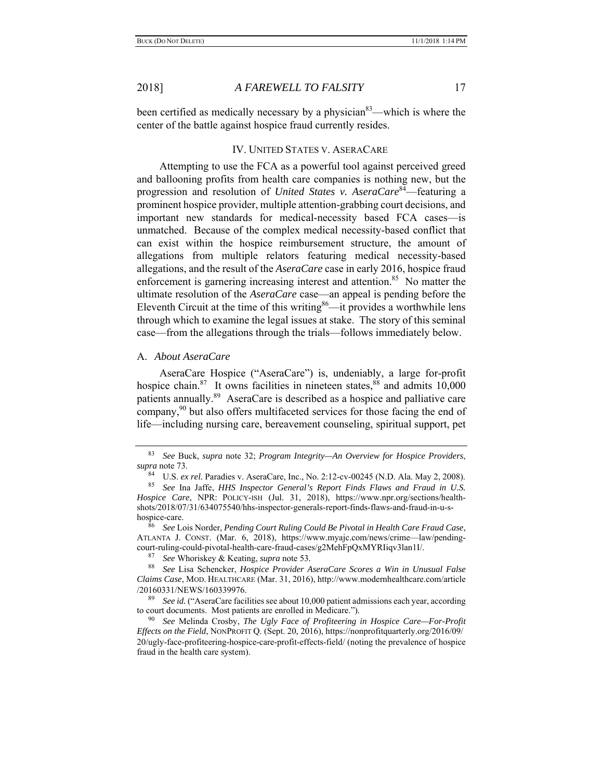been certified as medically necessary by a physician<sup>83</sup>—which is where the center of the battle against hospice fraud currently resides.

## IV. UNITED STATES V. ASERACARE

Attempting to use the FCA as a powerful tool against perceived greed and ballooning profits from health care companies is nothing new, but the progression and resolution of *United States v. AseraCare*84—featuring a prominent hospice provider, multiple attention-grabbing court decisions, and important new standards for medical-necessity based FCA cases—is unmatched. Because of the complex medical necessity-based conflict that can exist within the hospice reimbursement structure, the amount of allegations from multiple relators featuring medical necessity-based allegations, and the result of the *AseraCare* case in early 2016, hospice fraud enforcement is garnering increasing interest and attention.<sup>85</sup> No matter the ultimate resolution of the *AseraCare* case—an appeal is pending before the Eleventh Circuit at the time of this writing<sup>86</sup>—it provides a worthwhile lens through which to examine the legal issues at stake. The story of this seminal case—from the allegations through the trials—follows immediately below.

### A. *About AseraCare*

AseraCare Hospice ("AseraCare") is, undeniably, a large for-profit hospice chain.<sup>87</sup> It owns facilities in nineteen states,  $88$  and admits 10,000 patients annually.<sup>89</sup> AseraCare is described as a hospice and palliative care company,<sup>90</sup> but also offers multifaceted services for those facing the end of life—including nursing care, bereavement counseling, spiritual support, pet

87 *See* Whoriskey & Keating, *supra* note 53*.*

<sup>83</sup> *See* Buck, *supra* note 32; *Program Integrity—An Overview for Hospice Providers*, *supra* note 73.

<sup>84</sup> U.S. *ex rel.* Paradies v. AseraCare, Inc., No. 2:12-cv-00245 (N.D. Ala. May 2, 2008).

<sup>85</sup> *See* Ina Jaffe, *HHS Inspector General's Report Finds Flaws and Fraud in U.S. Hospice Care*, NPR: POLICY-ISH (Jul. 31, 2018), https://www.npr.org/sections/healthshots/2018/07/31/634075540/hhs-inspector-generals-report-finds-flaws-and-fraud-in-u-shospice-care.

<sup>86</sup> *See* Lois Norder, *Pending Court Ruling Could Be Pivotal in Health Care Fraud Case*, ATLANTA J. CONST. (Mar. 6, 2018), https://www.myajc.com/news/crime—law/pendingcourt-ruling-could-pivotal-health-care-fraud-cases/g2MehFpQxMYRIiqv3lan1I/.

<sup>88</sup> *See* Lisa Schencker, *Hospice Provider AseraCare Scores a Win in Unusual False Claims Case*, MOD. HEALTHCARE (Mar. 31, 2016), http://www.modernhealthcare.com/article /20160331/NEWS/160339976.

<sup>89</sup> *See id.* ("AseraCare facilities see about 10,000 patient admissions each year, according to court documents. Most patients are enrolled in Medicare.").

<sup>90</sup> *See* Melinda Crosby, *The Ugly Face of Profiteering in Hospice Care—For-Profit Effects on the Field*, NONPROFIT Q. (Sept. 20, 2016), https://nonprofitquarterly.org/2016/09/ 20/ugly-face-profiteering-hospice-care-profit-effects-field/ (noting the prevalence of hospice fraud in the health care system).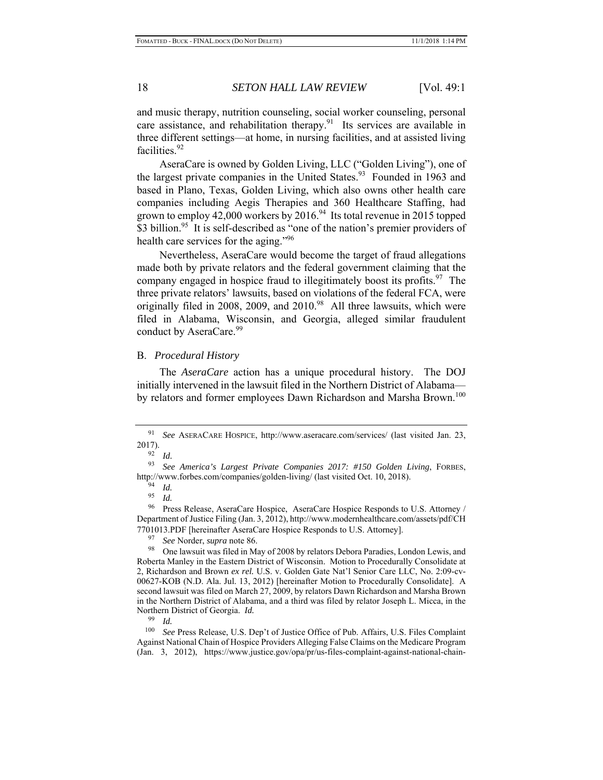and music therapy, nutrition counseling, social worker counseling, personal care assistance, and rehabilitation therapy. $91$  Its services are available in three different settings—at home, in nursing facilities, and at assisted living facilities.<sup>92</sup>

AseraCare is owned by Golden Living, LLC ("Golden Living"), one of the largest private companies in the United States.<sup>93</sup> Founded in 1963 and based in Plano, Texas, Golden Living, which also owns other health care companies including Aegis Therapies and 360 Healthcare Staffing, had grown to employ 42,000 workers by  $2016<sup>94</sup>$  Its total revenue in 2015 topped \$3 billion.<sup>95</sup> It is self-described as "one of the nation's premier providers of health care services for the aging."<sup>96</sup>

Nevertheless, AseraCare would become the target of fraud allegations made both by private relators and the federal government claiming that the company engaged in hospice fraud to illegitimately boost its profits. <sup>97</sup> The three private relators' lawsuits, based on violations of the federal FCA, were originally filed in 2008, 2009, and 2010. $98$  All three lawsuits, which were filed in Alabama, Wisconsin, and Georgia, alleged similar fraudulent conduct by AseraCare.<sup>99</sup>

#### B. *Procedural History*

The *AseraCare* action has a unique procedural history. The DOJ initially intervened in the lawsuit filed in the Northern District of Alabama by relators and former employees Dawn Richardson and Marsha Brown.<sup>100</sup>

97 *See* Norder, *supra* note 86.

<sup>91</sup> *See* ASERACARE HOSPICE, http://www.aseracare.com/services/ (last visited Jan. 23, 2017).

 $\frac{92}{93}$  *Id.* 

<sup>93</sup> *See America's Largest Private Companies 2017: #150 Golden Living*, FORBES, http://www.forbes.com/companies/golden-living/ (last visited Oct. 10, 2018).

<sup>94</sup> *Id.* 

*Id.* 

<sup>&</sup>lt;sup>96</sup> Press Release, AseraCare Hospice, AseraCare Hospice Responds to U.S. Attorney / Department of Justice Filing (Jan. 3, 2012), http://www.modernhealthcare.com/assets/pdf/CH 7701013.PDF [hereinafter AseraCare Hospice Responds to U.S. Attorney].

<sup>98</sup> One lawsuit was filed in May of 2008 by relators Debora Paradies, London Lewis, and Roberta Manley in the Eastern District of Wisconsin. Motion to Procedurally Consolidate at 2, Richardson and Brown *ex rel.* U.S. v. Golden Gate Nat'l Senior Care LLC, No. 2:09-cv-00627-KOB (N.D. Ala. Jul. 13, 2012) [hereinafter Motion to Procedurally Consolidate]. A second lawsuit was filed on March 27, 2009, by relators Dawn Richardson and Marsha Brown in the Northern District of Alabama, and a third was filed by relator Joseph L. Micca, in the Northern District of Georgia. *Id.*<br><sup>99</sup> *Id.*<br><sup>100</sup> *See* Press Release U.S. D

See Press Release, U.S. Dep't of Justice Office of Pub. Affairs, U.S. Files Complaint Against National Chain of Hospice Providers Alleging False Claims on the Medicare Program (Jan. 3, 2012), https://www.justice.gov/opa/pr/us-files-complaint-against-national-chain-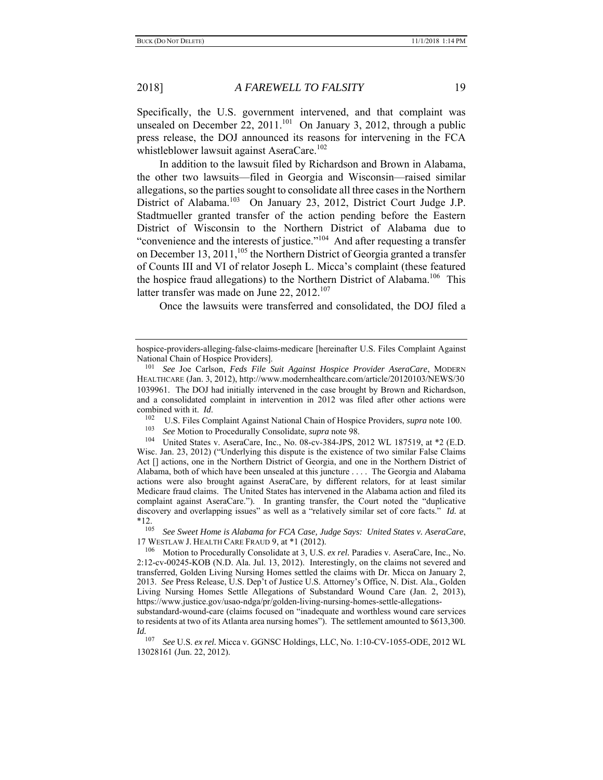Specifically, the U.S. government intervened, and that complaint was unsealed on December 22,  $2011$ <sup>101</sup> On January 3, 2012, through a public press release, the DOJ announced its reasons for intervening in the FCA whistleblower lawsuit against AseraCare.<sup>102</sup>

In addition to the lawsuit filed by Richardson and Brown in Alabama, the other two lawsuits—filed in Georgia and Wisconsin—raised similar allegations, so the parties sought to consolidate all three cases in the Northern District of Alabama.103 On January 23, 2012, District Court Judge J.P. Stadtmueller granted transfer of the action pending before the Eastern District of Wisconsin to the Northern District of Alabama due to "convenience and the interests of justice."104 And after requesting a transfer on December 13, 2011,  $105$  the Northern District of Georgia granted a transfer of Counts III and VI of relator Joseph L. Micca's complaint (these featured the hospice fraud allegations) to the Northern District of Alabama.<sup>106</sup> This latter transfer was made on June 22, 2012.<sup>107</sup>

Once the lawsuits were transferred and consolidated, the DOJ filed a

103 *See* Motion to Procedurally Consolidate, *supra* note 98.

United States v. AseraCare, Inc., No. 08-cv-384-JPS, 2012 WL 187519, at \*2 (E.D. Wisc. Jan. 23, 2012) ("Underlying this dispute is the existence of two similar False Claims Act [] actions, one in the Northern District of Georgia, and one in the Northern District of Alabama, both of which have been unsealed at this juncture . . . . The Georgia and Alabama actions were also brought against AseraCare, by different relators, for at least similar Medicare fraud claims. The United States has intervened in the Alabama action and filed its complaint against AseraCare."). In granting transfer, the Court noted the "duplicative discovery and overlapping issues" as well as a "relatively similar set of core facts." *Id.* at  $*12.$ <sub>105</sub>

105 *See Sweet Home is Alabama for FCA Case, Judge Says: United States v. AseraCare*, 17 WESTLAW J. HEALTH CARE FRAUD 9, at \*1 (2012).

106 Motion to Procedurally Consolidate at 3, U.S. *ex rel.* Paradies v. AseraCare, Inc., No. 2:12-cv-00245-KOB (N.D. Ala. Jul. 13, 2012). Interestingly, on the claims not severed and transferred, Golden Living Nursing Homes settled the claims with Dr. Micca on January 2, 2013. *See* Press Release, U.S. Dep't of Justice U.S. Attorney's Office, N. Dist. Ala., Golden Living Nursing Homes Settle Allegations of Substandard Wound Care (Jan. 2, 2013), https://www.justice.gov/usao-ndga/pr/golden-living-nursing-homes-settle-allegations-

substandard-wound-care (claims focused on "inadequate and worthless wound care services to residents at two of its Atlanta area nursing homes"). The settlement amounted to \$613,300. *Id.* <sub>107</sub>

107 *See* U.S. *ex rel.* Micca v. GGNSC Holdings, LLC, No. 1:10-CV-1055-ODE, 2012 WL 13028161 (Jun. 22, 2012).

hospice-providers-alleging-false-claims-medicare [hereinafter U.S. Files Complaint Against National Chain of Hospice Providers].

<sup>101</sup> *See* Joe Carlson, *Feds File Suit Against Hospice Provider AseraCare*, MODERN HEALTHCARE (Jan. 3, 2012), http://www.modernhealthcare.com/article/20120103/NEWS/30 1039961. The DOJ had initially intervened in the case brought by Brown and Richardson, and a consolidated complaint in intervention in 2012 was filed after other actions were combined with it. *Id.*<br><sup>102</sup> U.S. Files Complaint Against National Chain of Hospice Providers, *supra* note 100.<br><sup>103</sup> See Metion to Procedurally Consolidate, supra note 08.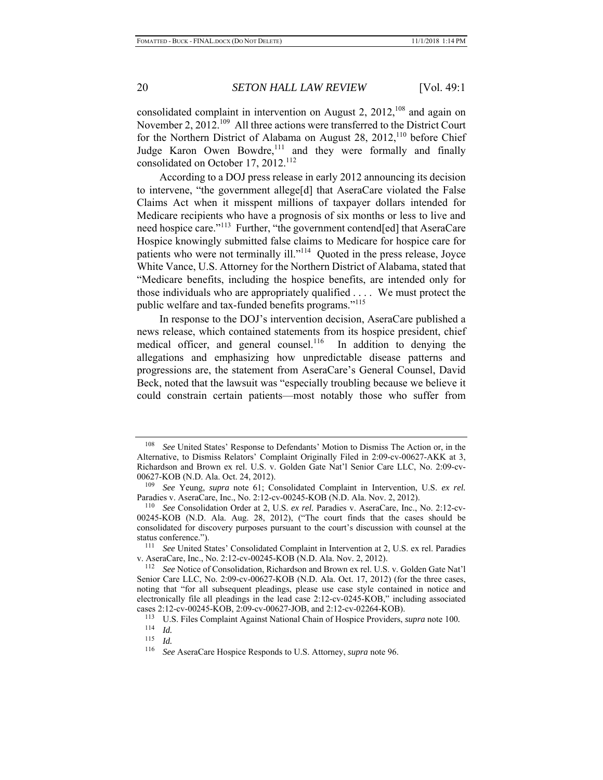consolidated complaint in intervention on August 2,  $2012$ ,  $^{108}$  and again on November 2, 2012.<sup>109</sup> All three actions were transferred to the District Court for the Northern District of Alabama on August 28, 2012,<sup>110</sup> before Chief Judge Karon Owen Bowdre,<sup>111</sup> and they were formally and finally consolidated on October 17, 2012.<sup>112</sup>

According to a DOJ press release in early 2012 announcing its decision to intervene, "the government allege[d] that AseraCare violated the False Claims Act when it misspent millions of taxpayer dollars intended for Medicare recipients who have a prognosis of six months or less to live and need hospice care."<sup>113</sup> Further, "the government contend[ed] that AseraCare Hospice knowingly submitted false claims to Medicare for hospice care for patients who were not terminally ill."<sup>114</sup> Quoted in the press release, Joyce White Vance, U.S. Attorney for the Northern District of Alabama, stated that "Medicare benefits, including the hospice benefits, are intended only for those individuals who are appropriately qualified . . . . We must protect the public welfare and tax-funded benefits programs."<sup>115</sup>

In response to the DOJ's intervention decision, AseraCare published a news release, which contained statements from its hospice president, chief medical officer, and general counsel.<sup>116</sup> In addition to denying the allegations and emphasizing how unpredictable disease patterns and progressions are, the statement from AseraCare's General Counsel, David Beck, noted that the lawsuit was "especially troubling because we believe it could constrain certain patients—most notably those who suffer from

<sup>108</sup> *See* United States' Response to Defendants' Motion to Dismiss The Action or, in the Alternative, to Dismiss Relators' Complaint Originally Filed in 2:09-cv-00627-AKK at 3, Richardson and Brown ex rel. U.S. v. Golden Gate Nat'l Senior Care LLC, No. 2:09-cv-00627-KOB (N.D. Ala. Oct. 24, 2012).

<sup>109</sup> *See* Yeung, *supra* note 61; Consolidated Complaint in Intervention, U.S. *ex rel.* Paradies v. AseraCare, Inc., No. 2:12-cv-00245-KOB (N.D. Ala. Nov. 2, 2012).

<sup>110</sup> *See* Consolidation Order at 2, U.S. *ex rel.* Paradies v. AseraCare, Inc., No. 2:12-cv-00245-KOB (N.D. Ala. Aug. 28, 2012), ("The court finds that the cases should be consolidated for discovery purposes pursuant to the court's discussion with counsel at the status conference."). 111 *See* United States' Consolidated Complaint in Intervention at 2, U.S. ex rel. Paradies

v. AseraCare, Inc., No. 2:12-cv-00245-KOB (N.D. Ala. Nov. 2, 2012). 112 *See* Notice of Consolidation, Richardson and Brown ex rel. U.S. v. Golden Gate Nat'l

Senior Care LLC, No. 2:09-cv-00627-KOB (N.D. Ala. Oct. 17, 2012) (for the three cases, noting that "for all subsequent pleadings, please use case style contained in notice and electronically file all pleadings in the lead case 2:12-cv-0245-KOB," including associated cases 2:12-cv-00245-KOB, 2:09-cv-00627-JOB, and 2:12-cv-02264-KOB).

<sup>113</sup> U.S. Files Complaint Against National Chain of Hospice Providers, *supra* note 100*.* 

 $\frac{114}{115}$  *Id.* 

 $\frac{115}{116}$  *Id.* 

<sup>116</sup> *See* AseraCare Hospice Responds to U.S. Attorney, *supra* note 96.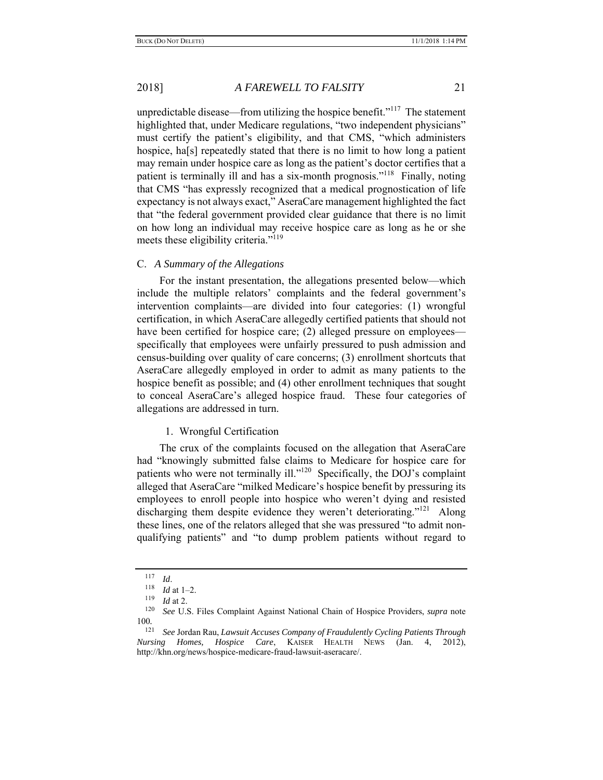unpredictable disease—from utilizing the hospice benefit."<sup>117</sup> The statement highlighted that, under Medicare regulations, "two independent physicians" must certify the patient's eligibility, and that CMS, "which administers hospice, ha<sup>[s]</sup> repeatedly stated that there is no limit to how long a patient may remain under hospice care as long as the patient's doctor certifies that a patient is terminally ill and has a six-month prognosis."118 Finally, noting that CMS "has expressly recognized that a medical prognostication of life expectancy is not always exact," AseraCare management highlighted the fact that "the federal government provided clear guidance that there is no limit on how long an individual may receive hospice care as long as he or she meets these eligibility criteria."<sup>119</sup>

#### C. *A Summary of the Allegations*

For the instant presentation, the allegations presented below—which include the multiple relators' complaints and the federal government's intervention complaints—are divided into four categories: (1) wrongful certification, in which AseraCare allegedly certified patients that should not have been certified for hospice care; (2) alleged pressure on employees specifically that employees were unfairly pressured to push admission and census-building over quality of care concerns; (3) enrollment shortcuts that AseraCare allegedly employed in order to admit as many patients to the hospice benefit as possible; and (4) other enrollment techniques that sought to conceal AseraCare's alleged hospice fraud. These four categories of allegations are addressed in turn.

### 1. Wrongful Certification

The crux of the complaints focused on the allegation that AseraCare had "knowingly submitted false claims to Medicare for hospice care for patients who were not terminally ill."<sup>120</sup> Specifically, the DOJ's complaint alleged that AseraCare "milked Medicare's hospice benefit by pressuring its employees to enroll people into hospice who weren't dying and resisted discharging them despite evidence they weren't deteriorating."<sup>121</sup> Along these lines, one of the relators alleged that she was pressured "to admit nonqualifying patients" and "to dump problem patients without regard to

 $\frac{117}{118}$  *Id.* 

*Id* at 1–2.

 $\frac{119}{120}$  *Id* at 2.

<sup>120</sup> *See* U.S. Files Complaint Against National Chain of Hospice Providers, *supra* note  $\frac{100}{121}$ 

<sup>121</sup> *See* Jordan Rau, *Lawsuit Accuses Company of Fraudulently Cycling Patients Through Nursing Homes, Hospice Care*, KAISER HEALTH NEWS (Jan. 4, 2012), http://khn.org/news/hospice-medicare-fraud-lawsuit-aseracare/.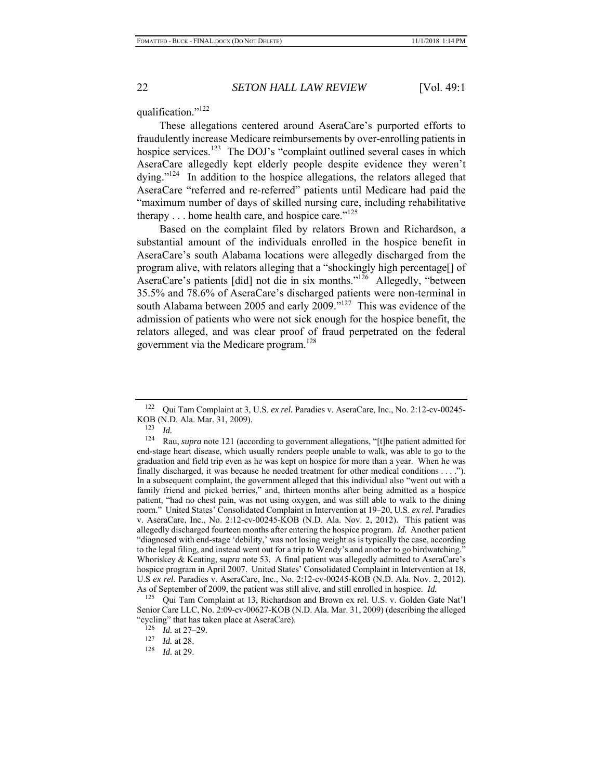#### qualification."122

These allegations centered around AseraCare's purported efforts to fraudulently increase Medicare reimbursements by over-enrolling patients in hospice services.<sup>123</sup> The DOJ's "complaint outlined several cases in which AseraCare allegedly kept elderly people despite evidence they weren't dying."<sup>124</sup> In addition to the hospice allegations, the relators alleged that AseraCare "referred and re-referred" patients until Medicare had paid the "maximum number of days of skilled nursing care, including rehabilitative therapy  $\dots$  home health care, and hospice care."<sup>125</sup>

Based on the complaint filed by relators Brown and Richardson, a substantial amount of the individuals enrolled in the hospice benefit in AseraCare's south Alabama locations were allegedly discharged from the program alive, with relators alleging that a "shockingly high percentage[] of AseraCare's patients [did] not die in six months."126 Allegedly, "between 35.5% and 78.6% of AseraCare's discharged patients were non-terminal in south Alabama between 2005 and early 2009. $v^{127}$  This was evidence of the admission of patients who were not sick enough for the hospice benefit, the relators alleged, and was clear proof of fraud perpetrated on the federal government via the Medicare program.<sup>128</sup>

<sup>122</sup> Qui Tam Complaint at 3, U.S. *ex rel.* Paradies v. AseraCare, Inc., No. 2:12-cv-00245- KOB (N.D. Ala. Mar. 31, 2009).

<sup>123</sup> *Id.* 

<sup>124</sup> Rau, *supra* note 121 (according to government allegations, "[t]he patient admitted for end-stage heart disease, which usually renders people unable to walk, was able to go to the graduation and field trip even as he was kept on hospice for more than a year. When he was finally discharged, it was because he needed treatment for other medical conditions . . . ."). In a subsequent complaint, the government alleged that this individual also "went out with a family friend and picked berries," and, thirteen months after being admitted as a hospice patient, "had no chest pain, was not using oxygen, and was still able to walk to the dining room." United States' Consolidated Complaint in Intervention at 19–20, U.S. *ex rel.* Paradies v. AseraCare, Inc., No. 2:12-cv-00245-KOB (N.D. Ala. Nov. 2, 2012). This patient was allegedly discharged fourteen months after entering the hospice program. *Id.* Another patient "diagnosed with end-stage 'debility,' was not losing weight as is typically the case, according to the legal filing, and instead went out for a trip to Wendy's and another to go birdwatching." Whoriskey & Keating, *supra* note 53. A final patient was allegedly admitted to AseraCare's hospice program in April 2007. United States' Consolidated Complaint in Intervention at 18, U.S *ex rel.* Paradies v. AseraCare, Inc., No. 2:12-cv-00245-KOB (N.D. Ala. Nov. 2, 2012). As of September of 2009, the patient was still alive, and still enrolled in hospice. *Id.* 

<sup>125</sup> Qui Tam Complaint at 13, Richardson and Brown ex rel. U.S. v. Golden Gate Nat'l Senior Care LLC, No. 2:09-cv-00627-KOB (N.D. Ala. Mar. 31, 2009) (describing the alleged "cycling" that has taken place at AseraCare).

 $\frac{126}{127}$  *Id.* at 27–29.

 $\frac{127}{128}$  *Id.* at 28.

*Id.* at 29.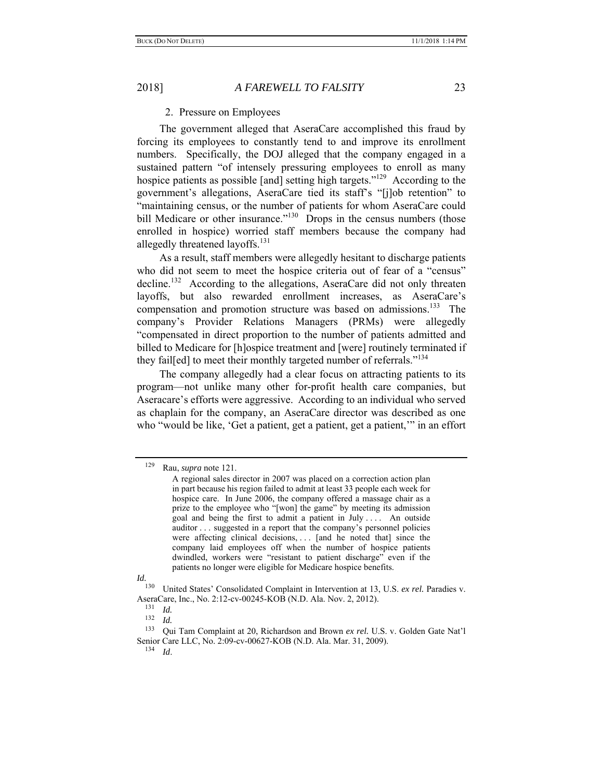## 2. Pressure on Employees

The government alleged that AseraCare accomplished this fraud by forcing its employees to constantly tend to and improve its enrollment numbers. Specifically, the DOJ alleged that the company engaged in a sustained pattern "of intensely pressuring employees to enroll as many hospice patients as possible [and] setting high targets."<sup>129</sup> According to the government's allegations, AseraCare tied its staff's "[j]ob retention" to "maintaining census, or the number of patients for whom AseraCare could bill Medicare or other insurance."<sup>130</sup> Drops in the census numbers (those enrolled in hospice) worried staff members because the company had allegedly threatened layoffs.<sup>131</sup>

As a result, staff members were allegedly hesitant to discharge patients who did not seem to meet the hospice criteria out of fear of a "census" decline.<sup>132</sup> According to the allegations, AseraCare did not only threaten layoffs, but also rewarded enrollment increases, as AseraCare's compensation and promotion structure was based on admissions.<sup>133</sup> The company's Provider Relations Managers (PRMs) were allegedly "compensated in direct proportion to the number of patients admitted and billed to Medicare for [h]ospice treatment and [were] routinely terminated if they fail[ed] to meet their monthly targeted number of referrals."<sup>134</sup>

The company allegedly had a clear focus on attracting patients to its program—not unlike many other for-profit health care companies, but Aseracare's efforts were aggressive. According to an individual who served as chaplain for the company, an AseraCare director was described as one who "would be like, 'Get a patient, get a patient, get a patient," in an effort

<sup>129</sup> Rau, *supra* note 121.

A regional sales director in 2007 was placed on a correction action plan in part because his region failed to admit at least 33 people each week for hospice care. In June 2006, the company offered a massage chair as a prize to the employee who "[won] the game" by meeting its admission goal and being the first to admit a patient in July . . . . An outside auditor . . . suggested in a report that the company's personnel policies were affecting clinical decisions,  $\ldots$  [and he noted that] since the company laid employees off when the number of hospice patients dwindled, workers were "resistant to patient discharge" even if the patients no longer were eligible for Medicare hospice benefits.

*Id.*

<sup>130</sup> United States' Consolidated Complaint in Intervention at 13, U.S. *ex rel.* Paradies v. AseraCare, Inc., No. 2:12-cv-00245-KOB (N.D. Ala. Nov. 2, 2012).<br><sup>131</sup> *Id.*<br><sup>132</sup> *Id* 

 $\frac{132}{133}$  *Id.* 

<sup>133</sup> Qui Tam Complaint at 20, Richardson and Brown *ex rel.* U.S. v. Golden Gate Nat'l Senior Care LLC, No. 2:09-cv-00627-KOB (N.D. Ala. Mar. 31, 2009).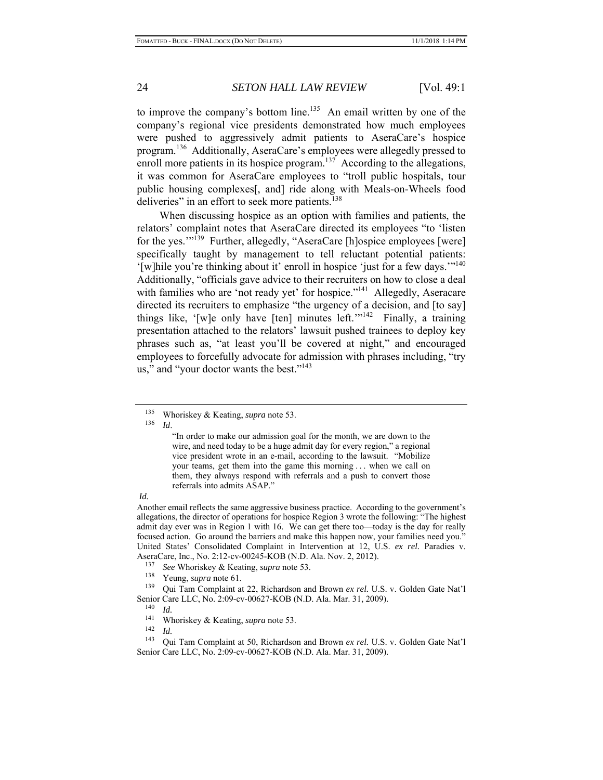to improve the company's bottom line.<sup>135</sup> An email written by one of the company's regional vice presidents demonstrated how much employees were pushed to aggressively admit patients to AseraCare's hospice program.136 Additionally, AseraCare's employees were allegedly pressed to enroll more patients in its hospice program.<sup>137</sup> According to the allegations, it was common for AseraCare employees to "troll public hospitals, tour public housing complexes[, and] ride along with Meals-on-Wheels food deliveries" in an effort to seek more patients.<sup>138</sup>

When discussing hospice as an option with families and patients, the relators' complaint notes that AseraCare directed its employees "to 'listen for the yes."<sup>139</sup> Further, allegedly, "AseraCare [h]ospice employees [were] specifically taught by management to tell reluctant potential patients: '[w]hile you're thinking about it' enroll in hospice 'just for a few days.'"<sup>140</sup> Additionally, "officials gave advice to their recruiters on how to close a deal with families who are 'not ready yet' for hospice."<sup>141</sup> Allegedly, Aseracare directed its recruiters to emphasize "the urgency of a decision, and [to say] things like, '[w]e only have [ten] minutes left.'"<sup>142</sup> Finally, a training presentation attached to the relators' lawsuit pushed trainees to deploy key phrases such as, "at least you'll be covered at night," and encouraged employees to forcefully advocate for admission with phrases including, "try us," and "your doctor wants the best."<sup>143</sup>

136 *Id*.

"In order to make our admission goal for the month, we are down to the wire, and need today to be a huge admit day for every region," a regional vice president wrote in an e-mail, according to the lawsuit. "Mobilize your teams, get them into the game this morning . . . when we call on them, they always respond with referrals and a push to convert those referrals into admits ASAP."

#### *Id.*

Another email reflects the same aggressive business practice. According to the government's allegations, the director of operations for hospice Region 3 wrote the following: "The highest admit day ever was in Region 1 with 16. We can get there too—today is the day for really focused action. Go around the barriers and make this happen now, your families need you." United States' Consolidated Complaint in Intervention at 12, U.S. *ex rel.* Paradies v. AseraCare, Inc., No. 2:12-cv-00245-KOB (N.D. Ala. Nov. 2, 2012). 137 *See* Whoriskey & Keating, *supra* note 53.

- 
- Yeung, *supra* note 61.

139 Qui Tam Complaint at 22, Richardson and Brown *ex rel.* U.S. v. Golden Gate Nat'l Senior Care LLC, No. 2:09-cv-00627-KOB (N.D. Ala. Mar. 31, 2009).

<sup>135</sup> Whoriskey & Keating, *supra* note 53.

 $\frac{140}{141}$  *Id.* 

<sup>141</sup> Whoriskey & Keating, *supra* note 53. 142 *Id.*

<sup>143</sup> Qui Tam Complaint at 50, Richardson and Brown *ex rel.* U.S. v. Golden Gate Nat'l Senior Care LLC, No. 2:09-cv-00627-KOB (N.D. Ala. Mar. 31, 2009).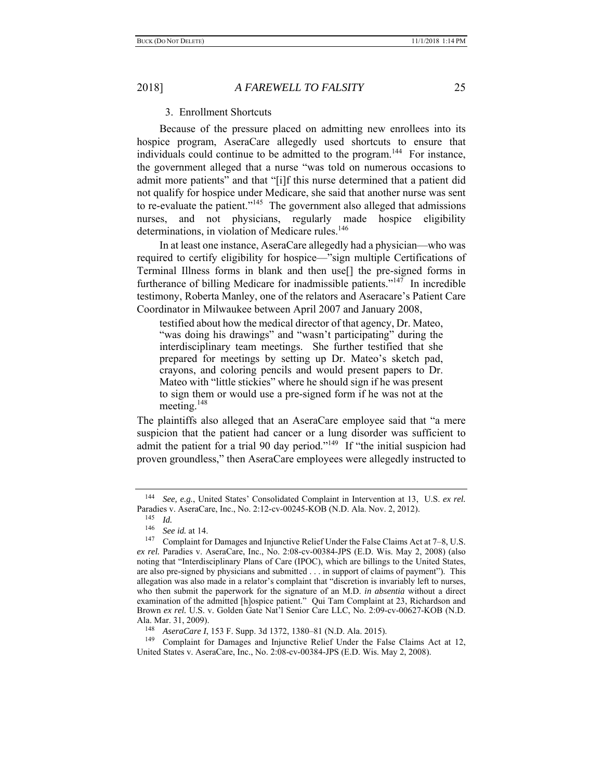## 3. Enrollment Shortcuts

Because of the pressure placed on admitting new enrollees into its hospice program, AseraCare allegedly used shortcuts to ensure that individuals could continue to be admitted to the program.<sup>144</sup> For instance, the government alleged that a nurse "was told on numerous occasions to admit more patients" and that "[i]f this nurse determined that a patient did not qualify for hospice under Medicare, she said that another nurse was sent to re-evaluate the patient."<sup>145</sup> The government also alleged that admissions nurses, and not physicians, regularly made hospice eligibility determinations, in violation of Medicare rules.<sup>146</sup>

In at least one instance, AseraCare allegedly had a physician—who was required to certify eligibility for hospice—"sign multiple Certifications of Terminal Illness forms in blank and then use[] the pre-signed forms in furtherance of billing Medicare for inadmissible patients."<sup>147</sup> In incredible testimony, Roberta Manley, one of the relators and Aseracare's Patient Care Coordinator in Milwaukee between April 2007 and January 2008,

testified about how the medical director of that agency, Dr. Mateo, "was doing his drawings" and "wasn't participating" during the interdisciplinary team meetings. She further testified that she prepared for meetings by setting up Dr. Mateo's sketch pad, crayons, and coloring pencils and would present papers to Dr. Mateo with "little stickies" where he should sign if he was present to sign them or would use a pre-signed form if he was not at the meeting.<sup>148</sup>

The plaintiffs also alleged that an AseraCare employee said that "a mere suspicion that the patient had cancer or a lung disorder was sufficient to admit the patient for a trial 90 day period."<sup>149</sup> If "the initial suspicion had proven groundless," then AseraCare employees were allegedly instructed to

<sup>144</sup> *See, e.g.*, United States' Consolidated Complaint in Intervention at 13, U.S. *ex rel.* Paradies v. AseraCare, Inc., No. 2:12-cv-00245-KOB (N.D. Ala. Nov. 2, 2012).

 $\frac{145}{146}$  *Id.* 

<sup>146</sup> *See id.* at 14.

<sup>&</sup>lt;sup>147</sup> Complaint for Damages and Injunctive Relief Under the False Claims Act at  $7-8$ , U.S. *ex rel.* Paradies v. AseraCare, Inc., No. 2:08-cv-00384-JPS (E.D. Wis. May 2, 2008) (also noting that "Interdisciplinary Plans of Care (IPOC), which are billings to the United States, are also pre-signed by physicians and submitted . . . in support of claims of payment"). This allegation was also made in a relator's complaint that "discretion is invariably left to nurses, who then submit the paperwork for the signature of an M.D. *in absentia* without a direct examination of the admitted [h]ospice patient." Qui Tam Complaint at 23, Richardson and Brown *ex rel.* U.S. v. Golden Gate Nat'l Senior Care LLC, No. 2:09-cv-00627-KOB (N.D. Ala. Mar. 31, 2009).

<sup>148</sup> *AseraCare I*, 153 F. Supp. 3d 1372, 1380–81 (N.D. Ala. 2015).

<sup>&</sup>lt;sup>149</sup> Complaint for Damages and Injunctive Relief Under the False Claims Act at 12, United States v. AseraCare, Inc., No. 2:08-cv-00384-JPS (E.D. Wis. May 2, 2008).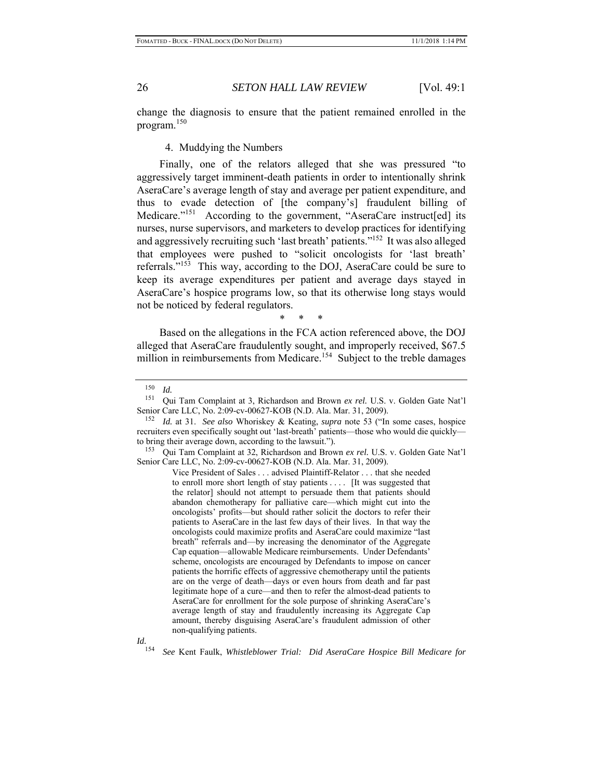change the diagnosis to ensure that the patient remained enrolled in the program.<sup>150</sup>

4. Muddying the Numbers

Finally, one of the relators alleged that she was pressured "to aggressively target imminent-death patients in order to intentionally shrink AseraCare's average length of stay and average per patient expenditure, and thus to evade detection of [the company's] fraudulent billing of Medicare."<sup>151</sup> According to the government, "AseraCare instruct[ed] its nurses, nurse supervisors, and marketers to develop practices for identifying and aggressively recruiting such 'last breath' patients."152 It was also alleged that employees were pushed to "solicit oncologists for 'last breath' referrals."153 This way, according to the DOJ, AseraCare could be sure to keep its average expenditures per patient and average days stayed in AseraCare's hospice programs low, so that its otherwise long stays would not be noticed by federal regulators.

\* \* \*

Based on the allegations in the FCA action referenced above, the DOJ alleged that AseraCare fraudulently sought, and improperly received, \$67.5 million in reimbursements from Medicare.<sup>154</sup> Subject to the treble damages

Vice President of Sales . . . advised Plaintiff-Relator . . . that she needed to enroll more short length of stay patients . . . . [It was suggested that the relator] should not attempt to persuade them that patients should abandon chemotherapy for palliative care—which might cut into the oncologists' profits—but should rather solicit the doctors to refer their patients to AseraCare in the last few days of their lives. In that way the oncologists could maximize profits and AseraCare could maximize "last breath" referrals and—by increasing the denominator of the Aggregate Cap equation—allowable Medicare reimbursements. Under Defendants' scheme, oncologists are encouraged by Defendants to impose on cancer patients the horrific effects of aggressive chemotherapy until the patients are on the verge of death—days or even hours from death and far past legitimate hope of a cure—and then to refer the almost-dead patients to AseraCare for enrollment for the sole purpose of shrinking AseraCare's average length of stay and fraudulently increasing its Aggregate Cap amount, thereby disguising AseraCare's fraudulent admission of other non-qualifying patients.

 $\frac{150}{151}$  *Id.* 

Qui Tam Complaint at 3, Richardson and Brown ex rel. U.S. v. Golden Gate Nat'l Senior Care LLC, No. 2:09-cv-00627-KOB (N.D. Ala. Mar. 31, 2009).

<sup>152</sup> *Id.* at 31. *See also* Whoriskey & Keating, *supra* note 53 ("In some cases, hospice recruiters even specifically sought out 'last-breath' patients—those who would die quickly to bring their average down, according to the lawsuit.").

<sup>153</sup> Qui Tam Complaint at 32, Richardson and Brown *ex rel.* U.S. v. Golden Gate Nat'l Senior Care LLC, No. 2:09-cv-00627-KOB (N.D. Ala. Mar. 31, 2009).

<sup>154</sup> *See* Kent Faulk, *Whistleblower Trial: Did AseraCare Hospice Bill Medicare for*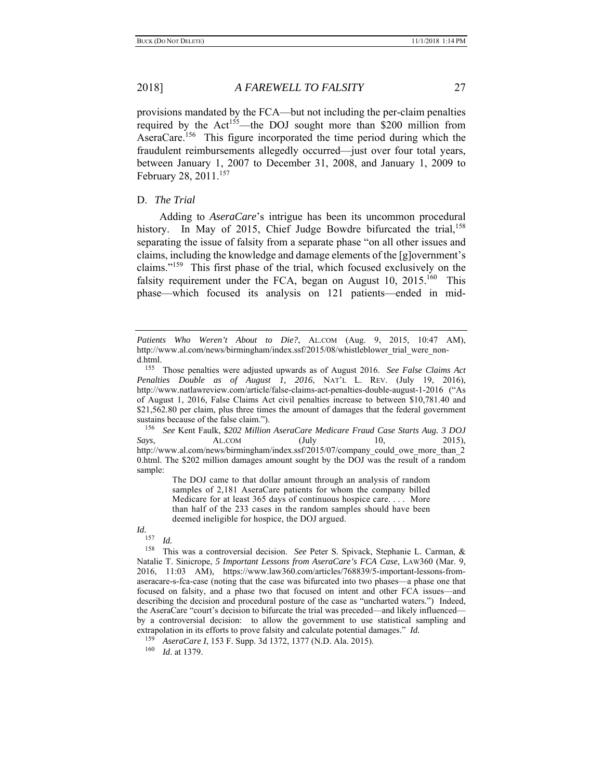provisions mandated by the FCA—but not including the per-claim penalties required by the Act<sup>155</sup>—the DOJ sought more than \$200 million from AseraCare.<sup>156</sup> This figure incorporated the time period during which the fraudulent reimbursements allegedly occurred—just over four total years, between January 1, 2007 to December 31, 2008, and January 1, 2009 to February 28, 2011.<sup>157</sup>

### D. *The Trial*

Adding to *AseraCare*'s intrigue has been its uncommon procedural history. In May of 2015, Chief Judge Bowdre bifurcated the trial,  $158$ separating the issue of falsity from a separate phase "on all other issues and claims, including the knowledge and damage elements of the [g]overnment's claims."159 This first phase of the trial, which focused exclusively on the falsity requirement under the FCA, began on August 10,  $2015^{160}$  This phase—which focused its analysis on 121 patients—ended in mid-

156 *See* Kent Faulk, *\$202 Million AseraCare Medicare Fraud Case Starts Aug. 3 DOJ Says*, **AL.COM** (July 10, 2015), http://www.al.com/news/birmingham/index.ssf/2015/07/company\_could\_owe\_more\_than\_2 0.html. The \$202 million damages amount sought by the DOJ was the result of a random sample:

> The DOJ came to that dollar amount through an analysis of random samples of 2,181 AseraCare patients for whom the company billed Medicare for at least 365 days of continuous hospice care. . . . More than half of the 233 cases in the random samples should have been deemed ineligible for hospice, the DOJ argued.

*Id.*

 $\frac{157}{158}$  *Id.* 

This was a controversial decision. *See* Peter S. Spivack, Stephanie L. Carman, & Natalie T. Sinicrope, *5 Important Lessons from AseraCare's FCA Case*, LAW360 (Mar. 9, 2016, 11:03 AM), https://www.law360.com/articles/768839/5-important-lessons-fromaseracare-s-fca-case (noting that the case was bifurcated into two phases—a phase one that focused on falsity, and a phase two that focused on intent and other FCA issues—and describing the decision and procedural posture of the case as "uncharted waters.") Indeed, the AseraCare "court's decision to bifurcate the trial was preceded—and likely influenced by a controversial decision: to allow the government to use statistical sampling and extrapolation in its efforts to prove falsity and calculate potential damages." *Id.*  $^{159}$  *A gaze Cane I*  $^{152}$  F Supp. 24.1272. (N D, Ale. 2015)

*Patients Who Weren't About to Die?*, AL.COM (Aug. 9, 2015, 10:47 AM), http://www.al.com/news/birmingham/index.ssf/2015/08/whistleblower\_trial\_were\_nond.html.

<sup>155</sup> Those penalties were adjusted upwards as of August 2016. *See False Claims Act Penalties Double as of August 1, 2016*, NAT'L L. REV. (July 19, 2016), http://www.natlawreview.com/article/false-claims-act-penalties-double-august-1-2016 ("As of August 1, 2016, False Claims Act civil penalties increase to between \$10,781.40 and \$21,562.80 per claim, plus three times the amount of damages that the federal government sustains because of the false claim.").

<sup>159</sup> *AseraCare I*, 153 F. Supp. 3d 1372, 1377 (N.D. Ala. 2015).

<sup>160</sup> *Id*. at 1379.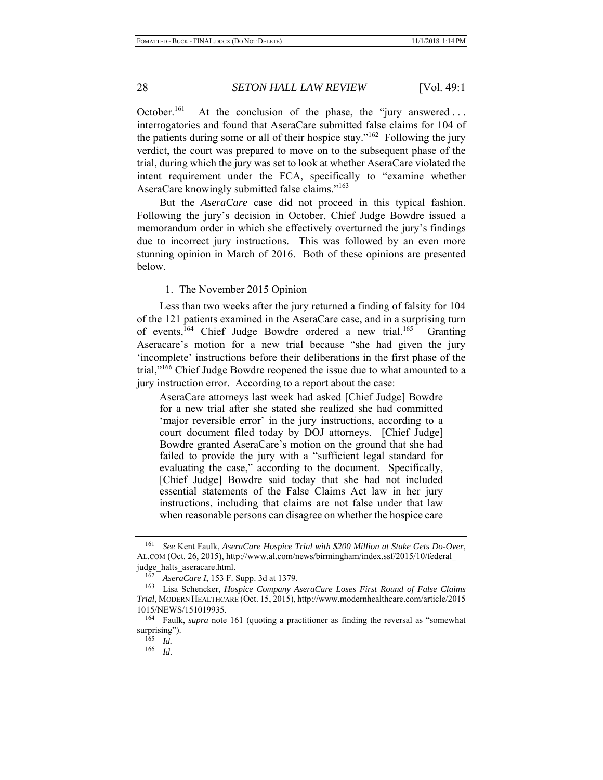October.<sup>161</sup> At the conclusion of the phase, the "jury answered... interrogatories and found that AseraCare submitted false claims for 104 of the patients during some or all of their hospice stay."<sup>162</sup> Following the jury verdict, the court was prepared to move on to the subsequent phase of the trial, during which the jury was set to look at whether AseraCare violated the intent requirement under the FCA, specifically to "examine whether AseraCare knowingly submitted false claims."<sup>163</sup>

But the *AseraCare* case did not proceed in this typical fashion. Following the jury's decision in October, Chief Judge Bowdre issued a memorandum order in which she effectively overturned the jury's findings due to incorrect jury instructions. This was followed by an even more stunning opinion in March of 2016. Both of these opinions are presented below.

## 1. The November 2015 Opinion

Less than two weeks after the jury returned a finding of falsity for 104 of the 121 patients examined in the AseraCare case, and in a surprising turn of events,<sup>164</sup> Chief Judge Bowdre ordered a new trial.<sup>165</sup> Granting Aseracare's motion for a new trial because "she had given the jury 'incomplete' instructions before their deliberations in the first phase of the trial,"<sup>166</sup> Chief Judge Bowdre reopened the issue due to what amounted to a jury instruction error. According to a report about the case:

AseraCare attorneys last week had asked [Chief Judge] Bowdre for a new trial after she stated she realized she had committed 'major reversible error' in the jury instructions, according to a court document filed today by DOJ attorneys. [Chief Judge] Bowdre granted AseraCare's motion on the ground that she had failed to provide the jury with a "sufficient legal standard for evaluating the case," according to the document. Specifically, [Chief Judge] Bowdre said today that she had not included essential statements of the False Claims Act law in her jury instructions, including that claims are not false under that law when reasonable persons can disagree on whether the hospice care

<sup>161</sup> *See* Kent Faulk, *AseraCare Hospice Trial with \$200 Million at Stake Gets Do-Over*, AL.COM (Oct. 26, 2015), http://www.al.com/news/birmingham/index.ssf/2015/10/federal\_ judge halts aseracare.html.

<sup>162</sup> *AseraCare I*, 153 F. Supp. 3d at 1379.

<sup>163</sup> Lisa Schencker, *Hospice Company AseraCare Loses First Round of False Claims Trial*, MODERN HEALTHCARE (Oct. 15, 2015), http://www.modernhealthcare.com/article/2015 1015/NEWS/151019935.

<sup>164</sup> Faulk, *supra* note 161 (quoting a practitioner as finding the reversal as "somewhat surprising").

<sup>165</sup> *Id.* 

<sup>166</sup> *Id.*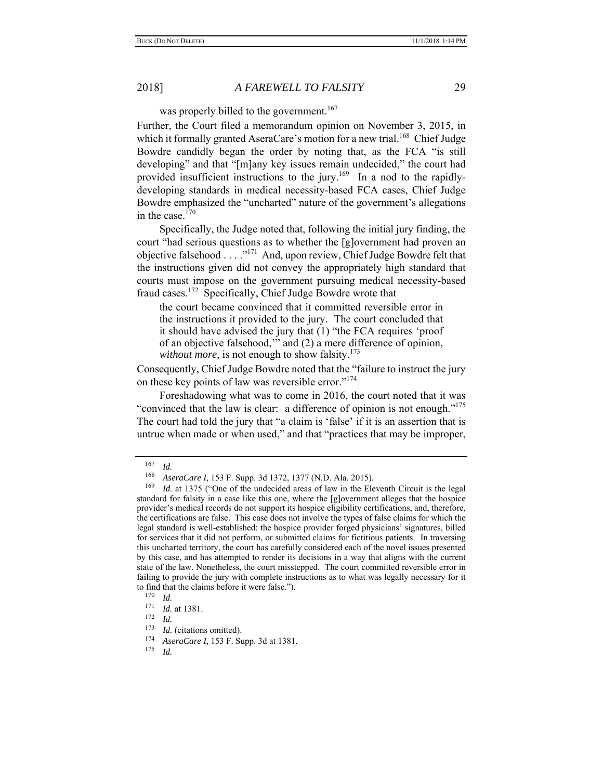was properly billed to the government.<sup>167</sup>

Further, the Court filed a memorandum opinion on November 3, 2015, in which it formally granted AseraCare's motion for a new trial.<sup>168</sup> Chief Judge Bowdre candidly began the order by noting that, as the FCA "is still developing" and that "[m]any key issues remain undecided," the court had provided insufficient instructions to the jury.<sup>169</sup> In a nod to the rapidlydeveloping standards in medical necessity-based FCA cases, Chief Judge Bowdre emphasized the "uncharted" nature of the government's allegations in the case. $170$ 

Specifically, the Judge noted that, following the initial jury finding, the court "had serious questions as to whether the [g]overnment had proven an objective falsehood . . . ."171 And, upon review, Chief Judge Bowdre felt that the instructions given did not convey the appropriately high standard that courts must impose on the government pursuing medical necessity-based fraud cases.172 Specifically, Chief Judge Bowdre wrote that

the court became convinced that it committed reversible error in the instructions it provided to the jury. The court concluded that it should have advised the jury that (1) "the FCA requires 'proof of an objective falsehood,'" and (2) a mere difference of opinion, *without more*, is not enough to show falsity.<sup>173</sup>

Consequently, Chief Judge Bowdre noted that the "failure to instruct the jury on these key points of law was reversible error."<sup>174</sup>

Foreshadowing what was to come in 2016, the court noted that it was "convinced that the law is clear: a difference of opinion is not enough."<sup>175</sup> The court had told the jury that "a claim is 'false' if it is an assertion that is untrue when made or when used," and that "practices that may be improper,

 $\frac{167}{168}$  *Id.* 

<sup>&</sup>lt;sup>168</sup> *AseraCare I*, 153 F. Supp. 3d 1372, 1377 (N.D. Ala. 2015).<br><sup>169</sup> *Id.* at 1375 ("One of the undecided areas of law in the Ele

*Id.* at 1375 ("One of the undecided areas of law in the Eleventh Circuit is the legal standard for falsity in a case like this one, where the [g]overnment alleges that the hospice provider's medical records do not support its hospice eligibility certifications, and, therefore, the certifications are false. This case does not involve the types of false claims for which the legal standard is well-established: the hospice provider forged physicians' signatures, billed for services that it did not perform, or submitted claims for fictitious patients. In traversing this uncharted territory, the court has carefully considered each of the novel issues presented by this case, and has attempted to render its decisions in a way that aligns with the current state of the law. Nonetheless, the court misstepped. The court committed reversible error in failing to provide the jury with complete instructions as to what was legally necessary for it to find that the claims before it were false.").

<sup>170</sup> *Id.* 

<sup>171</sup> *Id.* at 1381.

<sup>172</sup> *Id.* 

<sup>&</sup>lt;sup>173</sup> *Id.* (citations omitted).<br><sup>174</sup> *AssocCare I* 153 E Sy

<sup>&</sup>lt;sup>174</sup> *AseraCare I*, 153 F. Supp. 3d at 1381.<br><sup>175</sup> *Id* 

*Id.*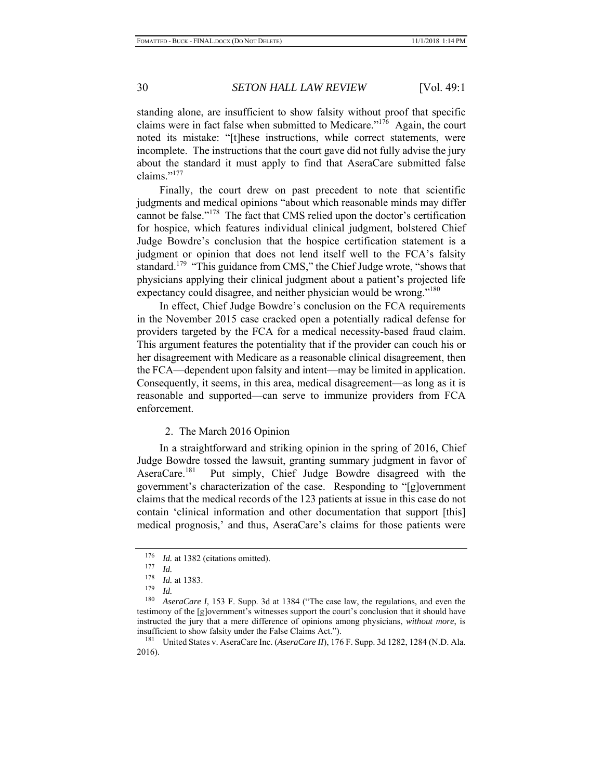standing alone, are insufficient to show falsity without proof that specific claims were in fact false when submitted to Medicare."<sup>176</sup> Again, the court noted its mistake: "[t]hese instructions, while correct statements, were incomplete. The instructions that the court gave did not fully advise the jury about the standard it must apply to find that AseraCare submitted false claims."<sup>177</sup>

Finally, the court drew on past precedent to note that scientific judgments and medical opinions "about which reasonable minds may differ cannot be false."178 The fact that CMS relied upon the doctor's certification for hospice, which features individual clinical judgment, bolstered Chief Judge Bowdre's conclusion that the hospice certification statement is a judgment or opinion that does not lend itself well to the FCA's falsity standard.<sup>179</sup> "This guidance from CMS," the Chief Judge wrote, "shows that physicians applying their clinical judgment about a patient's projected life expectancy could disagree, and neither physician would be wrong."<sup>180</sup>

In effect, Chief Judge Bowdre's conclusion on the FCA requirements in the November 2015 case cracked open a potentially radical defense for providers targeted by the FCA for a medical necessity-based fraud claim. This argument features the potentiality that if the provider can couch his or her disagreement with Medicare as a reasonable clinical disagreement, then the FCA—dependent upon falsity and intent—may be limited in application. Consequently, it seems, in this area, medical disagreement—as long as it is reasonable and supported—can serve to immunize providers from FCA enforcement.

#### 2. The March 2016 Opinion

In a straightforward and striking opinion in the spring of 2016, Chief Judge Bowdre tossed the lawsuit, granting summary judgment in favor of AseraCare.181 Put simply, Chief Judge Bowdre disagreed with the government's characterization of the case. Responding to "[g]overnment claims that the medical records of the 123 patients at issue in this case do not contain 'clinical information and other documentation that support [this] medical prognosis,' and thus, AseraCare's claims for those patients were

<sup>&</sup>lt;sup>176</sup> *Id.* at 1382 (citations omitted).

 $\frac{177}{178}$  *Id.* 

 $\frac{178}{179}$  *Id.* at 1383.

 $\frac{179}{180}$  *Id.* 

AseraCare I, 153 F. Supp. 3d at 1384 ("The case law, the regulations, and even the testimony of the [g]overnment's witnesses support the court's conclusion that it should have instructed the jury that a mere difference of opinions among physicians, *without more*, is insufficient to show falsity under the False Claims Act.").

<sup>181</sup> United States v. AseraCare Inc. (*AseraCare II*), 176 F. Supp. 3d 1282, 1284 (N.D. Ala. 2016).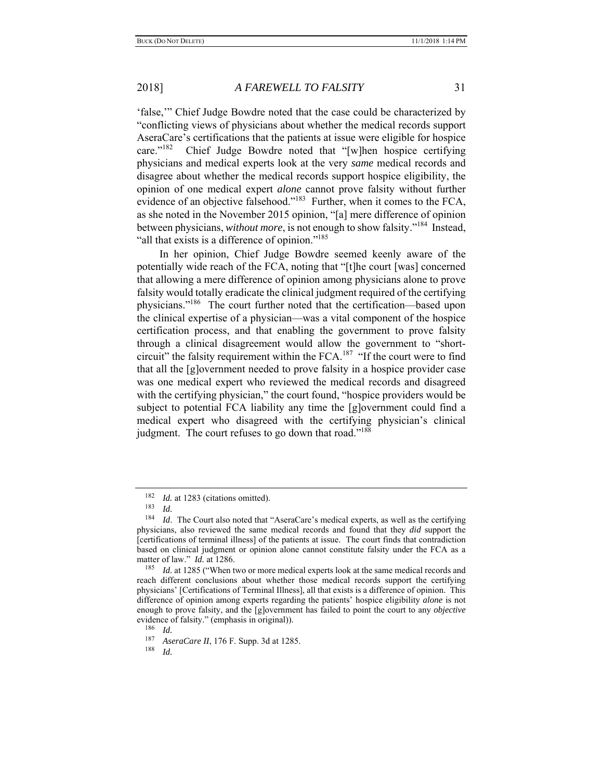'false,'" Chief Judge Bowdre noted that the case could be characterized by "conflicting views of physicians about whether the medical records support AseraCare's certifications that the patients at issue were eligible for hospice care."<sup>182</sup> Chief Judge Bowdre noted that "[w]hen hospice certifying physicians and medical experts look at the very *same* medical records and disagree about whether the medical records support hospice eligibility, the opinion of one medical expert *alone* cannot prove falsity without further evidence of an objective falsehood."<sup>183</sup> Further, when it comes to the FCA, as she noted in the November 2015 opinion, "[a] mere difference of opinion between physicians, *without more*, is not enough to show falsity."184 Instead, "all that exists is a difference of opinion."<sup>185</sup>

In her opinion, Chief Judge Bowdre seemed keenly aware of the potentially wide reach of the FCA, noting that "[t]he court [was] concerned that allowing a mere difference of opinion among physicians alone to prove falsity would totally eradicate the clinical judgment required of the certifying physicians."186 The court further noted that the certification—based upon the clinical expertise of a physician—was a vital component of the hospice certification process, and that enabling the government to prove falsity through a clinical disagreement would allow the government to "shortcircuit" the falsity requirement within the  $FCA$ <sup>187</sup> "If the court were to find that all the [g]overnment needed to prove falsity in a hospice provider case was one medical expert who reviewed the medical records and disagreed with the certifying physician," the court found, "hospice providers would be subject to potential FCA liability any time the [g]overnment could find a medical expert who disagreed with the certifying physician's clinical judgment. The court refuses to go down that road."<sup>188</sup>

<sup>&</sup>lt;sup>182</sup> *Id.* at 1283 (citations omitted).

 $\frac{183}{184}$  *Id.* 

*Id.* The Court also noted that "AseraCare's medical experts, as well as the certifying physicians, also reviewed the same medical records and found that they *did* support the [certifications of terminal illness] of the patients at issue. The court finds that contradiction based on clinical judgment or opinion alone cannot constitute falsity under the FCA as a matter of law." *Id.* at 1286.<br><sup>185</sup> *Id.* at 1285 ("When t

Id. at 1285 ("When two or more medical experts look at the same medical records and reach different conclusions about whether those medical records support the certifying physicians' [Certifications of Terminal Illness], all that exists is a difference of opinion. This difference of opinion among experts regarding the patients' hospice eligibility *alone* is not enough to prove falsity, and the [g]overnment has failed to point the court to any *objective* evidence of falsity." (emphasis in original)).<br> $\frac{186}{Id}$ 

<sup>&</sup>lt;sup>187</sup> *AseraCare II*, 176 F. Supp. 3d at 1285.<br><sup>188</sup> *Id* 

*Id.*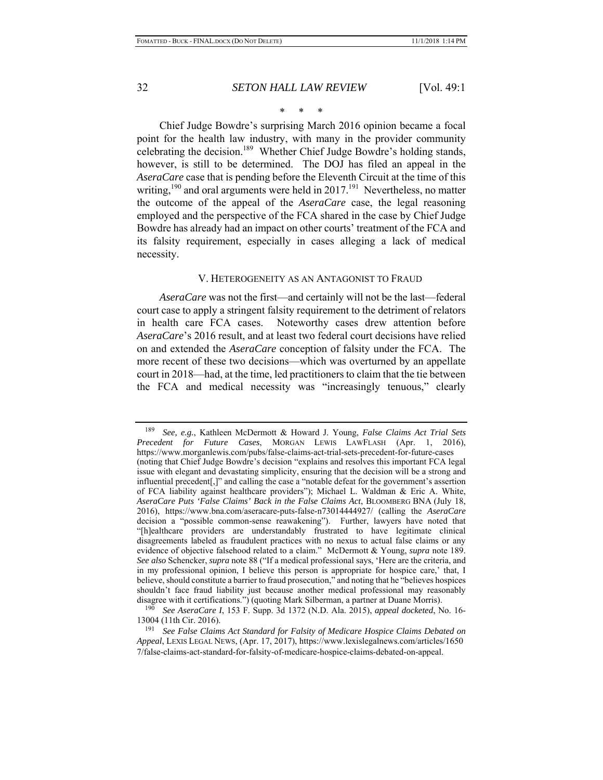## \* \* \*

Chief Judge Bowdre's surprising March 2016 opinion became a focal point for the health law industry, with many in the provider community celebrating the decision.<sup>189</sup> Whether Chief Judge Bowdre's holding stands, however, is still to be determined. The DOJ has filed an appeal in the *AseraCare* case that is pending before the Eleventh Circuit at the time of this writing,<sup>190</sup> and oral arguments were held in 2017.<sup>191</sup> Nevertheless, no matter the outcome of the appeal of the *AseraCare* case, the legal reasoning employed and the perspective of the FCA shared in the case by Chief Judge Bowdre has already had an impact on other courts' treatment of the FCA and its falsity requirement, especially in cases alleging a lack of medical necessity.

#### V. HETEROGENEITY AS AN ANTAGONIST TO FRAUD

*AseraCare* was not the first—and certainly will not be the last—federal court case to apply a stringent falsity requirement to the detriment of relators in health care FCA cases. Noteworthy cases drew attention before *AseraCare*'s 2016 result, and at least two federal court decisions have relied on and extended the *AseraCare* conception of falsity under the FCA. The more recent of these two decisions—which was overturned by an appellate court in 2018—had, at the time, led practitioners to claim that the tie between the FCA and medical necessity was "increasingly tenuous," clearly

<sup>189</sup> *See, e.g.*, Kathleen McDermott & Howard J. Young, *False Claims Act Trial Sets Precedent for Future Cases*, MORGAN LEWIS LAWFLASH (Apr. 1, 2016), https://www.morganlewis.com/pubs/false-claims-act-trial-sets-precedent-for-future-cases (noting that Chief Judge Bowdre's decision "explains and resolves this important FCA legal issue with elegant and devastating simplicity, ensuring that the decision will be a strong and influential precedent[,]" and calling the case a "notable defeat for the government's assertion of FCA liability against healthcare providers"); Michael L. Waldman & Eric A. White, *AseraCare Puts 'False Claims' Back in the False Claims Act*, BLOOMBERG BNA (July 18, 2016), https://www.bna.com/aseracare-puts-false-n73014444927/ (calling the *AseraCare*  decision a "possible common-sense reawakening"). Further, lawyers have noted that "[h]ealthcare providers are understandably frustrated to have legitimate clinical disagreements labeled as fraudulent practices with no nexus to actual false claims or any evidence of objective falsehood related to a claim." McDermott & Young, *supra* note 189. *See also* Schencker, *supra* note 88 ("If a medical professional says, 'Here are the criteria, and in my professional opinion, I believe this person is appropriate for hospice care,' that, I believe, should constitute a barrier to fraud prosecution," and noting that he "believes hospices shouldn't face fraud liability just because another medical professional may reasonably disagree with it certifications.") (quoting Mark Silberman, a partner at Duane Morris).

<sup>190</sup> *See AseraCare I*, 153 F. Supp. 3d 1372 (N.D. Ala. 2015), *appeal docketed*, No. 16- 13004 (11th Cir. 2016).

<sup>191</sup> *See False Claims Act Standard for Falsity of Medicare Hospice Claims Debated on Appeal*, LEXIS LEGAL NEWS, (Apr. 17, 2017), https://www.lexislegalnews.com/articles/1650 7/false-claims-act-standard-for-falsity-of-medicare-hospice-claims-debated-on-appeal.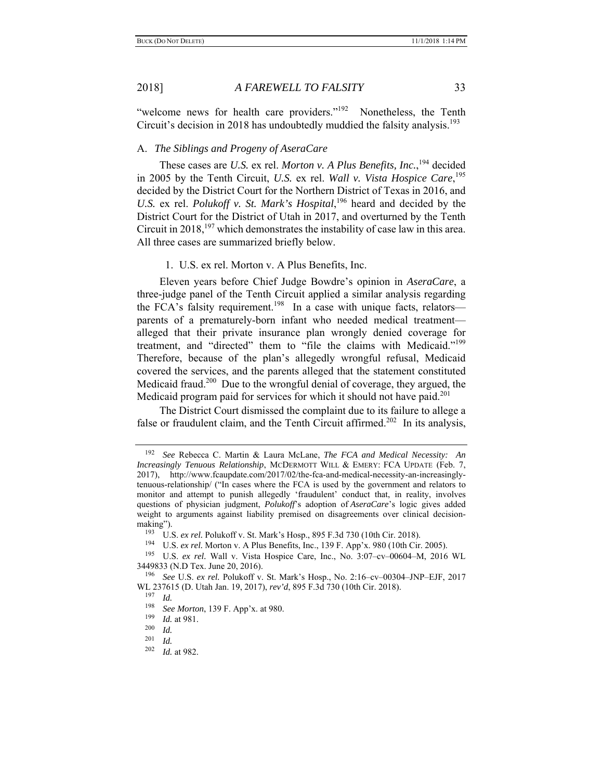"welcome news for health care providers."<sup>192</sup> Nonetheless, the Tenth Circuit's decision in 2018 has undoubtedly muddied the falsity analysis.<sup>193</sup>

## A. *The Siblings and Progeny of AseraCare*

These cases are *U.S.* ex rel. *Morton v. A Plus Benefits, Inc.*, 194 decided in 2005 by the Tenth Circuit, *U.S.* ex rel. *Wall v. Vista Hospice Care*, 195 decided by the District Court for the Northern District of Texas in 2016, and U.S. ex rel. *Polukoff v. St. Mark's Hospital*,<sup>196</sup> heard and decided by the District Court for the District of Utah in 2017, and overturned by the Tenth Circuit in 2018,<sup>197</sup> which demonstrates the instability of case law in this area. All three cases are summarized briefly below.

#### 1. U.S. ex rel. Morton v. A Plus Benefits, Inc.

Eleven years before Chief Judge Bowdre's opinion in *AseraCare*, a three-judge panel of the Tenth Circuit applied a similar analysis regarding the FCA's falsity requirement.<sup>198</sup> In a case with unique facts, relators parents of a prematurely-born infant who needed medical treatment alleged that their private insurance plan wrongly denied coverage for treatment, and "directed" them to "file the claims with Medicaid."<sup>199</sup> Therefore, because of the plan's allegedly wrongful refusal, Medicaid covered the services, and the parents alleged that the statement constituted Medicaid fraud.<sup>200</sup> Due to the wrongful denial of coverage, they argued, the Medicaid program paid for services for which it should not have paid.<sup>201</sup>

The District Court dismissed the complaint due to its failure to allege a false or fraudulent claim, and the Tenth Circuit affirmed.<sup>202</sup> In its analysis,

See Rebecca C. Martin & Laura McLane, *The FCA and Medical Necessity: An Increasingly Tenuous Relationship*, MCDERMOTT WILL & EMERY: FCA UPDATE (Feb. 7, 2017), http://www.fcaupdate.com/2017/02/the-fca-and-medical-necessity-an-increasinglytenuous-relationship/ ("In cases where the FCA is used by the government and relators to monitor and attempt to punish allegedly 'fraudulent' conduct that, in reality, involves questions of physician judgment, *Polukoff*'s adoption of *AseraCare*'s logic gives added weight to arguments against liability premised on disagreements over clinical decisionmaking").

<sup>&</sup>lt;sup>193</sup> U.S. *ex rel.* Polukoff v. St. Mark's Hosp., 895 F.3d 730 (10th Cir. 2018).<br><sup>194</sup> U.S. *ex rel.* Morton v. A Plus Benefits Inc., 130 F. App'x, 980 (10th Cir.

U.S. *ex rel.* Morton v. A Plus Benefits, Inc., 139 F. App'x. 980 (10th Cir. 2005).

<sup>195</sup> U.S. *ex rel.* Wall v. Vista Hospice Care, Inc., No. 3:07–cv–00604–M, 2016 WL 3449833 (N.D Tex. June 20, 2016).

<sup>196</sup> *See* U.S. *ex rel.* Polukoff v. St. Mark's Hosp., No. 2:16–cv–00304–JNP–EJF, 2017 WL 237615 (D. Utah Jan. 19, 2017), *rev'd*, 895 F.3d 730 (10th Cir. 2018).

 $\frac{197}{198}$  *Id.* 

<sup>198</sup> *See Morton*, 139 F. App'x. at 980.

 $\frac{199}{200}$  *Id.* at 981.

 $\frac{200}{201}$  *Id.* 

 $\frac{201}{202}$  *Id.* 

*Id.* at 982.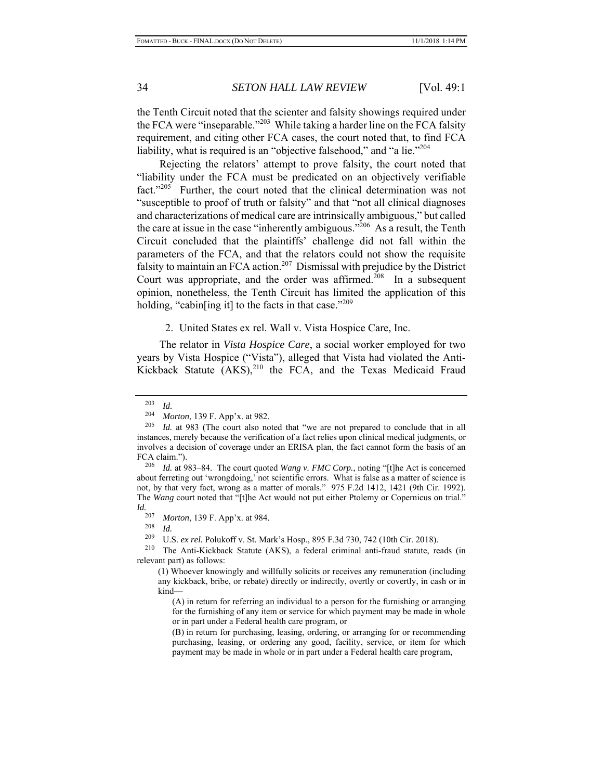the Tenth Circuit noted that the scienter and falsity showings required under the FCA were "inseparable."203 While taking a harder line on the FCA falsity requirement, and citing other FCA cases, the court noted that, to find FCA liability, what is required is an "objective falsehood," and "a lie."<sup>204</sup>

Rejecting the relators' attempt to prove falsity, the court noted that "liability under the FCA must be predicated on an objectively verifiable fact."<sup>205</sup> Further, the court noted that the clinical determination was not "susceptible to proof of truth or falsity" and that "not all clinical diagnoses and characterizations of medical care are intrinsically ambiguous," but called the care at issue in the case "inherently ambiguous."<sup>206</sup> As a result, the Tenth Circuit concluded that the plaintiffs' challenge did not fall within the parameters of the FCA, and that the relators could not show the requisite falsity to maintain an FCA action.<sup>207</sup> Dismissal with prejudice by the District Court was appropriate, and the order was affirmed.<sup>208</sup> In a subsequent opinion, nonetheless, the Tenth Circuit has limited the application of this holding, "cabin[ing it] to the facts in that case."<sup>209</sup>

## 2. United States ex rel. Wall v. Vista Hospice Care, Inc.

The relator in *Vista Hospice Care*, a social worker employed for two years by Vista Hospice ("Vista"), alleged that Vista had violated the Anti-Kickback Statute  $(AKS)^{210}$  the FCA, and the Texas Medicaid Fraud

 $\frac{203}{204}$  *Id.* 

<sup>204</sup> *Morton*, 139 F. App'x. at 982.

<sup>205</sup> *Id.* at 983 (The court also noted that "we are not prepared to conclude that in all instances, merely because the verification of a fact relies upon clinical medical judgments, or involves a decision of coverage under an ERISA plan, the fact cannot form the basis of an FCA claim.").

<sup>206</sup> *Id.* at 983–84. The court quoted *Wang v. FMC Corp.*, noting "[t]he Act is concerned about ferreting out 'wrongdoing,' not scientific errors. What is false as a matter of science is not, by that very fact, wrong as a matter of morals." 975 F.2d 1412, 1421 (9th Cir. 1992). The *Wang* court noted that "[t]he Act would not put either Ptolemy or Copernicus on trial." *Id.* 

<sup>&</sup>lt;sup>207</sup> *Morton*, 139 F. App'x. at 984.

 $\frac{208}{209}$  *Id.* 

U.S. ex rel. Polukoff v. St. Mark's Hosp., 895 F.3d 730, 742 (10th Cir. 2018).

<sup>210</sup> The Anti-Kickback Statute (AKS), a federal criminal anti-fraud statute, reads (in relevant part) as follows:

<sup>(1)</sup> Whoever knowingly and willfully solicits or receives any remuneration (including any kickback, bribe, or rebate) directly or indirectly, overtly or covertly, in cash or in kind—

<sup>(</sup>A) in return for referring an individual to a person for the furnishing or arranging for the furnishing of any item or service for which payment may be made in whole or in part under a Federal health care program, or

<sup>(</sup>B) in return for purchasing, leasing, ordering, or arranging for or recommending purchasing, leasing, or ordering any good, facility, service, or item for which payment may be made in whole or in part under a Federal health care program,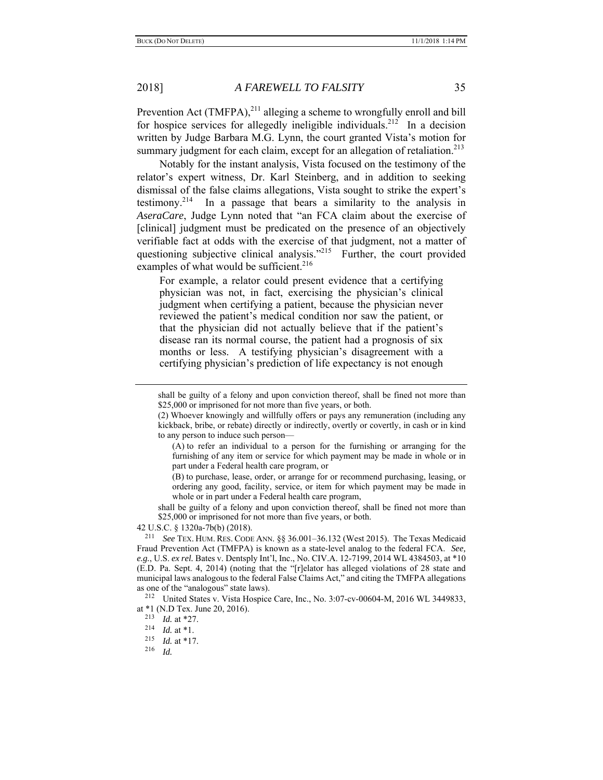Prevention Act (TMFPA), $^{211}$  alleging a scheme to wrongfully enroll and bill for hospice services for allegedly ineligible individuals.<sup>212</sup> In a decision written by Judge Barbara M.G. Lynn, the court granted Vista's motion for summary judgment for each claim, except for an allegation of retaliation.<sup>213</sup>

Notably for the instant analysis, Vista focused on the testimony of the relator's expert witness, Dr. Karl Steinberg, and in addition to seeking dismissal of the false claims allegations, Vista sought to strike the expert's testimony.<sup>214</sup> In a passage that bears a similarity to the analysis in *AseraCare*, Judge Lynn noted that "an FCA claim about the exercise of [clinical] judgment must be predicated on the presence of an objectively verifiable fact at odds with the exercise of that judgment, not a matter of questioning subjective clinical analysis."<sup>215</sup> Further, the court provided examples of what would be sufficient.<sup>216</sup>

For example, a relator could present evidence that a certifying physician was not, in fact, exercising the physician's clinical judgment when certifying a patient, because the physician never reviewed the patient's medical condition nor saw the patient, or that the physician did not actually believe that if the patient's disease ran its normal course, the patient had a prognosis of six months or less. A testifying physician's disagreement with a certifying physician's prediction of life expectancy is not enough

shall be guilty of a felony and upon conviction thereof, shall be fined not more than \$25,000 or imprisoned for not more than five years, or both.

42 U.S.C. § 1320a-7b(b) (2018). 211 *See* TEX. HUM. RES. CODE ANN. §§ 36.001–36.132 (West 2015). The Texas Medicaid Fraud Prevention Act (TMFPA) is known as a state-level analog to the federal FCA. *See, e.g.*, U.S. *ex rel.* Bates v. Dentsply Int'l, Inc., No. CIV.A. 12-7199, 2014 WL 4384503, at \*10 (E.D. Pa. Sept. 4, 2014) (noting that the "[r]elator has alleged violations of 28 state and municipal laws analogous to the federal False Claims Act," and citing the TMFPA allegations as one of the "analogous" state laws).<br><sup>212</sup> United States v. Vista Hospice Care, Inc., No. 3:07-cv-00604-M, 2016 WL 3449833,

at \*1 (N.D Tex. June 20, 2016).

shall be guilty of a felony and upon conviction thereof, shall be fined not more than \$25,000 or imprisoned for not more than five years, or both.

<sup>(2)</sup> Whoever knowingly and willfully offers or pays any remuneration (including any kickback, bribe, or rebate) directly or indirectly, overtly or covertly, in cash or in kind to any person to induce such person—

<sup>(</sup>A) to refer an individual to a person for the furnishing or arranging for the furnishing of any item or service for which payment may be made in whole or in part under a Federal health care program, or

<sup>(</sup>B) to purchase, lease, order, or arrange for or recommend purchasing, leasing, or ordering any good, facility, service, or item for which payment may be made in whole or in part under a Federal health care program,

<sup>2&</sup>lt;sup>13</sup>*Id.* at \*27.<br><sup>214</sup>*Id.* at \*1.<br><sup>215</sup>*Id* at \*17.

 $\frac{215}{216}$  *Id.* at \*17.

<sup>216</sup> *Id.*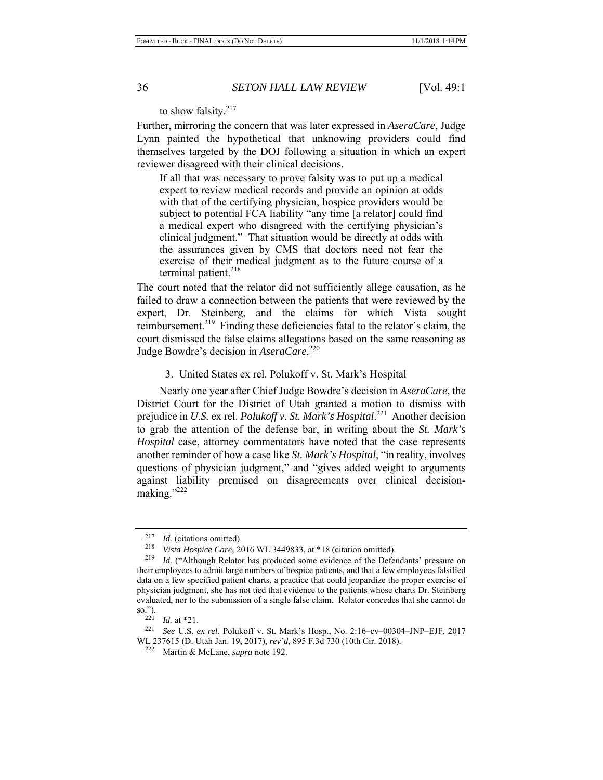to show falsity.<sup>217</sup>

Further, mirroring the concern that was later expressed in *AseraCare*, Judge Lynn painted the hypothetical that unknowing providers could find themselves targeted by the DOJ following a situation in which an expert reviewer disagreed with their clinical decisions.

If all that was necessary to prove falsity was to put up a medical expert to review medical records and provide an opinion at odds with that of the certifying physician, hospice providers would be subject to potential FCA liability "any time [a relator] could find a medical expert who disagreed with the certifying physician's clinical judgment." That situation would be directly at odds with the assurances given by CMS that doctors need not fear the exercise of their medical judgment as to the future course of a terminal patient.<sup>218</sup>

The court noted that the relator did not sufficiently allege causation, as he failed to draw a connection between the patients that were reviewed by the expert, Dr. Steinberg, and the claims for which Vista sought reimbursement.<sup>219</sup> Finding these deficiencies fatal to the relator's claim, the court dismissed the false claims allegations based on the same reasoning as Judge Bowdre's decision in *AseraCare*. 220

### 3. United States ex rel. Polukoff v. St. Mark's Hospital

Nearly one year after Chief Judge Bowdre's decision in *AseraCare*, the District Court for the District of Utah granted a motion to dismiss with prejudice in *U.S.* ex rel. *Polukoff v. St. Mark's Hospital*. 221 Another decision to grab the attention of the defense bar, in writing about the *St. Mark's Hospital* case, attorney commentators have noted that the case represents another reminder of how a case like *St. Mark's Hospital*, "in reality, involves questions of physician judgment," and "gives added weight to arguments against liability premised on disagreements over clinical decisionmaking."<sup>222</sup>

<sup>&</sup>lt;sup>217</sup> *Id.* (citations omitted).

<sup>&</sup>lt;sup>218</sup> *Vista Hospice Care*, 2016 WL 3449833, at \*18 (citation omitted).<br><sup>219</sup> Id. ("Although Relator has produced some evidence of the Defer

Id. ("Although Relator has produced some evidence of the Defendants' pressure on their employees to admit large numbers of hospice patients, and that a few employees falsified data on a few specified patient charts, a practice that could jeopardize the proper exercise of physician judgment, she has not tied that evidence to the patients whose charts Dr. Steinberg evaluated, nor to the submission of a single false claim. Relator concedes that she cannot do so.").<br> $220$ 

<sup>220</sup>*Id.* at \*21. 221 *See* U.S. *ex rel.* Polukoff v. St. Mark's Hosp., No. 2:16–cv–00304–JNP–EJF, 2017 WL 237615 (D. Utah Jan. 19, 2017), *rev'd*, 895 F.3d 730 (10th Cir. 2018). 222 Martin & McLane, *supra* note 192.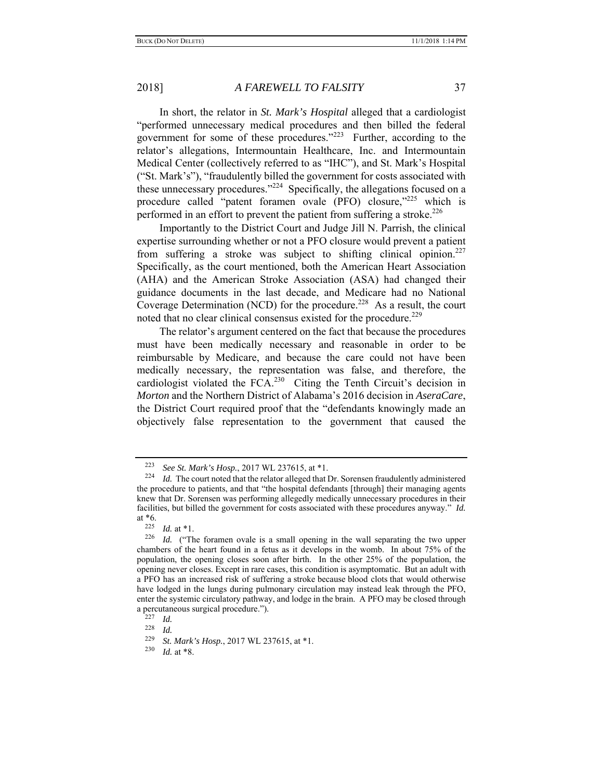In short, the relator in *St. Mark's Hospital* alleged that a cardiologist "performed unnecessary medical procedures and then billed the federal government for some of these procedures."<sup>223</sup> Further, according to the relator's allegations, Intermountain Healthcare, Inc. and Intermountain Medical Center (collectively referred to as "IHC"), and St. Mark's Hospital ("St. Mark's"), "fraudulently billed the government for costs associated with these unnecessary procedures."<sup>224</sup> Specifically, the allegations focused on a procedure called "patent foramen ovale (PFO) closure,"<sup>225</sup> which is performed in an effort to prevent the patient from suffering a stroke.<sup>226</sup>

Importantly to the District Court and Judge Jill N. Parrish, the clinical expertise surrounding whether or not a PFO closure would prevent a patient from suffering a stroke was subject to shifting clinical opinion.<sup>227</sup> Specifically, as the court mentioned, both the American Heart Association (AHA) and the American Stroke Association (ASA) had changed their guidance documents in the last decade, and Medicare had no National Coverage Determination (NCD) for the procedure.<sup>228</sup> As a result, the court noted that no clear clinical consensus existed for the procedure.<sup>229</sup>

The relator's argument centered on the fact that because the procedures must have been medically necessary and reasonable in order to be reimbursable by Medicare, and because the care could not have been medically necessary, the representation was false, and therefore, the cardiologist violated the  $FCA<sup>230</sup>$  Citing the Tenth Circuit's decision in *Morton* and the Northern District of Alabama's 2016 decision in *AseraCare*, the District Court required proof that the "defendants knowingly made an objectively false representation to the government that caused the

<sup>&</sup>lt;sup>223</sup> See St. Mark's Hosp., 2017 WL 237615, at \*1.<br><sup>224</sup> *Id.* The court noted that the relator alleged that Dr. Sorensen fraudulently administered the procedure to patients, and that "the hospital defendants [through] their managing agents knew that Dr. Sorensen was performing allegedly medically unnecessary procedures in their facilities, but billed the government for costs associated with these procedures anyway." *Id.*  at  $*6.$ <br>225

 $\frac{225}{226}$  *Id.* at \*1.

Id. ("The foramen ovale is a small opening in the wall separating the two upper chambers of the heart found in a fetus as it develops in the womb. In about 75% of the population, the opening closes soon after birth. In the other 25% of the population, the opening never closes. Except in rare cases, this condition is asymptomatic. But an adult with a PFO has an increased risk of suffering a stroke because blood clots that would otherwise have lodged in the lungs during pulmonary circulation may instead leak through the PFO, enter the systemic circulatory pathway, and lodge in the brain. A PFO may be closed through a percutaneous surgical procedure.").

<sup>227</sup> *Id.* 

 $\frac{228}{229}$  *Id.* 

<sup>229</sup> *St. Mark's Hosp.*, 2017 WL 237615, at \*1.

<sup>230</sup> *Id.* at \*8.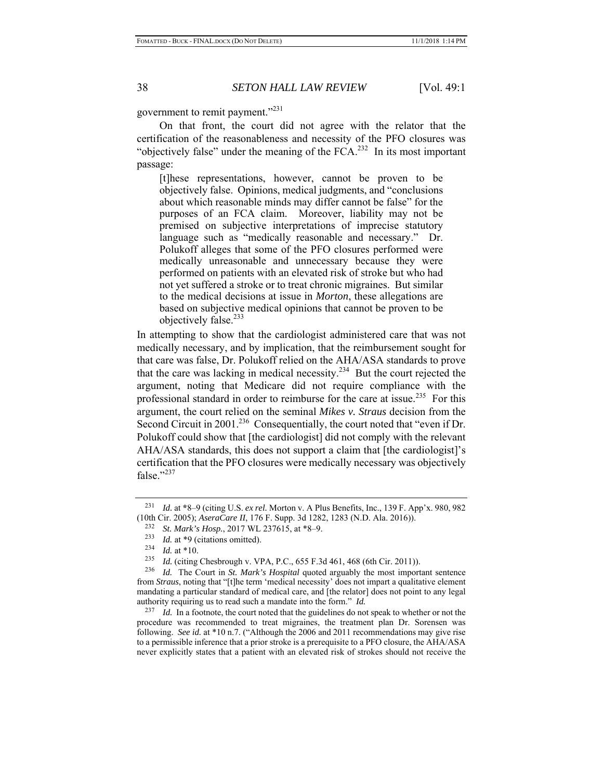government to remit payment."<sup>231</sup>

On that front, the court did not agree with the relator that the certification of the reasonableness and necessity of the PFO closures was "objectively false" under the meaning of the  $FCA$ <sup>232</sup> In its most important passage:

[t]hese representations, however, cannot be proven to be objectively false. Opinions, medical judgments, and "conclusions about which reasonable minds may differ cannot be false" for the purposes of an FCA claim. Moreover, liability may not be premised on subjective interpretations of imprecise statutory language such as "medically reasonable and necessary." Dr. Polukoff alleges that some of the PFO closures performed were medically unreasonable and unnecessary because they were performed on patients with an elevated risk of stroke but who had not yet suffered a stroke or to treat chronic migraines. But similar to the medical decisions at issue in *Morton*, these allegations are based on subjective medical opinions that cannot be proven to be objectively false.<sup>233</sup>

In attempting to show that the cardiologist administered care that was not medically necessary, and by implication, that the reimbursement sought for that care was false, Dr. Polukoff relied on the AHA/ASA standards to prove that the care was lacking in medical necessity.<sup>234</sup> But the court rejected the argument, noting that Medicare did not require compliance with the professional standard in order to reimburse for the care at issue.<sup>235</sup> For this argument, the court relied on the seminal *Mikes v. Straus* decision from the Second Circuit in 2001.<sup>236</sup> Consequentially, the court noted that "even if Dr. Polukoff could show that [the cardiologist] did not comply with the relevant AHA/ASA standards, this does not support a claim that [the cardiologist]'s certification that the PFO closures were medically necessary was objectively false."<sup>237</sup>

<sup>231</sup> *Id.* at **\***8–9 (citing U.S. *ex rel.* Morton v. A Plus Benefits, Inc., 139 F. App'x. 980, 982 (10th Cir. 2005); *AseraCare II*, 176 F. Supp. 3d 1282, 1283 (N.D. Ala. 2016)).

<sup>232</sup> *St. Mark's Hosp.*, 2017 WL 237615, at \*8–9.

<sup>233</sup> *Id.* at \*9 (citations omitted).

 $\frac{234}{235}$  *Id.* at \*10.

<sup>&</sup>lt;sup>235</sup> *Id.* (citing Chesbrough v. VPA, P.C., 655 F.3d 461, 468 (6th Cir. 2011)).<br><sup>236</sup> *Id* The Court in *St. Mark's Hospital* quoted arguably the most import

Id. The Court in *St. Mark's Hospital* quoted arguably the most important sentence from *Straus*, noting that "[t]he term 'medical necessity' does not impart a qualitative element mandating a particular standard of medical care, and [the relator] does not point to any legal authority requiring us to read such a mandate into the form." *Id.* 

<sup>&</sup>lt;sup>237</sup> *Id.* In a footnote, the court noted that the guidelines do not speak to whether or not the procedure was recommended to treat migraines, the treatment plan Dr. Sorensen was following. *See id.* at \*10 n.7. ("Although the 2006 and 2011 recommendations may give rise to a permissible inference that a prior stroke is a prerequisite to a PFO closure, the AHA/ASA never explicitly states that a patient with an elevated risk of strokes should not receive the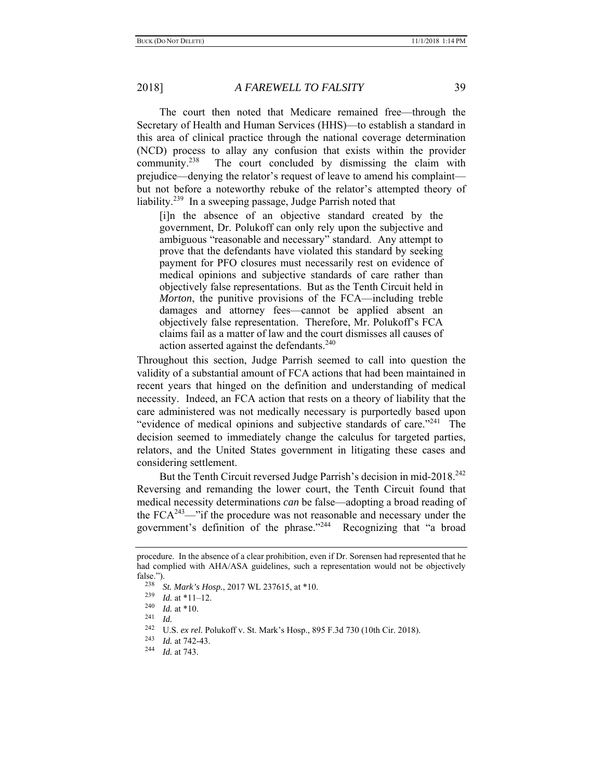The court then noted that Medicare remained free—through the Secretary of Health and Human Services (HHS)—to establish a standard in this area of clinical practice through the national coverage determination (NCD) process to allay any confusion that exists within the provider community.<sup>238</sup> The court concluded by dismissing the claim with prejudice—denying the relator's request of leave to amend his complaint but not before a noteworthy rebuke of the relator's attempted theory of liability.<sup>239</sup> In a sweeping passage, Judge Parrish noted that

[i]n the absence of an objective standard created by the government, Dr. Polukoff can only rely upon the subjective and ambiguous "reasonable and necessary" standard. Any attempt to prove that the defendants have violated this standard by seeking payment for PFO closures must necessarily rest on evidence of medical opinions and subjective standards of care rather than objectively false representations. But as the Tenth Circuit held in *Morton*, the punitive provisions of the FCA—including treble damages and attorney fees—cannot be applied absent an objectively false representation. Therefore, Mr. Polukoff's FCA claims fail as a matter of law and the court dismisses all causes of action asserted against the defendants.<sup>240</sup>

Throughout this section, Judge Parrish seemed to call into question the validity of a substantial amount of FCA actions that had been maintained in recent years that hinged on the definition and understanding of medical necessity. Indeed, an FCA action that rests on a theory of liability that the care administered was not medically necessary is purportedly based upon "evidence of medical opinions and subjective standards of care."<sup>241</sup> The decision seemed to immediately change the calculus for targeted parties, relators, and the United States government in litigating these cases and considering settlement.

But the Tenth Circuit reversed Judge Parrish's decision in mid-2018.<sup>242</sup> Reversing and remanding the lower court, the Tenth Circuit found that medical necessity determinations *can* be false—adopting a broad reading of the  $FCA^{243}$ —"if the procedure was not reasonable and necessary under the government's definition of the phrase."<sup>244</sup> Recognizing that "a broad

procedure. In the absence of a clear prohibition, even if Dr. Sorensen had represented that he had complied with AHA/ASA guidelines, such a representation would not be objectively false.").<br> $238$ 

<sup>&</sup>lt;sup>238</sup> *St. Mark's Hosp.*, 2017 WL 237615, at \*10.

 $\frac{239}{240}$  *Id.* at \*11–12.

 $\frac{240}{241}$  *Id.* at \*10.

<sup>&</sup>lt;sup>242</sup> U.S. *ex rel.* Polukoff v. St. Mark's Hosp., 895 F.3d 730 (10th Cir. 2018).

<sup>243</sup>*Id.* at 742-43. 244 *Id.* at 743.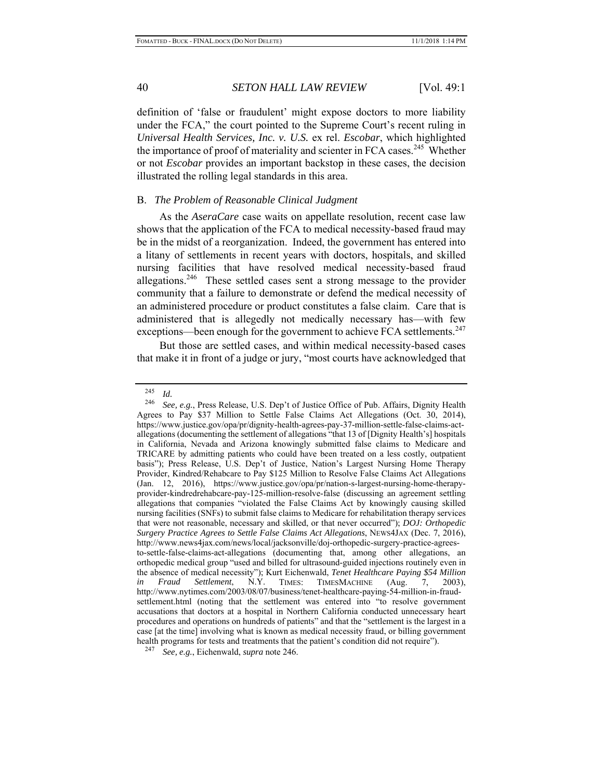definition of 'false or fraudulent' might expose doctors to more liability under the FCA," the court pointed to the Supreme Court's recent ruling in *Universal Health Services, Inc. v. U.S.* ex rel. *Escobar*, which highlighted the importance of proof of materiality and scienter in FCA cases.<sup>245</sup> Whether or not *Escobar* provides an important backstop in these cases, the decision illustrated the rolling legal standards in this area.

## B. *The Problem of Reasonable Clinical Judgment*

As the *AseraCare* case waits on appellate resolution, recent case law shows that the application of the FCA to medical necessity-based fraud may be in the midst of a reorganization. Indeed, the government has entered into a litany of settlements in recent years with doctors, hospitals, and skilled nursing facilities that have resolved medical necessity-based fraud allegations.<sup>246</sup> These settled cases sent a strong message to the provider community that a failure to demonstrate or defend the medical necessity of an administered procedure or product constitutes a false claim. Care that is administered that is allegedly not medically necessary has—with few exceptions—been enough for the government to achieve FCA settlements.<sup>247</sup>

But those are settled cases, and within medical necessity-based cases that make it in front of a judge or jury, "most courts have acknowledged that

 $\frac{245}{246}$  *Id.* 

See, e.g., Press Release, U.S. Dep't of Justice Office of Pub. Affairs, Dignity Health Agrees to Pay \$37 Million to Settle False Claims Act Allegations (Oct. 30, 2014), https://www.justice.gov/opa/pr/dignity-health-agrees-pay-37-million-settle-false-claims-actallegations (documenting the settlement of allegations "that 13 of [Dignity Health's] hospitals in California, Nevada and Arizona knowingly submitted false claims to Medicare and TRICARE by admitting patients who could have been treated on a less costly, outpatient basis"); Press Release, U.S. Dep't of Justice, Nation's Largest Nursing Home Therapy Provider, Kindred/Rehabcare to Pay \$125 Million to Resolve False Claims Act Allegations (Jan. 12, 2016), https://www.justice.gov/opa/pr/nation-s-largest-nursing-home-therapyprovider-kindredrehabcare-pay-125-million-resolve-false (discussing an agreement settling allegations that companies "violated the False Claims Act by knowingly causing skilled nursing facilities (SNFs) to submit false claims to Medicare for rehabilitation therapy services that were not reasonable, necessary and skilled, or that never occurred"); *DOJ: Orthopedic Surgery Practice Agrees to Settle False Claims Act Allegations*, NEWS4JAX (Dec. 7, 2016), http://www.news4jax.com/news/local/jacksonville/doj-orthopedic-surgery-practice-agreesto-settle-false-claims-act-allegations (documenting that, among other allegations, an orthopedic medical group "used and billed for ultrasound-guided injections routinely even in the absence of medical necessity"); Kurt Eichenwald, *Tenet Healthcare Paying \$54 Million in Fraud Settlement*, N.Y. TIMES: TIMESMACHINE (Aug. 7, 2003), http://www.nytimes.com/2003/08/07/business/tenet-healthcare-paying-54-million-in-fraudsettlement.html (noting that the settlement was entered into "to resolve government accusations that doctors at a hospital in Northern California conducted unnecessary heart procedures and operations on hundreds of patients" and that the "settlement is the largest in a case [at the time] involving what is known as medical necessity fraud, or billing government health programs for tests and treatments that the patient's condition did not require").

<sup>247</sup> *See, e.g.*, Eichenwald, *supra* note 246.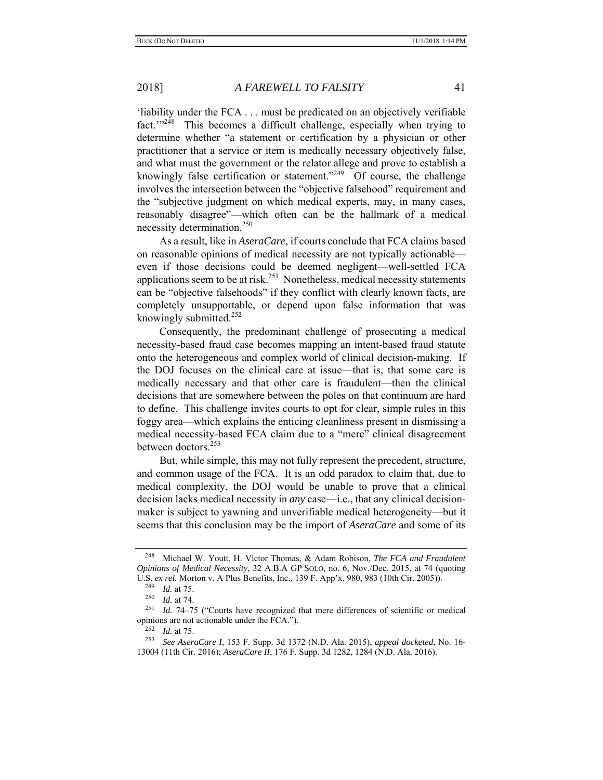'liability under the FCA . . . must be predicated on an objectively verifiable fact."<sup>248</sup> This becomes a difficult challenge, especially when trying to determine whether "a statement or certification by a physician or other practitioner that a service or item is medically necessary objectively false, and what must the government or the relator allege and prove to establish a knowingly false certification or statement."<sup>249</sup> Of course, the challenge involves the intersection between the "objective falsehood" requirement and the "subjective judgment on which medical experts, may, in many cases, reasonably disagree"—which often can be the hallmark of a medical necessity determination.<sup>250</sup>

As a result, like in *AseraCare*, if courts conclude that FCA claims based on reasonable opinions of medical necessity are not typically actionable even if those decisions could be deemed negligent—well-settled FCA applications seem to be at risk.<sup>251</sup> Nonetheless, medical necessity statements can be "objective falsehoods" if they conflict with clearly known facts, are completely unsupportable, or depend upon false information that was knowingly submitted. $252$ 

Consequently, the predominant challenge of prosecuting a medical necessity-based fraud case becomes mapping an intent-based fraud statute onto the heterogeneous and complex world of clinical decision-making. If the DOJ focuses on the clinical care at issue—that is, that some care is medically necessary and that other care is fraudulent—then the clinical decisions that are somewhere between the poles on that continuum are hard to define. This challenge invites courts to opt for clear, simple rules in this foggy area—which explains the enticing cleanliness present in dismissing a medical necessity-based FCA claim due to a "mere" clinical disagreement between doctors.<sup>253</sup>

But, while simple, this may not fully represent the precedent, structure, and common usage of the FCA. It is an odd paradox to claim that, due to medical complexity, the DOJ would be unable to prove that a clinical decision lacks medical necessity in *any* case—i.e., that any clinical decisionmaker is subject to yawning and unverifiable medical heterogeneity—but it seems that this conclusion may be the import of *AseraCare* and some of its

<sup>248</sup> Michael W. Youtt, H. Victor Thomas, & Adam Robison, *The FCA and Fraudulent Opinions of Medical Necessity*, 32 A.B.A GP SOLO, no. 6, Nov./Dec. 2015, at 74 (quoting U.S. *ex rel.* Morton v. A Plus Benefits, Inc., 139 F. App'x. 980, 983 (10th Cir. 2005)).

<sup>&</sup>lt;sup>249</sup> *Id.* at 75.<br><sup>250</sup> *Id.* at 74

 $\frac{250}{251}$  *Id.* at 74.

Id. 74–75 ("Courts have recognized that mere differences of scientific or medical opinions are not actionable under the FCA.").<br> $^{252}$  *M* at 75

*Id.* at 75.

<sup>253</sup> *See AseraCare I*, 153 F. Supp. 3d 1372 (N.D. Ala. 2015), *appeal docketed*, No. 16- 13004 (11th Cir. 2016); *AseraCare II*, 176 F. Supp. 3d 1282, 1284 (N.D. Ala. 2016).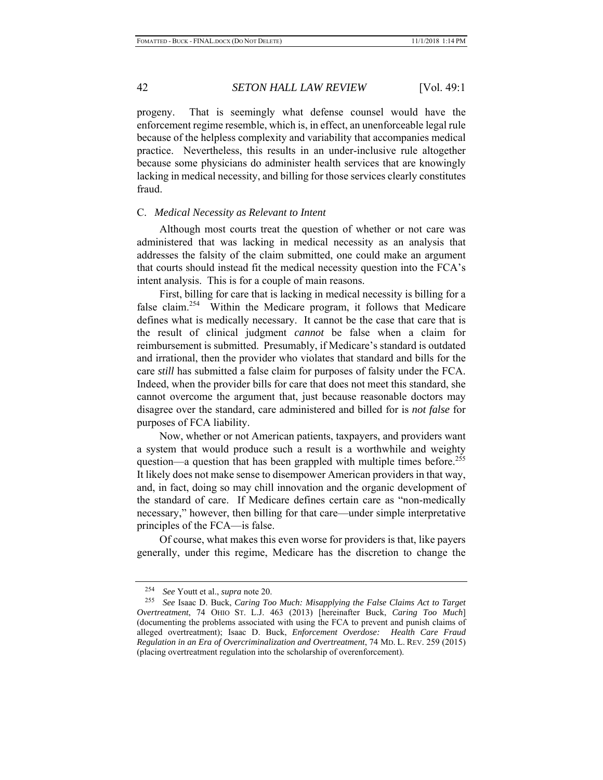progeny. That is seemingly what defense counsel would have the enforcement regime resemble, which is, in effect, an unenforceable legal rule because of the helpless complexity and variability that accompanies medical practice. Nevertheless, this results in an under-inclusive rule altogether because some physicians do administer health services that are knowingly lacking in medical necessity, and billing for those services clearly constitutes fraud.

#### C. *Medical Necessity as Relevant to Intent*

Although most courts treat the question of whether or not care was administered that was lacking in medical necessity as an analysis that addresses the falsity of the claim submitted, one could make an argument that courts should instead fit the medical necessity question into the FCA's intent analysis. This is for a couple of main reasons.

First, billing for care that is lacking in medical necessity is billing for a false claim.<sup>254</sup> Within the Medicare program, it follows that Medicare defines what is medically necessary. It cannot be the case that care that is the result of clinical judgment *cannot* be false when a claim for reimbursement is submitted. Presumably, if Medicare's standard is outdated and irrational, then the provider who violates that standard and bills for the care *still* has submitted a false claim for purposes of falsity under the FCA. Indeed, when the provider bills for care that does not meet this standard, she cannot overcome the argument that, just because reasonable doctors may disagree over the standard, care administered and billed for is *not false* for purposes of FCA liability.

Now, whether or not American patients, taxpayers, and providers want a system that would produce such a result is a worthwhile and weighty question—a question that has been grappled with multiple times before.<sup>255</sup> It likely does not make sense to disempower American providers in that way, and, in fact, doing so may chill innovation and the organic development of the standard of care. If Medicare defines certain care as "non-medically necessary," however, then billing for that care—under simple interpretative principles of the FCA—is false.

Of course, what makes this even worse for providers is that, like payers generally, under this regime, Medicare has the discretion to change the

<sup>254</sup> *See* Youtt et al., *supra* note 20.

<sup>255</sup> *See* Isaac D. Buck, *Caring Too Much: Misapplying the False Claims Act to Target Overtreatment*, 74 OHIO ST. L.J. 463 (2013) [hereinafter Buck, *Caring Too Much*] (documenting the problems associated with using the FCA to prevent and punish claims of alleged overtreatment); Isaac D. Buck, *Enforcement Overdose: Health Care Fraud Regulation in an Era of Overcriminalization and Overtreatment*, 74 MD. L. REV. 259 (2015) (placing overtreatment regulation into the scholarship of overenforcement).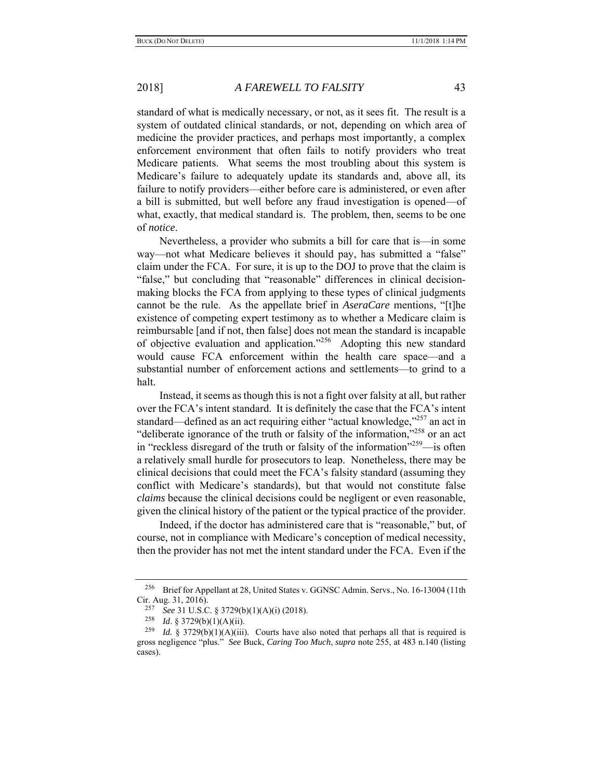standard of what is medically necessary, or not, as it sees fit. The result is a system of outdated clinical standards, or not, depending on which area of medicine the provider practices, and perhaps most importantly, a complex enforcement environment that often fails to notify providers who treat Medicare patients. What seems the most troubling about this system is Medicare's failure to adequately update its standards and, above all, its failure to notify providers—either before care is administered, or even after a bill is submitted, but well before any fraud investigation is opened—of what, exactly, that medical standard is. The problem, then, seems to be one of *notice*.

Nevertheless, a provider who submits a bill for care that is—in some way—not what Medicare believes it should pay, has submitted a "false" claim under the FCA. For sure, it is up to the DOJ to prove that the claim is "false," but concluding that "reasonable" differences in clinical decisionmaking blocks the FCA from applying to these types of clinical judgments cannot be the rule. As the appellate brief in *AseraCare* mentions, "[t]he existence of competing expert testimony as to whether a Medicare claim is reimbursable [and if not, then false] does not mean the standard is incapable of objective evaluation and application."<sup>256</sup> Adopting this new standard would cause FCA enforcement within the health care space—and a substantial number of enforcement actions and settlements—to grind to a halt.

Instead, it seems as though this is not a fight over falsity at all, but rather over the FCA's intent standard. It is definitely the case that the FCA's intent standard—defined as an act requiring either "actual knowledge,"<sup>257</sup> an act in "deliberate ignorance of the truth or falsity of the information,"<sup>258</sup> or an act in "reckless disregard of the truth or falsity of the information"<sup>259</sup>—is often a relatively small hurdle for prosecutors to leap. Nonetheless, there may be clinical decisions that could meet the FCA's falsity standard (assuming they conflict with Medicare's standards), but that would not constitute false *claims* because the clinical decisions could be negligent or even reasonable, given the clinical history of the patient or the typical practice of the provider.

Indeed, if the doctor has administered care that is "reasonable," but, of course, not in compliance with Medicare's conception of medical necessity, then the provider has not met the intent standard under the FCA. Even if the

<sup>256</sup> Brief for Appellant at 28, United States v. GGNSC Admin. Servs., No. 16-13004 (11th Cir. Aug. 31, 2016).

<sup>257</sup> *See* 31 U.S.C. § 3729(b)(1)(A)(i) (2018).

<sup>258</sup> *Id*. § 3729(b)(1)(A)(ii).

<sup>&</sup>lt;sup>259</sup> *Id.* § 3729(b)(1)(A)(iii). Courts have also noted that perhaps all that is required is gross negligence "plus." *See* Buck, *Caring Too Much*, *supra* note 255, at 483 n.140 (listing cases).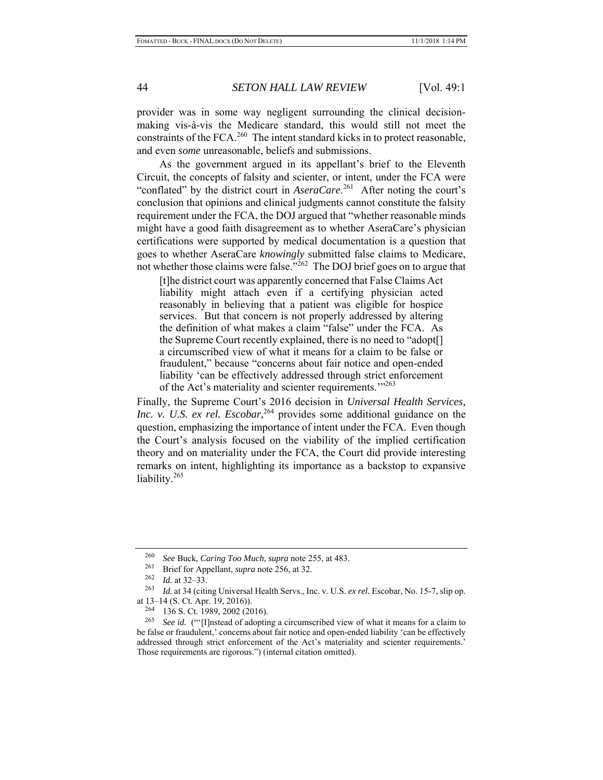provider was in some way negligent surrounding the clinical decisionmaking vis-à-vis the Medicare standard, this would still not meet the constraints of the FCA.<sup>260</sup> The intent standard kicks in to protect reasonable, and even *some* unreasonable, beliefs and submissions.

As the government argued in its appellant's brief to the Eleventh Circuit, the concepts of falsity and scienter, or intent, under the FCA were "conflated" by the district court in *AseraCare*. 261 After noting the court's conclusion that opinions and clinical judgments cannot constitute the falsity requirement under the FCA, the DOJ argued that "whether reasonable minds might have a good faith disagreement as to whether AseraCare's physician certifications were supported by medical documentation is a question that goes to whether AseraCare *knowingly* submitted false claims to Medicare, not whether those claims were false."<sup>262</sup> The DOJ brief goes on to argue that

[t]he district court was apparently concerned that False Claims Act liability might attach even if a certifying physician acted reasonably in believing that a patient was eligible for hospice services. But that concern is not properly addressed by altering the definition of what makes a claim "false" under the FCA. As the Supreme Court recently explained, there is no need to "adopt[] a circumscribed view of what it means for a claim to be false or fraudulent," because "concerns about fair notice and open-ended liability 'can be effectively addressed through strict enforcement of the Act's materiality and scienter requirements.<sup>'"263</sup>

Finally, the Supreme Court's 2016 decision in *Universal Health Services,*  Inc. v. U.S. ex rel. Escobar,<sup>264</sup> provides some additional guidance on the question, emphasizing the importance of intent under the FCA. Even though the Court's analysis focused on the viability of the implied certification theory and on materiality under the FCA, the Court did provide interesting remarks on intent, highlighting its importance as a backstop to expansive liability.<sup>265</sup>

<sup>260</sup> *See* Buck, *Caring Too Much*, *supra* note 255, at 483.

<sup>&</sup>lt;sup>261</sup> Brief for Appellant, *supra* note 256, at 32.

 $\frac{262}{263}$  *Id.* at 32–33.

Id. at 34 (citing Universal Health Servs., Inc. v. U.S. ex rel. Escobar, No. 15-7, slip op. at 13–14 (S. Ct. Apr. 19, 2016)).

<sup>264 136</sup> S. Ct. 1989, 2002 (2016).

<sup>265</sup> *See id.* ("'[I]nstead of adopting a circumscribed view of what it means for a claim to be false or fraudulent,' concerns about fair notice and open-ended liability 'can be effectively addressed through strict enforcement of the Act's materiality and scienter requirements.' Those requirements are rigorous.") (internal citation omitted).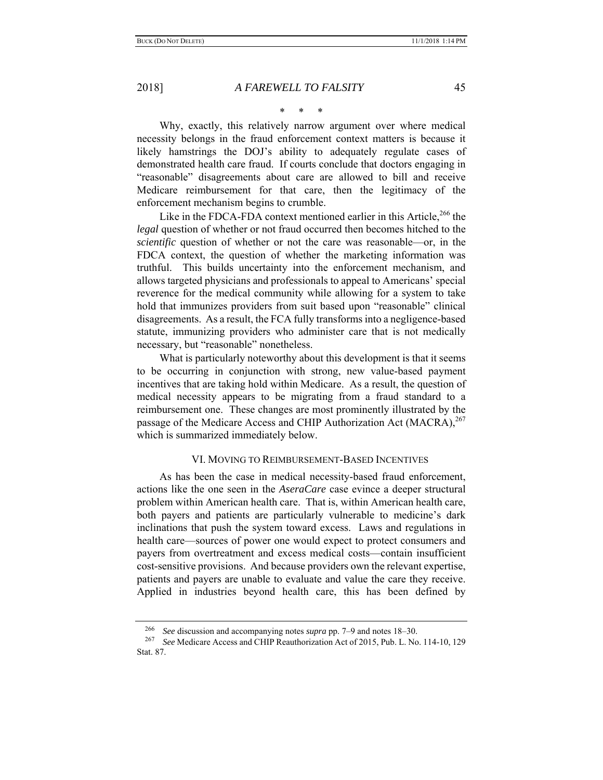\* \* \*

Why, exactly, this relatively narrow argument over where medical necessity belongs in the fraud enforcement context matters is because it likely hamstrings the DOJ's ability to adequately regulate cases of demonstrated health care fraud. If courts conclude that doctors engaging in "reasonable" disagreements about care are allowed to bill and receive Medicare reimbursement for that care, then the legitimacy of the enforcement mechanism begins to crumble.

Like in the FDCA-FDA context mentioned earlier in this Article,<sup>266</sup> the *legal* question of whether or not fraud occurred then becomes hitched to the *scientific* question of whether or not the care was reasonable—or, in the FDCA context, the question of whether the marketing information was truthful. This builds uncertainty into the enforcement mechanism, and allows targeted physicians and professionals to appeal to Americans' special reverence for the medical community while allowing for a system to take hold that immunizes providers from suit based upon "reasonable" clinical disagreements. As a result, the FCA fully transforms into a negligence-based statute, immunizing providers who administer care that is not medically necessary, but "reasonable" nonetheless.

What is particularly noteworthy about this development is that it seems to be occurring in conjunction with strong, new value-based payment incentives that are taking hold within Medicare. As a result, the question of medical necessity appears to be migrating from a fraud standard to a reimbursement one. These changes are most prominently illustrated by the passage of the Medicare Access and CHIP Authorization Act (MACRA),<sup>267</sup> which is summarized immediately below.

## VI. MOVING TO REIMBURSEMENT-BASED INCENTIVES

As has been the case in medical necessity-based fraud enforcement, actions like the one seen in the *AseraCare* case evince a deeper structural problem within American health care. That is, within American health care, both payers and patients are particularly vulnerable to medicine's dark inclinations that push the system toward excess. Laws and regulations in health care—sources of power one would expect to protect consumers and payers from overtreatment and excess medical costs—contain insufficient cost-sensitive provisions. And because providers own the relevant expertise, patients and payers are unable to evaluate and value the care they receive. Applied in industries beyond health care, this has been defined by

<sup>266</sup> *See* discussion and accompanying notes *supra* pp. 7–9 and notes 18–30.

<sup>267</sup> *See* Medicare Access and CHIP Reauthorization Act of 2015, Pub. L. No. 114-10, 129 Stat. 87.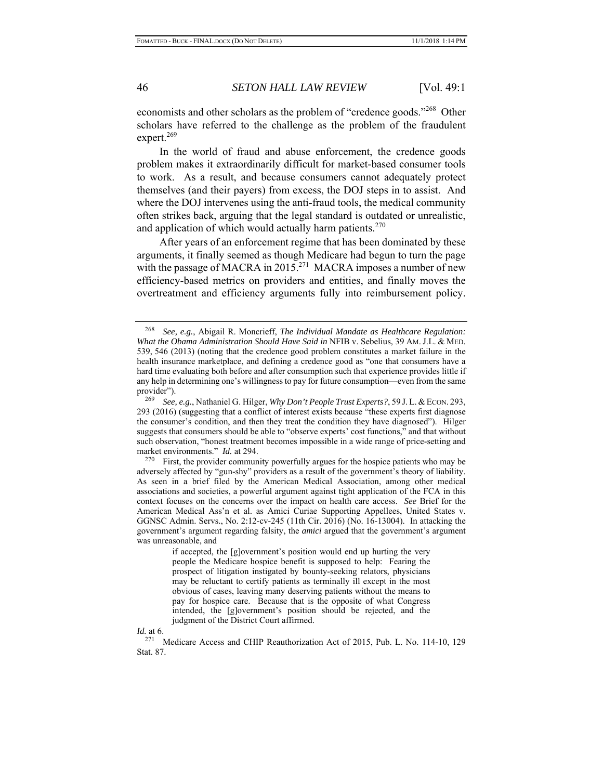economists and other scholars as the problem of "credence goods."<sup>268</sup> Other scholars have referred to the challenge as the problem of the fraudulent expert.<sup>269</sup>

In the world of fraud and abuse enforcement, the credence goods problem makes it extraordinarily difficult for market-based consumer tools to work. As a result, and because consumers cannot adequately protect themselves (and their payers) from excess, the DOJ steps in to assist. And where the DOJ intervenes using the anti-fraud tools, the medical community often strikes back, arguing that the legal standard is outdated or unrealistic, and application of which would actually harm patients.<sup>270</sup>

After years of an enforcement regime that has been dominated by these arguments, it finally seemed as though Medicare had begun to turn the page with the passage of MACRA in 2015.<sup>271</sup> MACRA imposes a number of new efficiency-based metrics on providers and entities, and finally moves the overtreatment and efficiency arguments fully into reimbursement policy.

*Id.* at 6.  $_{271}^{271}$ 

<sup>268</sup> *See, e.g.*, Abigail R. Moncrieff, *The Individual Mandate as Healthcare Regulation: What the Obama Administration Should Have Said in* NFIB v. Sebelius, 39 AM. J.L. & MED. 539, 546 (2013) (noting that the credence good problem constitutes a market failure in the health insurance marketplace, and defining a credence good as "one that consumers have a hard time evaluating both before and after consumption such that experience provides little if any help in determining one's willingness to pay for future consumption—even from the same provider").

<sup>269</sup> *See, e.g.*, Nathaniel G. Hilger, *Why Don't People Trust Experts?*, 59 J. L. & ECON. 293, 293 (2016) (suggesting that a conflict of interest exists because "these experts first diagnose the consumer's condition, and then they treat the condition they have diagnosed"). Hilger suggests that consumers should be able to "observe experts' cost functions," and that without such observation, "honest treatment becomes impossible in a wide range of price-setting and market environments." *Id.* at 294.

 $270$  First, the provider community powerfully argues for the hospice patients who may be adversely affected by "gun-shy" providers as a result of the government's theory of liability. As seen in a brief filed by the American Medical Association, among other medical associations and societies, a powerful argument against tight application of the FCA in this context focuses on the concerns over the impact on health care access. *See* Brief for the American Medical Ass'n et al. as Amici Curiae Supporting Appellees, United States v. GGNSC Admin. Servs., No. 2:12-cv-245 (11th Cir. 2016) (No. 16-13004). In attacking the government's argument regarding falsity, the *amici* argued that the government's argument was unreasonable, and

if accepted, the [g]overnment's position would end up hurting the very people the Medicare hospice benefit is supposed to help: Fearing the prospect of litigation instigated by bounty-seeking relators, physicians may be reluctant to certify patients as terminally ill except in the most obvious of cases, leaving many deserving patients without the means to pay for hospice care. Because that is the opposite of what Congress intended, the [g]overnment's position should be rejected, and the judgment of the District Court affirmed.

<sup>271</sup> Medicare Access and CHIP Reauthorization Act of 2015, Pub. L. No. 114-10, 129 Stat. 87.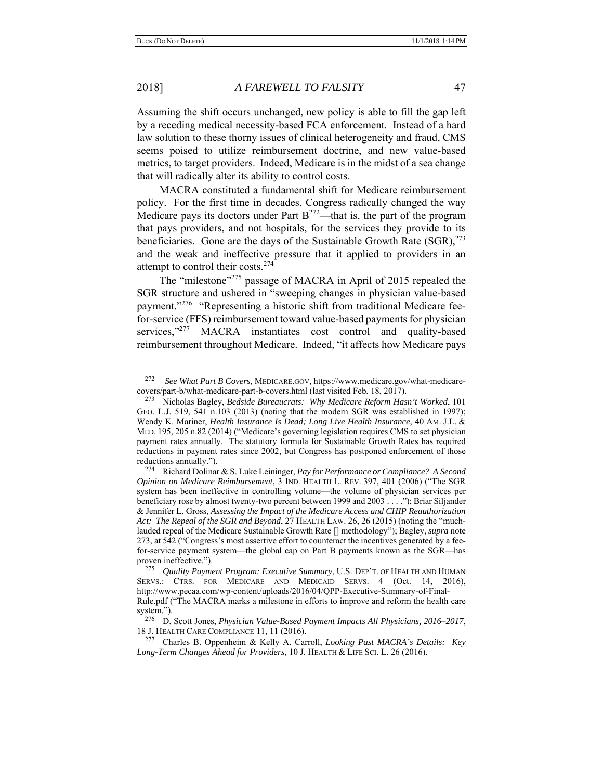Assuming the shift occurs unchanged, new policy is able to fill the gap left by a receding medical necessity-based FCA enforcement. Instead of a hard law solution to these thorny issues of clinical heterogeneity and fraud, CMS seems poised to utilize reimbursement doctrine, and new value-based metrics, to target providers. Indeed, Medicare is in the midst of a sea change that will radically alter its ability to control costs.

MACRA constituted a fundamental shift for Medicare reimbursement policy. For the first time in decades, Congress radically changed the way Medicare pays its doctors under Part  $B^{272}$ —that is, the part of the program that pays providers, and not hospitals, for the services they provide to its beneficiaries. Gone are the days of the Sustainable Growth Rate  $(SGR)$ ,  $^{273}$ and the weak and ineffective pressure that it applied to providers in an attempt to control their costs.<sup>274</sup>

The "milestone"<sup>275</sup> passage of MACRA in April of 2015 repealed the SGR structure and ushered in "sweeping changes in physician value-based payment."<sup>276</sup> "Representing a historic shift from traditional Medicare feefor-service (FFS) reimbursement toward value-based payments for physician services,"<sup>277</sup> MACRA instantiates cost control and quality-based reimbursement throughout Medicare. Indeed, "it affects how Medicare pays

<sup>272</sup> *See What Part B Covers*, MEDICARE.GOV, https://www.medicare.gov/what-medicarecovers/part-b/what-medicare-part-b-covers.html (last visited Feb. 18, 2017).

<sup>273</sup> Nicholas Bagley, *Bedside Bureaucrats: Why Medicare Reform Hasn't Worked*, 101 GEO. L.J. 519, 541 n.103 (2013) (noting that the modern SGR was established in 1997); Wendy K. Mariner, *Health Insurance Is Dead; Long Live Health Insurance*, 40 AM. J.L. & MED. 195, 205 n.82 (2014) ("Medicare's governing legislation requires CMS to set physician payment rates annually. The statutory formula for Sustainable Growth Rates has required reductions in payment rates since 2002, but Congress has postponed enforcement of those reductions annually.").

<sup>274</sup> Richard Dolinar & S. Luke Leininger, *Pay for Performance or Compliance? A Second Opinion on Medicare Reimbursement*, 3 IND. HEALTH L. REV. 397, 401 (2006) ("The SGR system has been ineffective in controlling volume—the volume of physician services per beneficiary rose by almost twenty-two percent between 1999 and 2003 . . . ."); Briar Siljander & Jennifer L. Gross, *Assessing the Impact of the Medicare Access and CHIP Reauthorization Act: The Repeal of the SGR and Beyond*, 27 HEALTH LAW. 26, 26 (2015) (noting the "muchlauded repeal of the Medicare Sustainable Growth Rate [] methodology"); Bagley, *supra* note 273, at 542 ("Congress's most assertive effort to counteract the incentives generated by a feefor-service payment system—the global cap on Part B payments known as the SGR—has proven ineffective.").

<sup>275</sup> *Quality Payment Program: Executive Summary*, U.S. DEP'T. OF HEALTH AND HUMAN SERVS.: CTRS. FOR MEDICARE AND MEDICAID SERVS. 4 (Oct. 14, 2016), http://www.pecaa.com/wp-content/uploads/2016/04/QPP-Executive-Summary-of-Final-Rule.pdf ("The MACRA marks a milestone in efforts to improve and reform the health care system.").

<sup>276</sup> D. Scott Jones, *Physician Value-Based Payment Impacts All Physicians, 2016–2017*, 18 J. HEALTH CARE COMPLIANCE 11, 11 (2016).

<sup>277</sup> Charles B. Oppenheim & Kelly A. Carroll, *Looking Past MACRA's Details: Key Long-Term Changes Ahead for Providers*, 10 J. HEALTH & LIFE SCI. L. 26 (2016).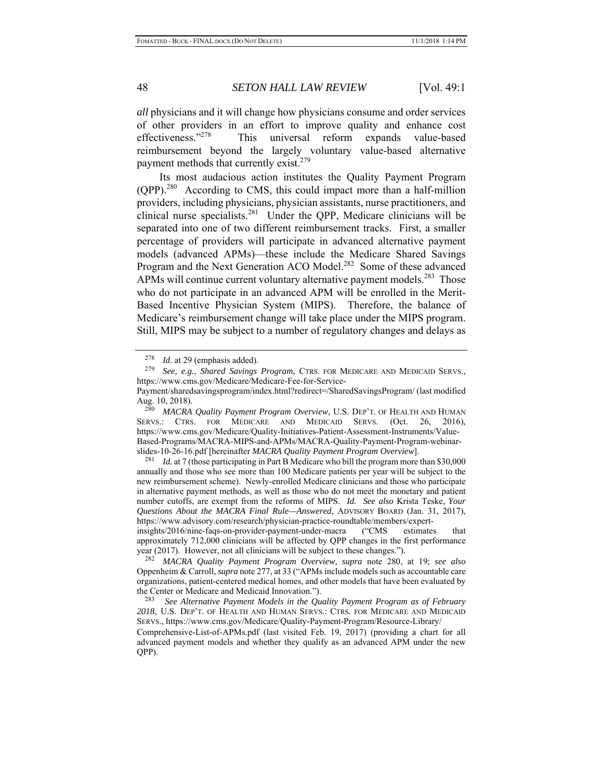*all* physicians and it will change how physicians consume and order services of other providers in an effort to improve quality and enhance cost effectiveness."278 This universal reform expands value-based reimbursement beyond the largely voluntary value-based alternative payment methods that currently exist.<sup>279</sup>

Its most audacious action institutes the Quality Payment Program  $(QPP)$ .<sup>280</sup> According to CMS, this could impact more than a half-million providers, including physicians, physician assistants, nurse practitioners, and clinical nurse specialists.<sup>281</sup> Under the QPP, Medicare clinicians will be separated into one of two different reimbursement tracks. First, a smaller percentage of providers will participate in advanced alternative payment models (advanced APMs)—these include the Medicare Shared Savings Program and the Next Generation ACO Model.<sup>282</sup> Some of these advanced APMs will continue current voluntary alternative payment models.<sup>283</sup> Those who do not participate in an advanced APM will be enrolled in the Merit-Based Incentive Physician System (MIPS). Therefore, the balance of Medicare's reimbursement change will take place under the MIPS program. Still, MIPS may be subject to a number of regulatory changes and delays as

<sup>280</sup> *MACRA Quality Payment Program Overview*, U.S. DEP'T. OF HEALTH AND HUMAN SERVS.: CTRS. FOR MEDICARE AND MEDICAID SERVS. (Oct. 26, 2016), https://www.cms.gov/Medicare/Quality-Initiatives-Patient-Assessment-Instruments/Value-Based-Programs/MACRA-MIPS-and-APMs/MACRA-Quality-Payment-Program-webinarslides-10-26-16.pdf [hereinafter *MACRA Quality Payment Program Overview*].

<sup>281</sup> *Id.* at 7 (those participating in Part B Medicare who bill the program more than \$30,000 annually and those who see more than 100 Medicare patients per year will be subject to the new reimbursement scheme). Newly-enrolled Medicare clinicians and those who participate in alternative payment methods, as well as those who do not meet the monetary and patient number cutoffs, are exempt from the reforms of MIPS. *Id. See also* Krista Teske, *Your Questions About the MACRA Final Rule—Answered*, ADVISORY BOARD (Jan. 31, 2017), https://www.advisory.com/research/physician-practice-roundtable/members/expert-

insights/2016/nine-faqs-on-provider-payment-under-macra ("CMS estimates that approximately 712,000 clinicians will be affected by QPP changes in the first performance year (2017). However, not all clinicians will be subject to these changes.").

282 *MACRA Quality Payment Program Overview, supra* note 280, at 19; *see also*  Oppenheim & Carroll, *supra* note 277, at 33 ("APMs include models such as accountable care organizations, patient-centered medical homes, and other models that have been evaluated by the Center or Medicare and Medicaid Innovation.").<br> $\frac{283}{282}$  See Alternative Poyment Models in the Ou

See Alternative Payment Models in the Quality Payment Program as of February *2018*, U.S. DEP'T. OF HEALTH AND HUMAN SERVS.: CTRS. FOR MEDICARE AND MEDICAID SERVS., https://www.cms.gov/Medicare/Quality-Payment-Program/Resource-Library/

Comprehensive-List-of-APMs.pdf (last visited Feb. 19, 2017) (providing a chart for all advanced payment models and whether they qualify as an advanced APM under the new QPP).

<sup>&</sup>lt;sup>278</sup> *Id.* at 29 (emphasis added).<br><sup>279</sup> See a.g. Shared Sovings.

<sup>279</sup> *See, e.g.*, *Shared Savings Program*, CTRS. FOR MEDICARE AND MEDICAID SERVS., https://www.cms.gov/Medicare/Medicare-Fee-for-Service-

Payment/sharedsavingsprogram/index.html?redirect=/SharedSavingsProgram/ (last modified Aug. 10, 2018).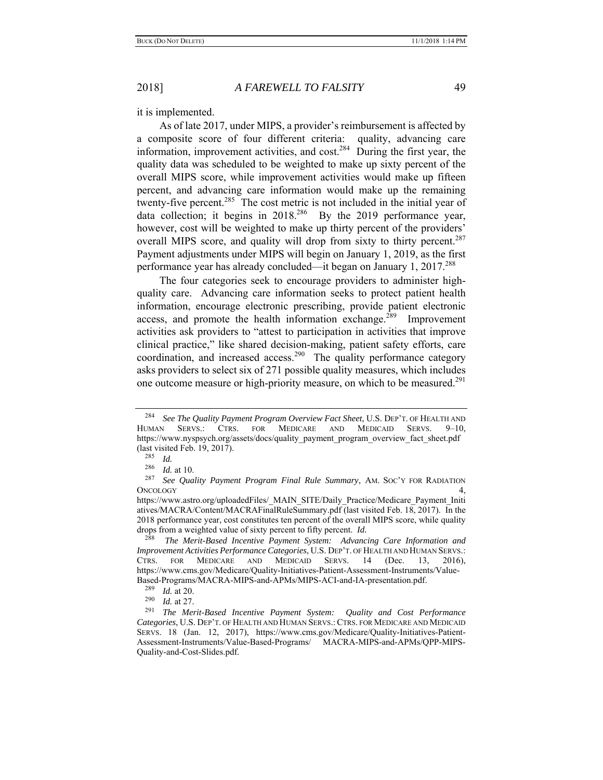it is implemented.

As of late 2017, under MIPS, a provider's reimbursement is affected by a composite score of four different criteria: quality, advancing care information, improvement activities, and cost.<sup>284</sup> During the first year, the quality data was scheduled to be weighted to make up sixty percent of the overall MIPS score, while improvement activities would make up fifteen percent, and advancing care information would make up the remaining twenty-five percent.<sup>285</sup> The cost metric is not included in the initial year of data collection; it begins in  $2018^{286}$  By the 2019 performance year, however, cost will be weighted to make up thirty percent of the providers' overall MIPS score, and quality will drop from sixty to thirty percent.<sup>287</sup> Payment adjustments under MIPS will begin on January 1, 2019, as the first performance year has already concluded—it began on January  $1, 2017$ <sup>288</sup>

The four categories seek to encourage providers to administer highquality care. Advancing care information seeks to protect patient health information, encourage electronic prescribing, provide patient electronic access, and promote the health information exchange.<sup> $289$ </sup> Improvement activities ask providers to "attest to participation in activities that improve clinical practice," like shared decision-making, patient safety efforts, care coordination, and increased access.<sup>290</sup> The quality performance category asks providers to select six of 271 possible quality measures, which includes one outcome measure or high-priority measure, on which to be measured.<sup>291</sup>

<sup>284</sup> *See The Quality Payment Program Overview Fact Sheet*, U.S. DEP'T. OF HEALTH AND HUMAN SERVS.: CTRS. FOR MEDICARE AND MEDICAID SERVS. 9–10, https://www.nyspsych.org/assets/docs/quality\_payment\_program\_overview\_fact\_sheet.pdf (last visited Feb. 19, 2017).

 $\frac{285}{286}$  *Id.* 

<sup>&</sup>lt;sup>286</sup> *Id.* at 10.<br><sup>287</sup> See Oug</sup>

See Quality Payment Program Final Rule Summary, AM. SOC'Y FOR RADIATION ONCOLOGY 4,

https://www.astro.org/uploadedFiles/\_MAIN\_SITE/Daily\_Practice/Medicare\_Payment\_Initi atives/MACRA/Content/MACRAFinalRuleSummary.pdf (last visited Feb. 18, 2017).In the 2018 performance year, cost constitutes ten percent of the overall MIPS score, while quality drops from a weighted value of sixty percent to fifty percent. *Id.* 

<sup>&</sup>lt;sup>288</sup> The Merit-Based Incentive Payment System: Advancing Care Information and *Improvement Activities Performance Categories*, U.S. DEP'T. OF HEALTH AND HUMAN SERVS.: CTRS. FOR MEDICARE AND MEDICAID SERVS. 14 (Dec. 13, 2016), https://www.cms.gov/Medicare/Quality-Initiatives-Patient-Assessment-Instruments/Value-Based-Programs/MACRA-MIPS-and-APMs/MIPS-ACI-and-IA-presentation.pdf.<br><sup>289</sup> M<sub>at</sub> 120

<sup>289</sup> *Id.* at 20.

<sup>290</sup> *Id.* at 27.

<sup>291</sup> *The Merit-Based Incentive Payment System: Quality and Cost Performance Categories*, U.S. DEP'T. OF HEALTH AND HUMAN SERVS.:CTRS. FOR MEDICARE AND MEDICAID SERVS. 18 (Jan. 12, 2017), https://www.cms.gov/Medicare/Quality-Initiatives-Patient-Assessment-Instruments/Value-Based-Programs/ MACRA-MIPS-and-APMs/QPP-MIPS-Quality-and-Cost-Slides.pdf.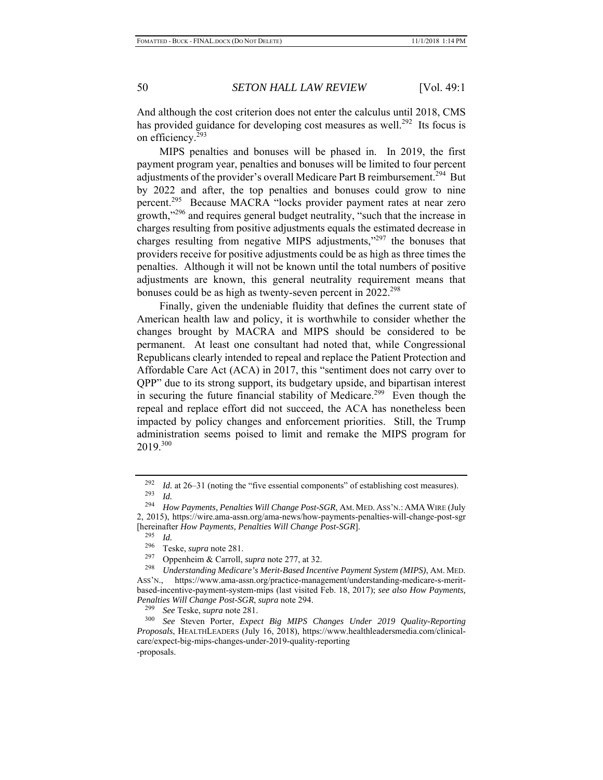And although the cost criterion does not enter the calculus until 2018, CMS has provided guidance for developing cost measures as well.<sup>292</sup> Its focus is on efficiency.293

MIPS penalties and bonuses will be phased in. In 2019, the first payment program year, penalties and bonuses will be limited to four percent adjustments of the provider's overall Medicare Part B reimbursement.<sup>294</sup> But by 2022 and after, the top penalties and bonuses could grow to nine percent.295 Because MACRA "locks provider payment rates at near zero growth,"296 and requires general budget neutrality, "such that the increase in charges resulting from positive adjustments equals the estimated decrease in charges resulting from negative MIPS adjustments,"297 the bonuses that providers receive for positive adjustments could be as high as three times the penalties. Although it will not be known until the total numbers of positive adjustments are known, this general neutrality requirement means that bonuses could be as high as twenty-seven percent in 2022.<sup>298</sup>

Finally, given the undeniable fluidity that defines the current state of American health law and policy, it is worthwhile to consider whether the changes brought by MACRA and MIPS should be considered to be permanent. At least one consultant had noted that, while Congressional Republicans clearly intended to repeal and replace the Patient Protection and Affordable Care Act (ACA) in 2017, this "sentiment does not carry over to QPP" due to its strong support, its budgetary upside, and bipartisan interest in securing the future financial stability of Medicare.<sup>299</sup> Even though the repeal and replace effort did not succeed, the ACA has nonetheless been impacted by policy changes and enforcement priorities. Still, the Trump administration seems poised to limit and remake the MIPS program for 2019.300

<sup>&</sup>lt;sup>292</sup> *Id.* at 26–31 (noting the "five essential components" of establishing cost measures).  $\frac{293}{294}$  *Id.* 

How Payments, Penalties Will Change Post-SGR, AM. MED. ASS'N.: AMA WIRE (July 2, 2015), https://wire.ama-assn.org/ama-news/how-payments-penalties-will-change-post-sgr [hereinafter *How Payments, Penalties Will Change Post-SGR*].

 $\frac{295}{296}$  *Id.* 

<sup>296</sup> Teske, *supra* note 281.

<sup>297</sup> Oppenheim & Carroll, *supra* note 277, at 32.

<sup>298</sup> *Understanding Medicare's Merit-Based Incentive Payment System (MIPS)*, AM. MED. ASS'N., https://www.ama-assn.org/practice-management/understanding-medicare-s-meritbased-incentive-payment-system-mips (last visited Feb. 18, 2017); *see also How Payments, Penalties Will Change Post-SGR*, *supra* note 294.

<sup>299</sup> *See* Teske, *supra* note 281.

<sup>300</sup> *See* Steven Porter, *Expect Big MIPS Changes Under 2019 Quality-Reporting Proposals*, HEALTHLEADERS (July 16, 2018), https://www.healthleadersmedia.com/clinicalcare/expect-big-mips-changes-under-2019-quality-reporting -proposals.